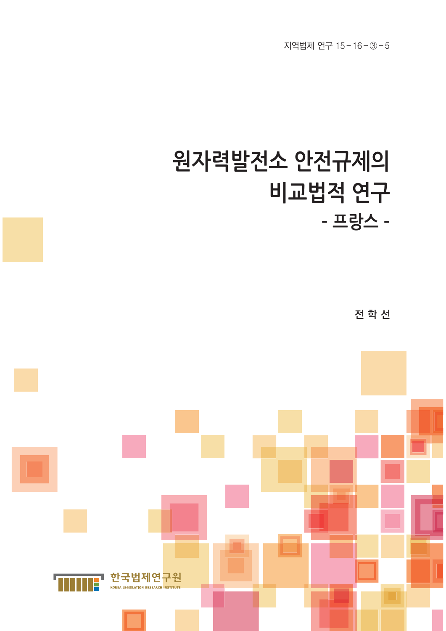# **원자력발전소 안전규제의 비교법적 연구 – 프랑스 –** 전 학 선

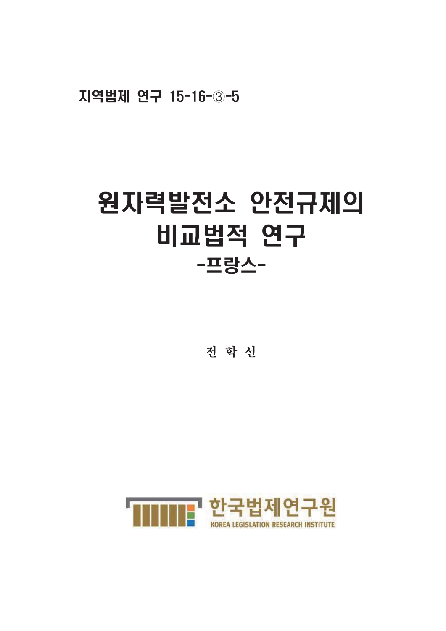지역법제 연구 15-16-3-5

# 원자력발전소 안전규제의 비교법적 연구 -프랑스-

전 학 선

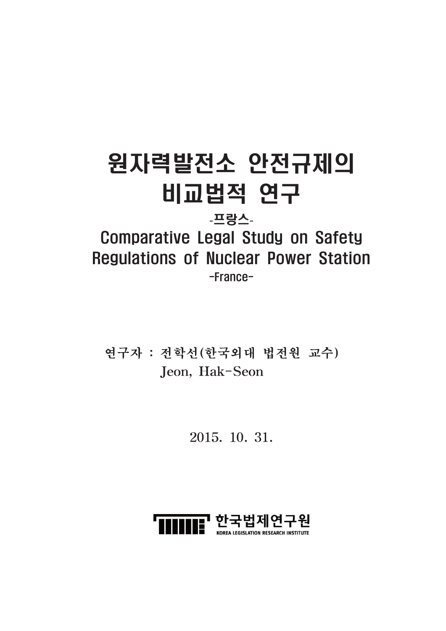# 원자력발전소 안전규제의 비교법적 연구

# -프랑스-

# **Comparative Legal Study on Safety Regulations of Nuclear Power Station**  $-France-$

연구자 : 전학선(한국외대 법전원 교수) Jeon, Hak-Seon

2015. 10. 31.

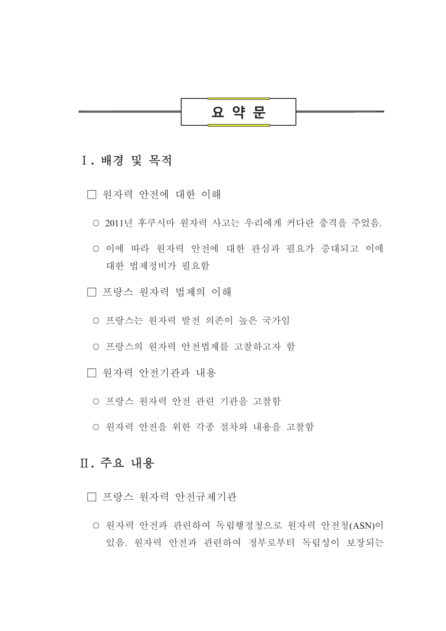

# I. 배경 및 목적

- □ 워자력 안전에 대한 이해
	- 2011년 후쿠시마 워자력 사고는 우리에게 커다란 충격을 주었음.
	- 이에 따라 워자력 안전에 대한 관심과 필요가 증대되고 이에 대한 법제정비가 필요함
- □ 프랑스 워자력 법제의 이해
	- 프랑스는 원자력 발전 의존이 높은 국가임
	- 프랑스의 원자력 안전법제를 고찰하고자 함
- □ 워자력 아저기관과 내용
	- 프랑스 원자력 안전 관련 기관을 고찰함
	- 원자력 안전을 위한 각종 절차와 내용을 고찰함

# Ⅱ. 주요 내용

□ 프랑스 워자력 안전규제기관

○ 워자력 안전과 관련하여 독립행정청으로 워자력 안전청(ASN)이 있음. 워자력 안전과 관련하여 정부로부터 독립성이 보장되는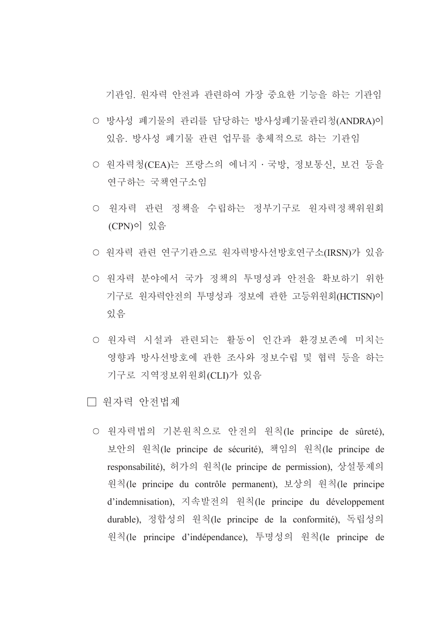기관임 워자력 안전과 관련하여 가장 중요한 기능을 하는 기관임

- 방사성 폐기물의 관리를 담당하는 방사성폐기물관리청(ANDRA)이 있음. 방사성 폐기물 관련 업무를 총체적으로 하는 기관임
- 원자력청(CEA)는 프랑스의 에너지 · 국방, 정보통신, 보건 등을 연구하는 국책연구소임
- 원자력 관련 정책을 수립하는 정부기구로 원자력정책위원회 (CPN)이 있음
- 원자력 관련 연구기관으로 원자력방사선방호연구소(IRSN)가 있음
- 원자력 분야에서 국가 정책의 투명성과 안전을 확보하기 위한 기구로 워자력안전의 투명성과 정보에 관한 고등위원회(HCTISN)이 있음
- 원자력 시설과 관련되는 활동이 인간과 환경보존에 미치는 영향과 방사선방호에 관한 조사와 정보수립 및 협력 등을 하는 기구로 지역정보위원회(CLI)가 있음
- □ 워자력 아저법제
	- 원자력법의 기본원칙으로 안전의 원칙(le principe de sûreté), 보안의 원칙(le principe de sécurité), 책임의 원칙(le principe de responsabilité), 허가의 원칙(le principe de permission), 상설통제의 원칙(le principe du contrôle permanent), 보상의 원칙(le principe d'indemnisation), 지속발전의 원칙(le principe du développement durable), 정합성의 원칙(le principe de la conformité), 독립성의 원칙(le principe d'indépendance), 투명성의 원칙(le principe de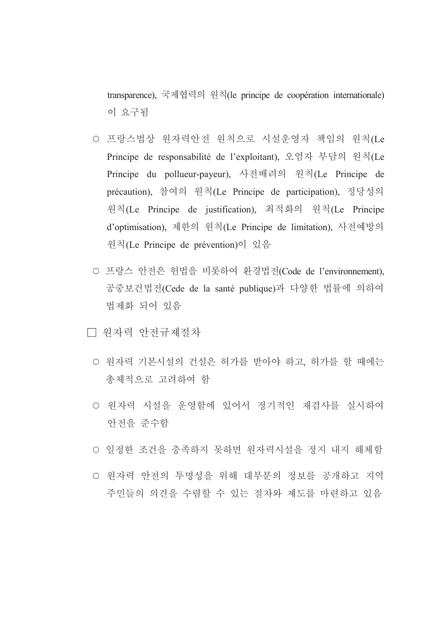transparence), 국제협력의 원칙(le principe de coopération internationale) 이 요구됨

- 프랑스법상 워자력안전 워칙으로 시설운영자 책임의 워칙(Le Principe de responsabilité de l'exploitant), 오염자 부담의 원칙(Le Principe du pollueur-payeur), 사전배려의 원칙(Le Principe de précaution), 참여의 원칙(Le Principe de participation), 정당성의 원칙(Le Principe de justification), 최적화의 원칙(Le Principe d'optimisation), 제한의 원칙(Le Principe de limitation), 사전예방의 원칙(Le Principe de prévention)이 있음
- 프랑스 안전은 헌법을 비롯하여 환경법전(Code de l'environnement), 공중보건법전(Cede de la santé publique)과 다양한 법률에 의하여 법제화 되어 있음
- □ 워자력 안전규제절차
	- 원자력 기본시설의 건설은 허가를 받아야 하고, 허가를 할 때에는 총체적으로 고려하여 함
	- 워자력 시설을 운영함에 있어서 정기적인 재검사를 실시하여 안전을 준수함
	- 일정한 조건을 충족하지 못하면 워자력시설을 정지 내지 해체함
	- 원자력 안전의 투명성을 위해 대부분의 정보를 공개하고 지역 주민들의 의견을 수렴할 수 있는 절차와 제도를 마련하고 있음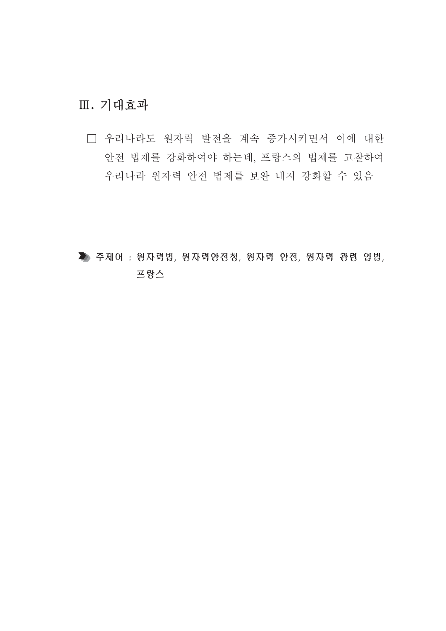# Ⅲ. 기대효과

□ 우리나라도 원자력 발전을 계속 증가시키면서 이에 대한 안전 법제를 강화하여야 하는데, 프랑스의 법제를 고찰하여 우리나라 원자력 안전 법제를 보완 내지 강화할 수 있음

▶ 주제어 : 원자력법, 원자력안전청, 원자력 안전, 원자력 관련 입법, 프랑스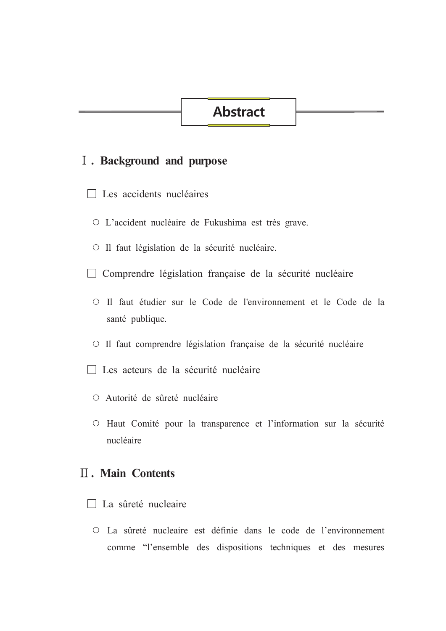# **Abstract**

## I. Background and purpose

- $\Box$  Les accidents nucléaires
	- O L'accident nucléaire de Fukushima est très grave.
	- O Il faut législation de la sécurité nucléaire.
- $\Box$  Comprendre législation française de la sécurité nucléaire
	- O Il faut étudier sur le Code de l'environnement et le Code de la santé publique.
	- O Il faut comprendre législation française de la sécurité nucléaire
- $\Box$  Les acteurs de la sécurité nucléaire
	- O Autorité de sûreté nucléaire
	- O Haut Comité pour la transparence et l'information sur la sécurité nucléaire

# **II. Main Contents**

- □ La sûreté nucleaire
	- O La sûreté nucleaire est définie dans le code de l'environnement comme "l'ensemble des dispositions techniques et des mesures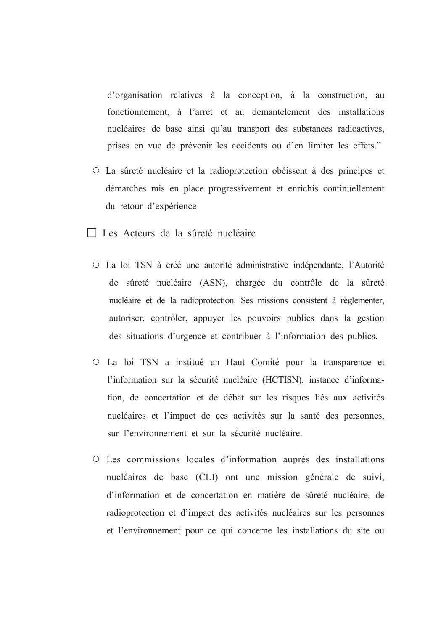d'organisation relatives à la conception, à la construction, au fonctionnement, à l'arret et au demantelement des installations nucléaires de base ainsi qu'au transport des substances radioactives, prises en vue de prévenir les accidents ou d'en limiter les effets."

- La sûreté nucléaire et la radioprotection obéissent à des principes et démarches mis en place progressivement et enrichis continuellement du retour d'expérience
- $\Box$  Les Acteurs de la sûreté nucléaire
	- La loi TSN à créé une autorité administrative indépendante, l'Autorité de sûreté nucléaire (ASN), chargée du contrôle de la sûreté nucléaire et de la radioprotection. Ses missions consistent à réglementer, autoriser, contrôler, appuyer les pouvoirs publics dans la gestion des situations d'urgence et contribuer à l'information des publics.
	- O La loi TSN a institué un Haut Comité pour la transparence et l'information sur la sécurité nucléaire (HCTISN), instance d'information, de concertation et de débat sur les risques liés aux activités nucléaires et l'impact de ces activités sur la santé des personnes, sur l'environnement et sur la sécurité nucléaire.
	- O Les commissions locales d'information auprès des installations nucléaires de base (CLI) ont une mission générale de suivi, d'information et de concertation en matière de sûreté nucléaire, de radioprotection et d'impact des activités nucléaires sur les personnes et l'environnement pour ce qui concerne les installations du site ou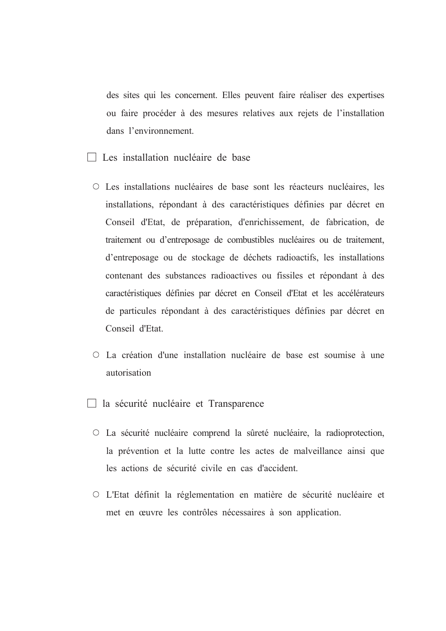des sites qui les concernent. Elles peuvent faire réaliser des expertises ou faire procéder à des mesures relatives aux rejets de l'installation dans l'environnement.

- $\Box$  Les installation nucléaire de base
	- Les installations nucléaires de base sont les réacteurs nucléaires, les installations, répondant à des caractéristiques définies par décret en Conseil d'Etat, de préparation, d'enrichissement, de fabrication, de traitement ou d'entreposage de combustibles nucléaires ou de traitement, d'entreposage ou de stockage de déchets radioactifs, les installations contenant des substances radioactives ou fissiles et répondant à des caractéristiques définies par décret en Conseil d'Etat et les accélérateurs de particules répondant à des caractéristiques définies par décret en Conseil d'Etat
	- La création d'une installation nucléaire de base est soumise à une autorisation
- $\Box$  la sécurité nucléaire et Transparence
	- O La sécurité nucléaire comprend la sûreté nucléaire, la radioprotection, la prévention et la lutte contre les actes de malveillance ainsi que les actions de sécurité civile en cas d'accident.
	- O L'Etat définit la réglementation en matière de sécurité nucléaire et met en œuvre les contrôles nécessaires à son application.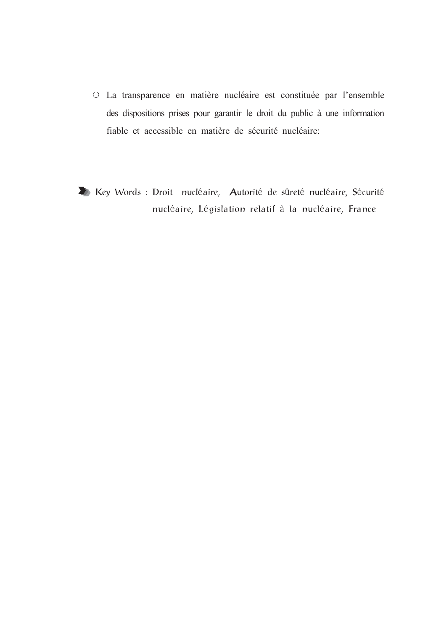- O La transparence en matière nucléaire est constituée par l'ensemble des dispositions prises pour garantir le droit du public à une information fiable et accessible en matière de sécurité nucléaire:
- Key Words : Droit nucléaire, Autorité de sûreté nucléaire, Sécurité nucléaire, Législation relatif à la nucléaire, France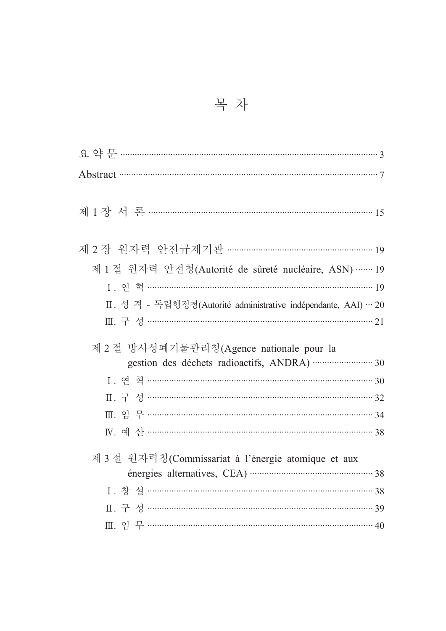| Abstract 37                                                    |  |
|----------------------------------------------------------------|--|
|                                                                |  |
| 제 1 장 서 론 ………………………………………………………………………………… 15                   |  |
| 제 2 장 원자력 안전규제기관 …………………………………………………… 19                       |  |
|                                                                |  |
| 제 1 절 원자력 안전청(Autorité de sûreté nucléaire, ASN) …… 19         |  |
|                                                                |  |
| Ⅱ. 성 격 - 독립행정청(Autorité administrative indépendante, AAI) … 20 |  |
|                                                                |  |
| 제 2 절 방사성폐기물관리청(Agence nationale pour la                       |  |
|                                                                |  |
|                                                                |  |
|                                                                |  |
|                                                                |  |
|                                                                |  |
| 제 3 절 원자력청(Commissariat à l'énergie atomique et aux            |  |
|                                                                |  |
|                                                                |  |
|                                                                |  |
|                                                                |  |
|                                                                |  |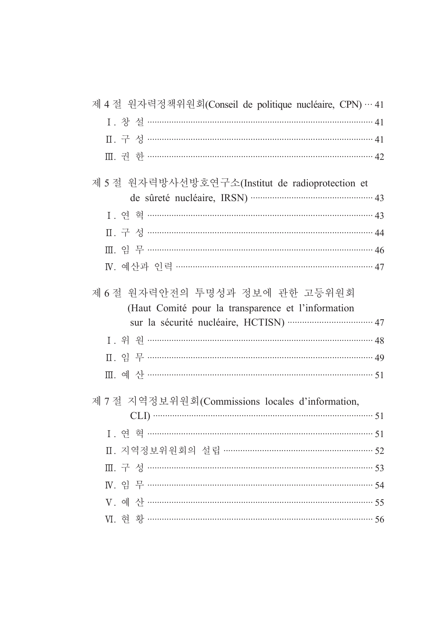| 제 4 절 원자력정책위원회(Conseil de politique nucléaire, CPN)… 41                              |
|--------------------------------------------------------------------------------------|
|                                                                                      |
|                                                                                      |
|                                                                                      |
| 제 5 절 원자력방사선방호연구소(Institut de radioprotection et                                     |
|                                                                                      |
| 1. 연 혁 …………………………………………………………………………………43                                             |
|                                                                                      |
|                                                                                      |
| N. 예산과 인력 ……………………………………………………………… 47                                                |
| 제 6 절 원자력안전의 투명성과 정보에 관한 고등위원회<br>(Haut Comité pour la transparence et l'information |
|                                                                                      |
|                                                                                      |
|                                                                                      |
|                                                                                      |
| 제 7 절 지역정보위원회(Commissions locales d'information,                                     |
|                                                                                      |
|                                                                                      |
| Ⅱ. 지역정보위원회의 설립 …………………………………………………… 52                                               |
|                                                                                      |
|                                                                                      |
|                                                                                      |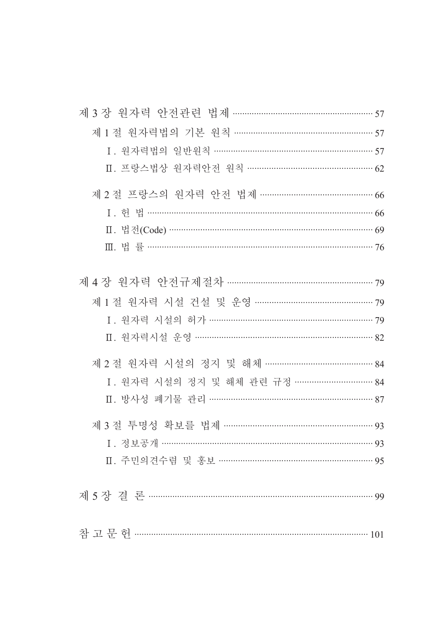| 제 3 장 원자력 안전관련 법제 ………………………………………………… 57 |  |
|------------------------------------------|--|
| 제 1 절 원자력법의 기본 원칙 ……………………………………………… 57  |  |
| I. 원자력법의 일반원칙 …………………………………………………… 57    |  |
| Ⅱ. 프랑스법상 원자력안전 원칙 ………………………………………… 62    |  |
| 제 2 절 프랑스의 원자력 안전 법제 ……………………………………… 66  |  |
| I. 헌법 ……………………………………………………………………………… 66  |  |
|                                          |  |
|                                          |  |
|                                          |  |
| 제 4 장 원자력 안전규제절차 ………………………………………………… 79  |  |
|                                          |  |
| I. 원자력 시설의 허가 ……………………………………………………… 79   |  |
|                                          |  |
| 제 2 절 원자력 시설의 정지 및 해체 …………………………………… 84  |  |
| I. 원자력 시설의 정지 및 해체 관련 규정 ………………………… 84   |  |
| Ⅱ. 방사성 폐기물 관리 ……………………………………………………… 87   |  |
| 제 3 절 투명성 확보를 법제 ………………………………………………… 93  |  |
| 1. 정보공개 ……………………………………………………………………… 93   |  |
| Ⅱ. 주민의견수렴 및 홍보 ………………………………………………… 95    |  |
|                                          |  |
|                                          |  |
|                                          |  |
|                                          |  |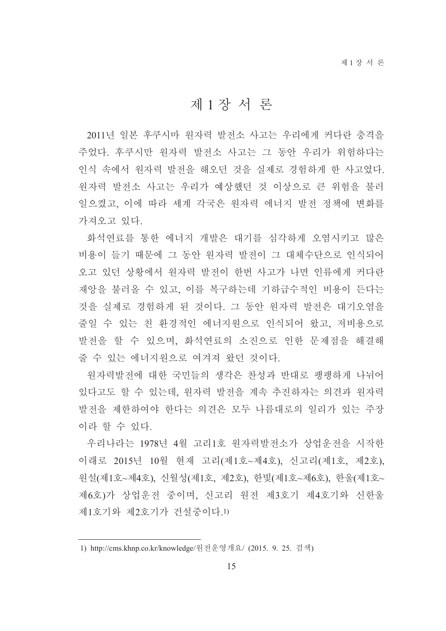# 제1장서론

2011년 일본 후쿠시마 워자력 발전소 사고는 우리에게 커다란 충격을 주었다. 후쿠시만 워자력 발전소 사고는 그 동안 우리가 위험하다는 인식 속에서 워자력 발전을 해오던 것을 실제로 경험하게 한 사고였다. 워자력 발전소 사고는 우리가 예상했던 것 이상으로 큰 위험을 불러 일으켰고, 이에 따라 세계 각국은 워자력 에너지 발전 정책에 변화를 가져오고 있다.

화석연료를 통한 에너지 개발은 대기를 심각하게 오염시키고 많은 비용이 들기 때문에 그 동안 워자력 발전이 그 대체수단으로 인식되어 오고 있던 상황에서 원자력 발전이 한번 사고가 나면 인류에게 커다란 재앙을 불러올 수 있고, 이를 복구하는데 기하급수적인 비용이 든다는 것을 실제로 경험하게 된 것이다. 그 동안 원자력 발전은 대기오염을 줄일 수 있는 친 화경적인 에너지워으로 인식되어 왔고, 저비용으로 발전을 할 수 있으며, 화석연료의 소진으로 인한 문제점을 해결해 줄 수 있는 에너지워으로 여겨져 왔던 것이다.

원자력발전에 대한 국민들의 생각은 찬성과 반대로 팽팽하게 나뉘어 있다고도 할 수 있는데, 원자력 발전을 계속 추진하자는 의견과 원자력 발전을 제한하여야 한다는 의견은 모두 나름대로의 일리가 있는 주장 이라 할 수 있다.

우리나라는 1978년 4월 고리1호 원자력발전소가 상업운전을 시작한 이래로 2015년 10월 현재 고리(제1호~제4호), 신고리(제1호, 제2호), 원설(제1호~제4호), 신월성(제1호, 제2호), 한빛(제1호~제6호), 한울(제1호~ 제6호)가 상업운전 중이며, 신고리 원전 제3호기 제4호기와 신한울 제1호기와 제2호기가 건설중이다.1)

<sup>1)</sup> http://cms.khnp.co.kr/knowledge/원전운영개요/ (2015. 9. 25. 검색)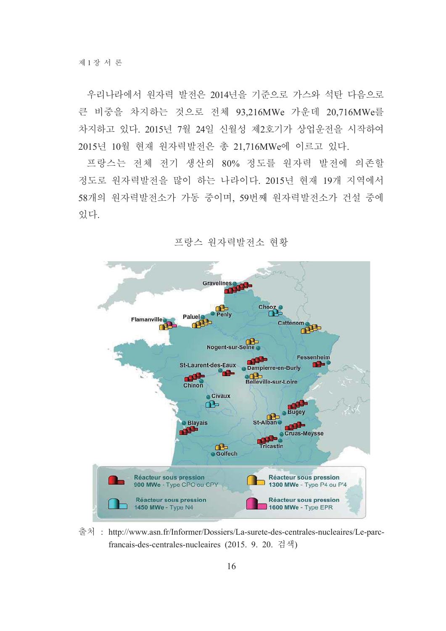우리나라에서 워자력 발전은 2014년을 기준으로 가스와 석탄 다음으로 큰 비중을 차지하는 것으로 전체 93,216MWe 가운데 20,716MWe를 차지하고 있다. 2015년 7월 24일 신월성 제2호기가 상업운전을 시작하여 2015년 10월 현재 원자력발전은 총 21,716MWe에 이르고 있다.

프랑스는 전체 전기 생산의 80% 정도를 워자력 발전에 의존할 정도로 원자력발전을 많이 하는 나라이다. 2015년 현재 19개 지역에서 58개의 원자력발전소가 가동 중이며, 59번째 원자력발전소가 건설 중에 있다.



프랑스 워자력발전소 현황

출처 : http://www.asn.fr/Informer/Dossiers/La-surete-des-centrales-nucleaires/Le-parcfrancais-des-centrales-nucleaires (2015. 9. 20. 검색)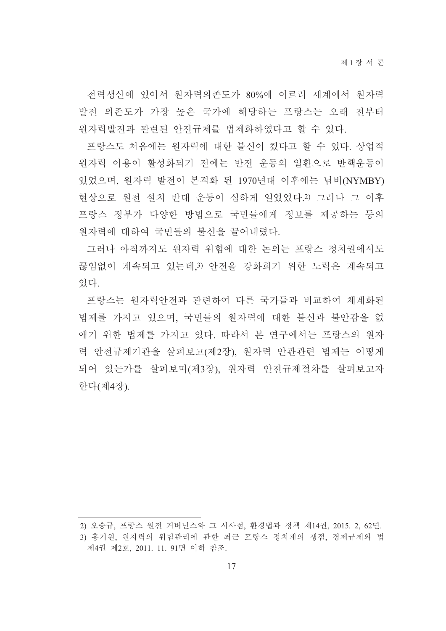전력생산에 있어서 워자력의존도가 80%에 이르러 세계에서 워자력 발전 의존도가 가장 높은 국가에 해당하는 프랑스는 오래 전부터 워자력발전과 관련된 안전규제를 법제화하였다고 할 수 있다.

프랑스도 처음에는 원자력에 대한 불신이 컸다고 할 수 있다. 상업적 워자력 이용이 활성화되기 전에는 반전 운동의 일환으로 반핵운동이 있었으며, 원자력 발전이 본격화 된 1970년대 이후에는 님비(NYMBY) 현상으로 원전 설치 반대 운동이 심하게 일었었다.2) 그러나 그 이후 프랑스 정부가 다양한 방법으로 국민들에게 정보를 제공하는 등의 원자력에 대하여 국민들의 불신을 끌어내렸다.

그러나 아직까지도 원자력 위험에 대한 논의는 프랑스 정치권에서도 끊임없이 계속되고 있는데 3) 안전을 강화회기 위한 노력은 계속되고 있다

프랑스는 워자력안전과 관련하여 다른 국가들과 비교하여 체계화된 법제를 가지고 있으며, 국민들의 원자력에 대한 불신과 불안감을 없 애기 위한 법제를 가지고 있다. 따라서 본 연구에서는 프랑스의 원자 력 안전규제기관을 살펴보고(제2장). 워자력 안관관련 법제는 어떻게 되어 있는가를 살펴보며(제3장). 워자력 안전규제절차를 살펴보고자 한다(제4장).

<sup>2)</sup> 오승규, 프랑스 원전 거버넌스와 그 시사점, 환경법과 정책 제14권, 2015. 2, 62면.

<sup>3)</sup> 홍기워, 워자력의 위험관리에 관한 최근 프랑스 정치계의 쟁점, 경제규제와 법 제4권 제2호, 2011. 11. 91면 이하 참조.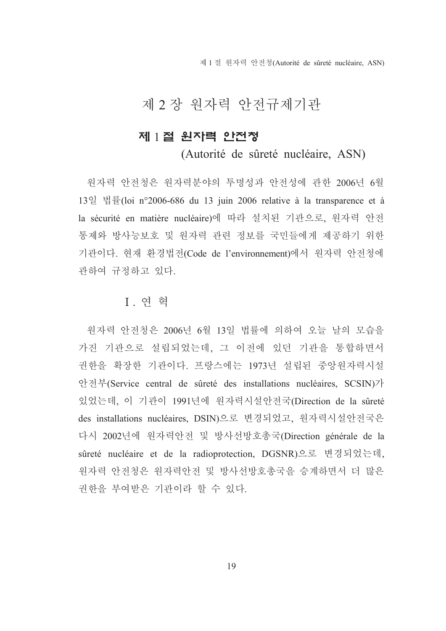제 1 절 워자력 안전청(Autorité de sûreté nucléaire, ASN)

# 제 2 장 원자력 안전규제기관

## 제 1절 원자력 안전청

(Autorité de sûreté nucléaire, ASN)

워자력 안전청은 워자력부야의 투명성과 안전성에 관한 2006년 6월 13일 법률(loi n°2006-686 du 13 juin 2006 relative à la transparence et à la sécurité en matière nucléaire)에 따라 설치된 기관으로, 워자력 안전 통제와 방사능보호 및 워자력 관련 정보를 국민들에게 제공하기 위한 기관이다. 현재 환경법전(Code de l'environnement)에서 원자력 안전청에 관하여 규정하고 있다.

### Ⅰ 여 혁

원자력 안전청은 2006년 6월 13일 법률에 의하여 오늘 날의 모습을 가진 기관으로 설립되었는데, 그 이전에 있던 기관을 통합하면서 권한을 확장한 기관이다. 프랑스에는 1973년 설립된 중앙원자력시설 안전부(Service central de sûreté des installations nucléaires, SCSIN)가 있었는데, 이 기관이 1991년에 원자력시설안전국(Direction de la sûreté des installations nucléaires, DSIN)으로 변경되었고, 원자력시설안전국은 다시 2002년에 원자력안전 및 방사선방호총국(Direction générale de la sûreté nucléaire et de la radioprotection, DGSNR)으로 변경되었는데, 원자력 안전청은 원자력안전 및 방사선방호총국을 승계하면서 더 많은 권한을 부여받은 기관이라 할 수 있다.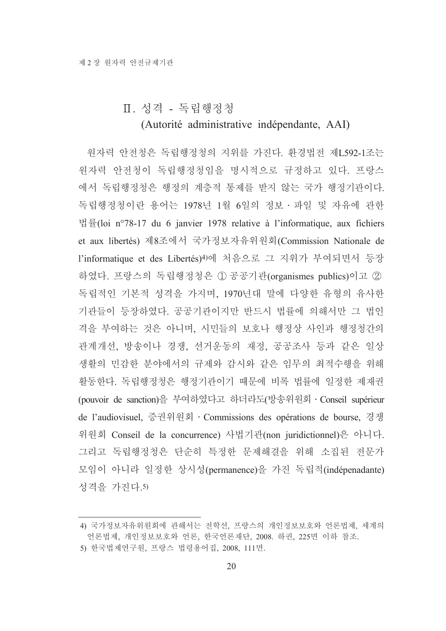#### Ⅱ. 성격 - 독립행정청

#### (Autorité administrative indépendante, AAI)

워자력 안전청은 독립행정청의 지위를 가진다. 환경법전 제L592-1조는 원자력 안전청이 독립행정청임을 명시적으로 규정하고 있다. 프랑스 에서 독립행정청은 행정의 계층적 통제를 받지 않는 국가 행정기관이다. 독립행정청이란 용어는 1978년 1월 6일의 정보 · 파일 및 자유에 관한 법률(loi n°78-17 du 6 janvier 1978 relative à l'informatique, aux fichiers et aux libertés) 제8조에서 국가정보자유위원회(Commission Nationale de l'informatique et des Libertés)4)에 처음으로 그 지위가 부여되면서 등장 하였다. 프랑스의 독립행정청은 ① 공공기관(organismes publics)이고 ② 독립적인 기본적 성격을 가지며, 1970년대 말에 다양한 유형의 유사한 기관들이 등장하였다. 공공기관이지만 반드시 법률에 의해서만 그 법인 격을 부여하는 것은 아니며, 시민들의 보호나 행정상 사인과 행정청간의 관계개선, 방송이나 경쟁, 선거운동의 재정, 공공조사 등과 같은 일상 생활의 민감한 분야에서의 규제와 감시와 같은 임무의 최적수행을 위해 활동한다. 독립행정청은 행정기관이기 때문에 비록 법률에 일정한 제재권 (pouvoir de sanction)을 부여하였다고 하더라도(방송위원회 · Conseil supérieur de l'audiovisuel, 증권위원회 · Commissions des opérations de bourse, 경쟁 위원회 Conseil de la concurrence) 사법기관(non juridictionnel)은 아니다. 그리고 독립행정청은 단순히 특정한 문제해결을 위해 소집된 전문가 모임이 아니라 일정한 상시성(permanence)을 가진 독립적(indépenadante) 성격을 가진다.5)

<sup>4)</sup> 국가정보자유위원회에 관해서는 전학선, 프랑스의 개인정보보호와 언론법제, 세계의 언론법제, 개인정보보호와 언론, 한국언론재단, 2008. 하권, 225면 이하 참조.

<sup>5)</sup> 한국법제연구원, 프랑스 법령용어집, 2008, 111면.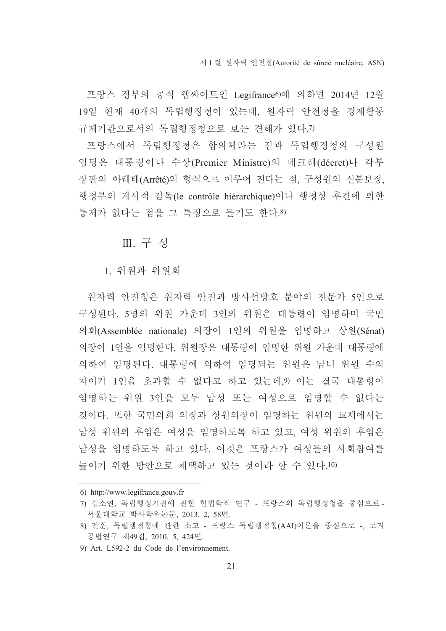프랑스 정부의 공식 웹싸이트인 Legifrance이에 의하면 2014년 12월 19일 현재 40개의 독립행정청이 있는데, 워자력 안전청을 경제활동 규제기관으로서의 독립행정청으로 보는 견해가 있다.7)

프랑스에서 독립행정청은 합의체라는 점과 독립행정청의 구성원 임명은 대통령이나 수상(Premier Ministre)의 데크레(décret)나 각부 장관의 아레테(Arrêté)의 형식으로 이루어 진다는 점, 구성원의 신분보장, 행정부의 계서적 감독(le contrôle hiérarchique)이나 행정상 후견에 의한 통제가 없다는 점을 그 특징으로 들기도 한다.8)

Ⅲ. 구성

1. 위워과 위원회

워자력 안전청은 워자력 안전과 방사선방호 분야의 전문가 5인으로 구성된다. 5명의 위원 가운데 3인의 위원은 대통령이 임명하며 국민 의회(Assemblée nationale) 의장이 1인의 위원을 임명하고 상원(Sénat) 의장이 1인을 임명한다. 위원장은 대통령이 임명한 위원 가운데 대통령에 의하여 임명된다. 대통령에 의하여 임명되는 위원은 남녀 위원 수의 차이가 1인을 초과할 수 없다고 하고 있는데, 이는 결국 대통령이 임명하는 위원 3인을 모두 남성 또는 여성으로 임명할 수 없다는 것이다. 또한 국민의회 의장과 상원의장이 임명하는 위원의 교체에서는 남성 위원의 후임은 여성을 임명하도록 하고 있고, 여성 위원의 후임은 남성을 임명하도록 하고 있다. 이것은 프랑스가 여성들의 사회참여를 높이기 위한 방안으로 채택하고 있는 것이라 할 수 있다.10)

<sup>6)</sup> http://www.legifrance.gouv.fr

<sup>7)</sup> 김소연, 독립행정기관에 관한 헌법학적 연구 - 프랑스의 독립행정청을 중심으로 -서울대학교 박사학위논문, 2013, 2, 58면,

<sup>8)</sup> 전훈, 독립행정청에 관한 소고 - 프랑스 독립행정청(AAI)이론을 중심으로 -, 토지 공법연구 제49집, 2010. 5, 424면.

<sup>9)</sup> Art. L592-2 du Code de l'environnement.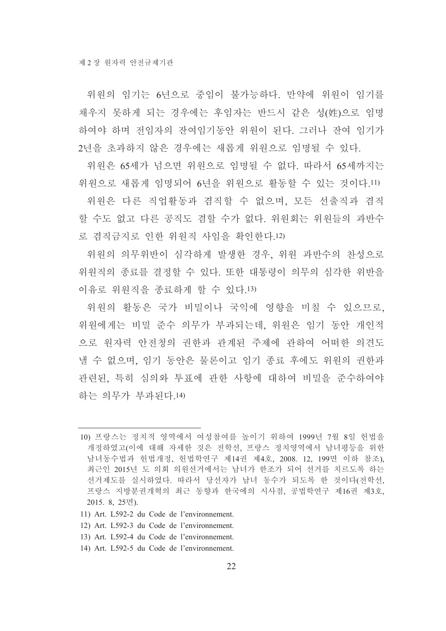위워의 임기는 6년으로 중임이 불가능하다. 만약에 위워이 임기를 채우지 못하게 되는 경우에는 후임자는 반드시 같은 성(姓)으로 임명 하여야 하며 전임자의 잔여임기동안 위원이 된다. 그러나 잔여 임기가 2년을 초과하지 않은 경우에는 새롭게 위원으로 임명될 수 있다.

위원은 65세가 넘으면 위워으로 임명될 수 없다. 따라서 65세까지는 위원으로 새롭게 임명되어 6년을 위원으로 활동할 수 있는 것이다.11)

위원은 다른 직업활동과 겸직할 수 없으며, 모든 선출직과 겸직 할 수도 없고 다른 공직도 겸할 수가 없다. 위원회는 위원들의 과반수 로 겸직금지로 이한 위워직 사임을 확인한다.12)

위원의 의무위반이 심각하게 발생한 경우, 위원 과반수의 찬성으로 위원직의 종료를 결정할 수 있다. 또한 대통령이 의무의 심각한 위반을 이유로 위원직을 종료하게 할 수 있다.13)

위워의 활동은 국가 비밀이나 국익에 영향을 미칠 수 있으므로. 위원에게는 비밀 준수 의무가 부과되는데, 위원은 임기 동안 개인적 으로 워자력 안전청의 권한과 관계된 주제에 관하여 어떠한 의견도 낼 수 없으며, 임기 동안은 물론이고 임기 종료 후에도 위원의 권한과 관련된, 특히 심의와 투표에 관한 사항에 대하여 비밀을 준수하여야 하는 의무가 부과된다.14)

- 11) Art. L592-2 du Code de l'environnement.
- 12) Art. L592-3 du Code de l'environnement.
- 13) Art. L592-4 du Code de l'environnement.
- 14) Art. L592-5 du Code de l'environnement.

<sup>10)</sup> 프랑스는 정치적 영역에서 여성참여를 높이기 위하여 1999년 7월 8일 헌법을 개정하였고(이에 대해 자세한 것은 전학선, 프랑스 정치영역에서 남녀평등을 위한 남녀동수법과 헌법개정, 헌법학연구 제14권 제4호, 2008. 12, 199면 이하 참조), 최근인 2015년 도 의회 의원선거에서는 남녀가 한조가 되어 선거를 치르도록 하는 선거제도를 실시하였다. 따라서 당선자가 남녀 동수가 되도록 한 것이다(전학선, 프랑스 지방분권개혁의 최근 동향과 한국에의 시사점, 공법학연구 제16권 제3호, 2015. 8, 25면).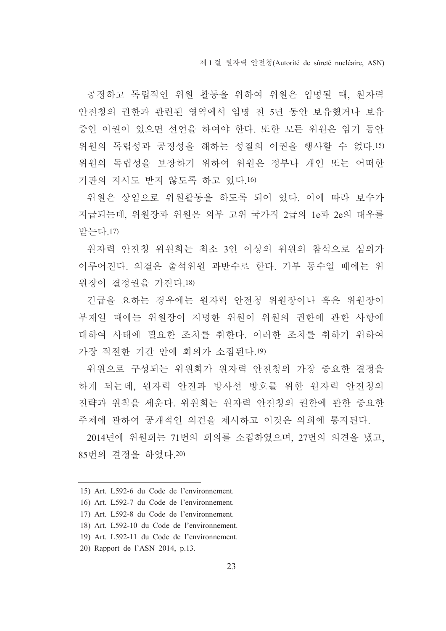공정하고 독립적인 위원 활동을 위하여 위원은 임명될 때, 원자력 안전청의 권한과 관련된 영역에서 임명 전 5년 동안 보유했거나 보유 중인 이권이 있으면 선언을 하여야 한다. 또한 모든 위원은 임기 동안 위원의 독립성과 공정성을 해하는 성질의 이권을 행사할 수 없다.15) 위원의 독립성을 보장하기 위하여 위원은 정부나 개인 또는 어떠한 기관의 지시도 받지 않도록 하고 있다.16)

위원은 상임으로 위원활동을 하도록 되어 있다. 이에 따라 보수가 지급되는데, 위원장과 위원은 외부 고위 국가직 2급의 1e과 2e의 대우를 받는다.17)

원자력 안전청 위원회는 최소 3인 이상의 위원의 참석으로 심의가 이루어진다. 의결은 출석위워 과반수로 한다. 가부 동수일 때에는 위 워장이 결정권을 가진다 18)

기급을 요하는 경우에는 원자력 안전청 위원장이나 혹은 위원장이 부재일 때에는 위워장이 지명한 위원이 위원의 권한에 관한 사항에 대하여 사태에 필요한 조치를 취한다. 이러한 조치를 취하기 위하여 가장 적절한 기간 안에 회의가 소집된다.19)

위원으로 구성되는 위원회가 원자력 안전청의 가장 중요한 결정을 하게 되는데, 워자력 안전과 방사선 방호를 위한 워자력 안전청의 전략과 원칙을 세운다. 위원회는 원자력 안전청의 권한에 관한 중요한 주제에 관하여 공개적인 의견을 제시하고 이것은 의회에 통지된다.

2014년에 위원회는 71번의 회의를 소집하였으며, 27번의 의견을 냈고, 85번의 결정을 하였다.20)

<sup>15)</sup> Art. L592-6 du Code de l'environnement.

<sup>16)</sup> Art. L592-7 du Code de l'environnement.

<sup>17)</sup> Art. L592-8 du Code de l'environnement.

<sup>18)</sup> Art. L592-10 du Code de l'environnement.

<sup>19)</sup> Art. L592-11 du Code de l'environnement.

<sup>20)</sup> Rapport de l'ASN 2014, p.13.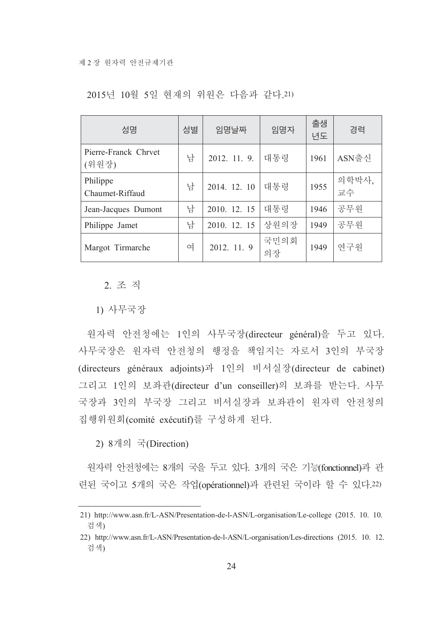| 성명                            | 성별 | 임명날짜         | 임명자        | 출생<br>년도 | 경력          |
|-------------------------------|----|--------------|------------|----------|-------------|
| Pierre-Franck Chrvet<br>(위원장) | 남  | 2012. 11. 9. | 대통령        | 1961     | ASN출신       |
| Philippe<br>Chaumet-Riffaud   | 남  | 2014. 12. 10 | 대통령        | 1955     | 의학박사,<br>교수 |
| Jean-Jacques Dumont           | 남  | 2010. 12. 15 | 대통령        | 1946     | 공무원         |
| Philippe Jamet                | 남  | 2010. 12. 15 | 상원의장       | 1949     | 공무원         |
| Margot Tirmarche              | 여  | 2012. 11. 9  | 국민의회<br>의장 | 1949     | 연구원         |

2015년 10월 5일 현재의 위원은 다음과 같다.21)

2. 조 직

1) 사무국장

원자력 안전청에는 1인의 사무국장(directeur général)을 두고 있다. 사무국장은 원자력 안전청의 행정을 책임지는 자로서 3인의 부국장 (directeurs généraux adjoints)과 1인의 비서실장(directeur de cabinet) 그리고 1인의 보좌관(directeur d'un conseiller)의 보좌를 받는다. 사무 국장과 3인의 부국장 그리고 비서실장과 보좌관이 원자력 안전청의 집행위원회(comité exécutif)를 구성하게 된다.

2) 8개의 국(Direction)

원자력 안전청에는 8개의 국을 두고 있다. 3개의 국은 기능(fonctionnel)과 관 련된 국이고 5개의 국은 작업(opérationnel)과 관련된 국이라 할 수 있다.22)

<sup>21)</sup> http://www.asn.fr/L-ASN/Presentation-de-l-ASN/L-organisation/Le-college (2015, 10, 10, 검색)

<sup>22)</sup> http://www.asn.fr/L-ASN/Presentation-de-l-ASN/L-organisation/Les-directions (2015. 10. 12. 검색)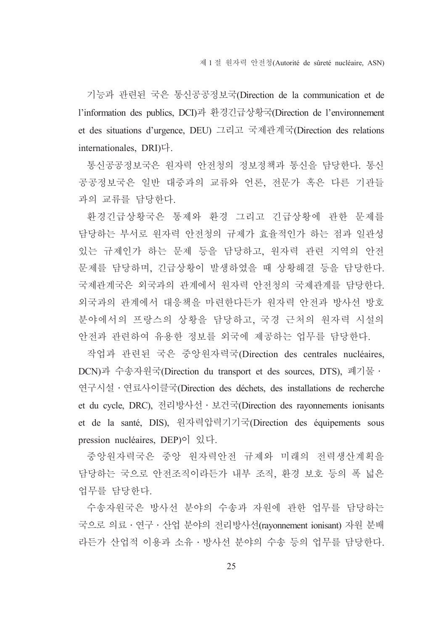기능과 관련된 국은 통신공공정보국(Direction de la communication et de l'information des publics, DCI)과 환경긴급상황국(Direction de l'environnement et des situations d'urgence, DEU) 그리고 국제관계국(Direction des relations internationales, DRI)다.

통신공공정보국은 원자력 안전청의 정보정책과 통신을 담당한다. 통신 공공정보국은 일반 대중과의 교류와 언론, 전문가 혹은 다른 기관들 과의 교류를 담당한다.

환경긴급상황국은 통제와 환경 그리고 긴급상황에 관한 문제를 담당하는 부서로 원자력 안전청의 규제가 효율적인가 하는 점과 일관성 있는 규제인가 하는 문제 등을 담당하고, 원자력 관련 지역의 안전 문제를 담당하며, 긴급상황이 발생하였을 때 상황해결 등을 담당한다. 국제관계국은 외국과의 관계에서 원자력 안전청의 국제관계를 담당한다. 외국과의 관계에서 대응책을 마련한다든가 원자력 안전과 방사선 방호 분야에서의 프랑스의 상황을 담당하고, 국경 근처의 원자력 시설의 안전과 관련하여 유용한 정보를 외국에 제공하는 업무를 담당한다.

작업과 관련된 국은 중앙원자력국(Direction des centrales nucléaires, DCN)과 수송자원국(Direction du transport et des sources, DTS), 폐기물 · 연구시설 · 연료사이클국(Direction des déchets, des installations de recherche et du cycle, DRC), 전리방사선 · 보건국(Direction des rayonnements ionisants et de la santé, DIS), 원자력압력기기국(Direction des équipements sous pression nucléaires. DEP $\rho$  $\circ$   $\beta$ ,  $\forall$ .

중앙원자력국은 중앙 원자력안전 규제와 미래의 전력생산계획을 담당하는 국으로 안전조직이라든가 내부 조직, 환경 보호 등의 폭 넓은 업무를 담당한다.

수송자원국은 방사선 분야의 수송과 자원에 관한 업무를 담당하는 국으로 의료 · 연구 · 산업 분야의 전리방사선(ravonnement ionisant) 자원 분배 라든가 산업적 이용과 소유 · 방사선 분야의 수송 등의 업무를 담당한다.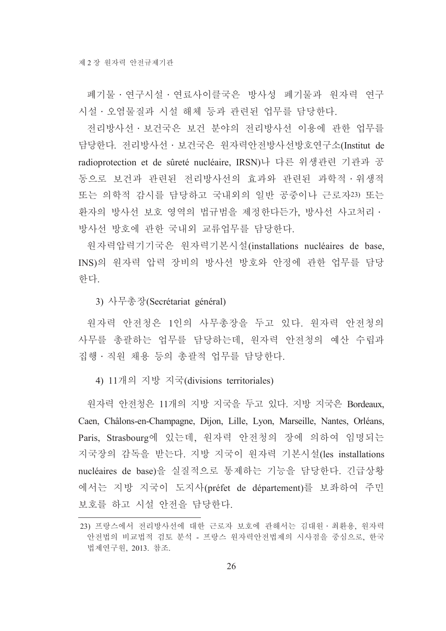폐기물 · 연구시설 · 연료사이클국은 방사성 폐기물과 원자력 연구 시설 · 오염물질과 시설 해체 등과 관련된 업무를 담당한다.

전리방사선 • 보건국은 보건 분야의 전리방사선 이용에 관한 업무를 담당한다. 전리방사선 · 보건국은 원자력안전방사선방호연구소(Institut de radioprotection et de sûreté nucléaire. IRSN)나 다른 위생관련 기관과 공 동으로 보건과 관련된 전리방사선의 효과와 관련된 과학적 · 위생적 또는 의학적 감시를 담당하고 국내외의 일반 공중이나 근로자23) 또는 환자의 방사선 보호 영역의 법규범을 제정한다든가, 방사선 사고처리 • 방사선 방호에 관한 국내외 교류업무를 담당한다.

원자력압력기기국은 원자력기본시설(installations nucléaires de base, INS)의 원자력 압력 장비의 방사선 방호와 안정에 관한 업무를 담당 한다.

3) 사무총장(Secrétariat général)

원자력 안전청은 1인의 사무총장을 두고 있다. 원자력 안전청의 사무를 총괄하는 업무를 담당하는데, 원자력 안전청의 예산 수립과 집행 · 직원 채용 등의 총괄적 업무를 담당한다.

4) 11개의 지방 지국(divisions territoriales)

원자력 안전청은 11개의 지방 지국을 두고 있다. 지방 지국은 Bordeaux. Caen, Châlons-en-Champagne, Dijon, Lille, Lyon, Marseille, Nantes, Orléans, Paris, Strasbourg에 있는데, 원자력 안전청의 장에 의하여 임명되는 지국장의 감독을 받는다. 지방 지국이 원자력 기본시설(les installations nucléaires de base)을 실질적으로 통제하는 기능을 담당한다. 긴급상황 에서는 지방 지국이 도지사(préfet de département)를 보좌하여 주민 보호를 하고 시설 안전을 담당한다.

<sup>23)</sup> 프랑스에서 전리방사선에 대한 근로자 보호에 관해서는 김대원 · 최환용, 원자력 안전법의 비교법적 검토 분석 - 프랑스 원자력안전법제의 시사점을 중심으로, 한국 법제연구원, 2013. 참조.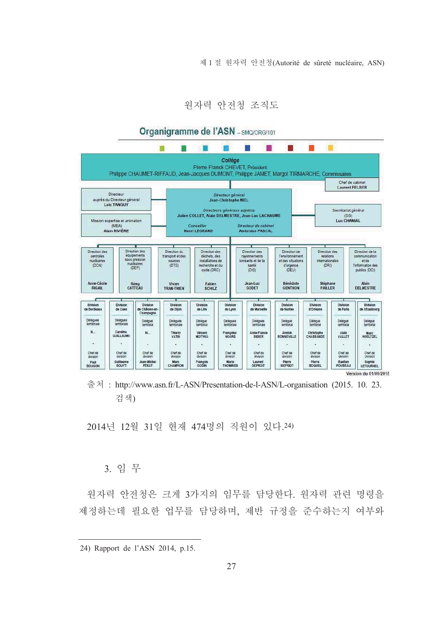제 1 절 워자력 안전청(Autorité de sûreté nucléaire, ASN)

워자력 안전청 조직도



출처: http://www.asn.fr/L-ASN/Presentation-de-l-ASN/L-organisation (2015. 10. 23. 검색)

2014년 12월 31일 현재 474명의 직원이 있다.24)

#### 3. 임무

원자력 안전청은 크게 3가지의 임무를 담당한다. 원자력 관련 명령을 제정하는데 필요한 업무를 담당하며, 제반 규정을 준수하는지 여부와

<sup>24)</sup> Rapport de l'ASN 2014, p.15.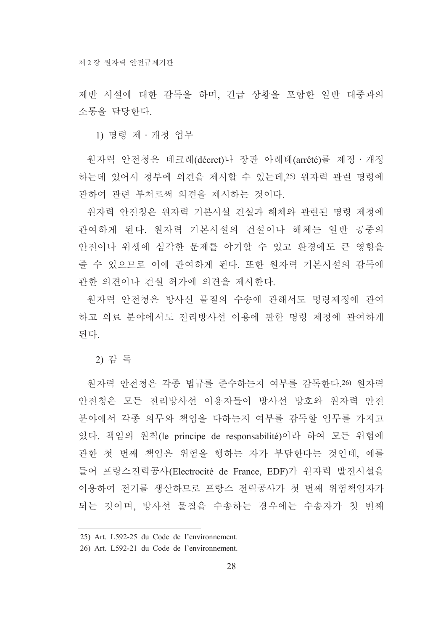제반 시설에 대한 감독을 하며, 긴급 상황을 포함한 일반 대중과의 소통을 담당한다.

1) 명령 제 · 개정 업무

워자력 안전청은 데크레(décret)나 장관 아레테(arrêté)를 제정·개정 하는데 있어서 정부에 의견을 제시할 수 있는데,25) 원자력 관련 명령에 관하여 관련 부처로써 의견을 제시하는 것이다.

원자력 안전청은 원자력 기본시설 건설과 해체와 관련된 명령 제정에 관여하게 된다. 원자력 기본시설의 건설이나 해체는 일반 공중의 안전이나 위생에 심각한 문제를 야기할 수 있고 환경에도 큰 영향을 줄 수 있으므로 이에 관여하게 된다. 또한 원자력 기본시설의 감독에 관한 의견이나 건설 허가에 의견을 제시한다.

워자력 안전청은 방사선 물질의 수송에 관해서도 명령제정에 관여 하고 의료 분야에서도 전리방사선 이용에 관한 명령 제정에 관여하게 되다.

2) 감 독

워자력 안전청은 각종 법규를 준수하는지 여부를 감독한다.26) 워자력 안전청은 모든 전리방사선 이용자들이 방사선 방호와 워자력 안전 분야에서 각종 의무와 책임을 다하는지 여부를 감독할 임무를 가지고 있다. 책임의 원칙(le principe de responsabilité)이라 하여 모든 위험에 관한 첫 번째 책임은 위험을 행하는 자가 부담한다는 것인데, 예를 들어 프랑스전력공사(Electrocité de France, EDF)가 원자력 발전시설을 이용하여 전기를 생산하므로 프랑스 전력공사가 첫 번째 위험책임자가 되는 것이며, 방사선 물질을 수송하는 경우에는 수송자가 첫 번째

<sup>25)</sup> Art. L592-25 du Code de l'environnement.

<sup>26)</sup> Art. L592-21 du Code de l'environnement.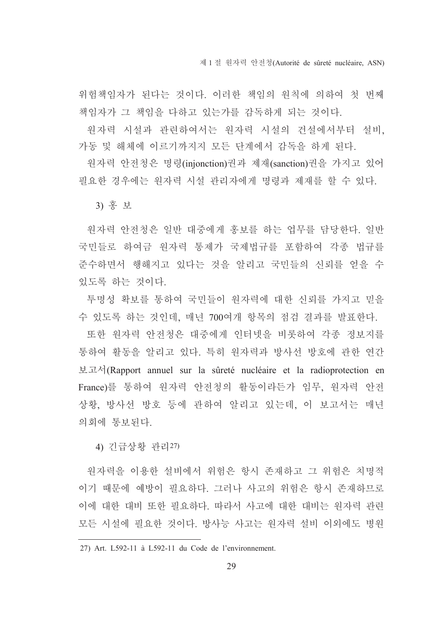제 1 절 워자력 안전청(Autorité de sûreté nucléaire, ASN)

위험책임자가 된다는 것이다. 이러한 책임의 워칙에 의하여 첫 번째 책임자가 그 책임을 다하고 있는가를 감독하게 되는 것이다.

워자력 시설과 관련하여서는 워자력 시설의 거설에서부터 설비 가동 및 해체에 이르기까지지 모든 단계에서 감독을 하게 된다.

원자력 안전청은 명령(injonction)권과 제재(sanction)권을 가지고 있어 필요한 경우에는 원자력 시설 관리자에게 명령과 제재를 할 수 있다.

3) 홍 보

원자력 안전청은 일반 대중에게 홍보를 하는 업무를 담당한다. 일반 국민들로 하여금 워자력 통제가 국제법규를 포함하여 각종 법규를 준수하면서 행해지고 있다는 것을 알리고 국민들의 신뢰를 얻을 수 있도록 하는 것이다.

투명성 확보를 통하여 국민들이 원자력에 대한 신뢰를 가지고 믿을 수 있도록 하는 것인데, 매년 700여개 항목의 점검 결과를 발표한다.

또한 원자력 안전청은 대중에게 인터넷을 비롯하여 각종 정보지를 통하여 활동을 알리고 있다. 특히 워자력과 방사선 방호에 관한 연간 보고서(Rapport annuel sur la sûreté nucléaire et la radioprotection en France)를 통하여 원자력 안전청의 활동이라든가 임무, 원자력 안전 상황, 방사선 방호 등에 관하여 알리고 있는데, 이 보고서는 매년 의회에 통보되다.

4) 긴급상황 관리27)

원자력을 이용한 설비에서 위험은 항시 존재하고 그 위험은 치명적 이기 때문에 예방이 필요하다. 그러나 사고의 위험은 항시 존재하므로 이에 대한 대비 또한 필요하다. 따라서 사고에 대한 대비는 워자력 과려 모든 시설에 필요한 것이다. 방사능 사고는 워자력 설비 이외에도 병워

<sup>27)</sup> Art. L592-11 à L592-11 du Code de l'environnement.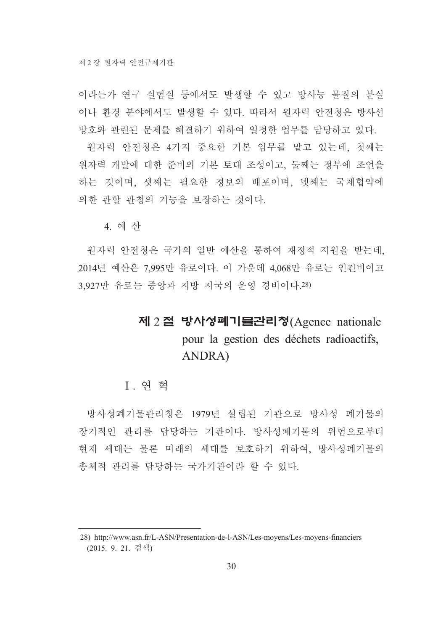이라든가 여구 실험실 등에서도 발생할 수 있고 방사능 물질의 분실 이나 화경 부야에서도 발생할 수 있다. 따라서 워자력 안전청은 방사선 방호와 관련된 문제를 해결하기 위하여 일정한 업무를 담당하고 있다.

원자력 안전청은 4가지 중요한 기본 임무를 맡고 있는데, 첫째는 원자력 개발에 대한 준비의 기본 토대 조성이고, 둘째는 정부에 조언을 하는 것이며, 셋째는 필요한 정보의 배포이며, 넷째는 국제협약에 의한 관할 관청의 기능을 보장하는 것이다.

4 예 사

원자력 안전청은 국가의 일반 예산을 통하여 재정적 지원을 받는데. 2014년 예산은 7.995만 유로이다. 이 가운데 4.068만 유로는 인건비이고 3 927만 유로는 중앙과 지방 지국의 운영 경비이다 28)

# 제 2절 방사성폐기물관리청(Agence nationale pour la gestion des déchets radioactifs, ANDRA)

#### Ⅰ 여 혁

방사성폐기물관리청은 1979년 설립된 기관으로 방사성 폐기물의 장기적인 관리를 담당하는 기관이다. 방사성폐기물의 위험으로부터 현재 세대는 물론 미래의 세대를 보호하기 위하여, 방사성폐기물의 총체적 관리를 담당하는 국가기관이라 할 수 있다.

<sup>28)</sup> http://www.asn.fr/L-ASN/Presentation-de-l-ASN/Les-moyens/Les-moyens-financiers (2015. 9. 21. 검색)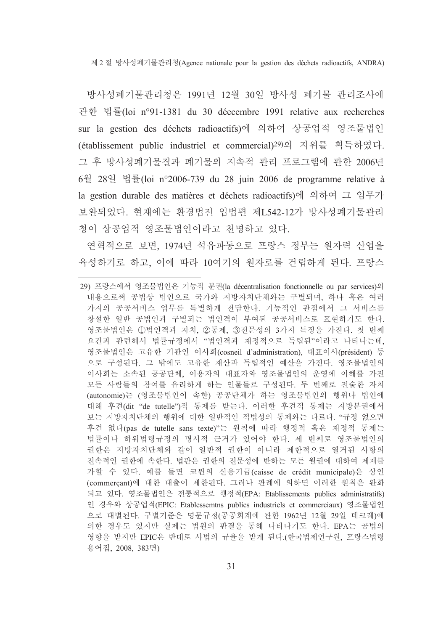제 2 절 방사성폐기물관리청(Agence nationale pour la gestion des déchets radioactifs, ANDRA)

방사성폐기물관리청은 1991년 12월 30일 방사성 폐기물 관리조사에 관한 법률(loi n°91-1381 du 30 déecembre 1991 relative aux recherches sur la gestion des déchets radioactifs)에 의하여 상공업적 영조물법인 (établissement public industriel et commercial)<sup>29)</sup>의 지위를 획득하였다. 그 후 방사성폐기물질과 폐기물의 지속적 관리 프로그램에 관한 2006년 6월 28일 법률(loi n°2006-739 du 28 juin 2006 de programme relative à la gestion durable des matières et déchets radioactifs)에 의하여 그 임무가 보완되었다. 현재에는 환경법전 입법편 제L542-12가 방사성폐기물관리 청이 상공업적 영조물법인이라고 천명하고 있다.

연혁적으로 보면, 1974년 석유파동으로 프랑스 정부는 워자력 산업을 육성하기로 하고, 이에 따라 10여기의 원자로를 건립하게 된다. 프랑스

<sup>29)</sup> 프랑스에서 영조물법인은 기능적 분권(la décentralisation fonctionnelle ou par services)의 내용으로써 공법상 법인으로 국가와 지방자치단체와는 구별되며, 하나 혹은 여러 가지의 공공서비스 업무를 특별하게 전담한다. 기능적인 관점에서 그 서비스를 창설한 일반 공법인과 구별되는 법인격이 부여된 공공서비스로 표현하기도 한다. 영조물법인은 ①법인격과 자치, ②통제, ③전문성의 3가지 특징을 가진다. 첫 번째 요건과 관련해서 법률규정에서 "법인격과 재정적으로 독립된"이라고 나타나는데, 영조물법인은 고유한 기관인 이사회(cosneil d'administration), 대표이사(président) 등 으로 구성된다. 그 밖에도 고유한 재산과 독립적인 예산을 가진다. 영조물법인의 이사회는 소속된 공공단체, 이용자의 대표자와 영조물법인의 운영에 이해를 가진 모든 사람들의 참여를 유리하게 하는 인물들로 구성된다. 두 번째로 전술한 자치 (autonomie)는 (영조물법인이 속한) 공공단체가 하는 영조물법인의 행위나 법인에 대해 후견(dit "de tutelle")적 통제를 받는다. 이러한 후견적 통제는 지방분권에서 보는 지방자치단체의 행위에 대한 일반적인 적법성의 통제와는 다르다. "규정 없으면 후견 없다(pas de tutelle sans texte)"는 원칙에 따라 행정적 혹은 재정적 통제는 법률이나 하위법령규정의 명시적 근거가 있어야 한다. 세 번째로 영조물법인의 권한은 지방자치단체와 같이 일반적 권한이 아니라 제한적으로 열거된 사항의 전속적인 권한에 속한다. 법관은 권한의 전문성에 반하는 모든 월권에 대하여 제재를 가할 수 있다. 예를 들면 코뮌의 신용기금(caisse de crédit municipale)은 상인 (commercant)에 대한 대출이 제한된다. 그러나 판례에 의하면 이러한 원칙은 완화 되고 있다. 영조물법인은 전통적으로 행정적(EPA: Etablissements publics administratifs) 인 경우와 상공업적(EPIC: Etablessemtns publics industriels et commerciaux) 영조물법인 으로 대별된다. 구별기준은 명문규정(공공회계에 관한 1962년 12월 29일 데크레)에 의한 경우도 있지만 실제는 법원의 판결을 통해 나타나기도 한다. EPA는 공법의 영향을 받지만 EPIC은 반대로 사법의 규율을 받게 된다.(한국법제연구원, 프랑스법령 용어집, 2008, 383면)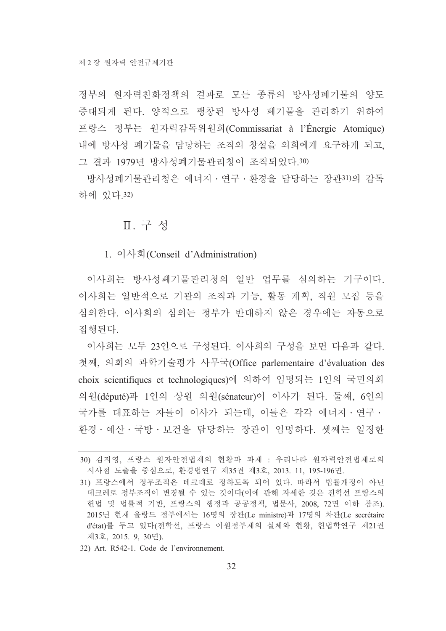정부의 원자력친화정책의 결과로 모든 종류의 방사성폐기물의 양도 증대되게 된다. 양적으로 팽창된 방사성 폐기물을 관리하기 위하여 프랑스 정부는 원자력감독위원회(Commissariat à l'Énergie Atomique) 내에 방사성 폐기물을 담당하는 조직의 창설을 의회에게 요구하게 되고, 그 결과 1979년 방사성폐기물관리청이 조직되었다.30)

방사성폐기물관리청은 에너지 · 연구 · 환경을 담당하는 장관31)의 감독 하에 있다 32)

### Ⅱ. 구성

1. 이사회(Conseil d'Administration)

이사회는 방사성폐기물관리청의 일반 업무를 심의하는 기구이다. 이사회는 일반적으로 기관의 조직과 기능, 활동 계획, 직원 모집 등을 심의한다. 이사회의 심의는 정부가 반대하지 않은 경우에는 자동으로 집행된다.

이사회는 모두 23인으로 구성된다. 이사회의 구성을 보면 다음과 같다. 첫째. 의회의 과학기술평가 사무국(Office parlementaire d'évaluation des choix scientifiques et technologiques)에 의하여 임명되는 1인의 국민의회 의원(député)과 1인의 상원 의원(sénateur)이 이사가 된다. 둘째, 6인의 국가를 대표하는 자들이 이사가 되는데, 이들은 각각 에너지·연구· 화경 · 예산 · 국방 · 보건을 담당하는 장관이 임명하다. 셋째는 일정한

32) Art. R542-1. Code de l'environnement.

<sup>30)</sup> 김지영, 프랑스 워자안전법제의 현황과 과제 : 우리나라 워자력안전법제로의 시사점 도출을 중심으로, 환경법연구 제35권 제3호, 2013. 11, 195-196면.

<sup>31)</sup> 프랑스에서 정부조직은 데크레로 정하도록 되어 있다. 따라서 법률개정이 아닌 데크레로 정부조직이 변경될 수 있는 것이다(이에 관해 자세한 것은 전학선 프랑스의 헌법 및 법률적 기반, 프랑스의 행정과 공공정책, 법문사, 2008, 72면 이하 참조). 2015년 현재 올랑드 정부에서는 16명의 장관(Le ministre)과 17명의 차관(Le secrétaire d'état)를 두고 있다(전학선, 프랑스 이원정부제의 실체와 현황, 헌법학연구 제21권 제3호, 2015. 9, 30면).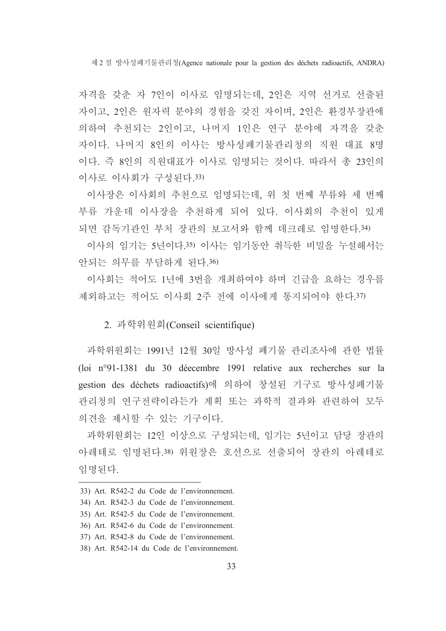제2절 방사성폐기물관리청(Agence nationale pour la gestion des déchets radioactifs. ANDRA)

자격을 갖춘 자 7인이 이사로 임명되는데, 2인은 지역 선거로 선출된 자이고, 2인은 원자력 분야의 경험을 갖진 자이며, 2인은 환경부장관에 의하여 추천되는 2인이고, 나머지 1인은 연구 부야에 자격을 갖춘 자이다. 나머지 8인의 이사는 방사성폐기물관리청의 직원 대표 8명 이다. 즉 8인의 직원대표가 이사로 임명되는 것이다. 따라서 총 23인의 이사로 이사회가 구성된다.33)

이사장은 이사회의 추천으로 임명되는데, 위 첫 번째 부류와 세 번째 부류 가운데 이사장을 추천하게 되어 있다. 이사회의 추천이 있게 되면 감독기관인 부처 장관의 보고서와 함께 데크레로 임명한다.34)

이사의 임기는 5년이다.35) 이사는 임기동안 취득한 비밀을 누설해서는 안되는 의무를 부담하게 된다.36)

이사회는 적어도 1년에 3번을 개최하여야 하며 긴급을 요하는 경우를 제외하고는 적어도 이사회 2주 전에 이사에게 통지되어야 한다.37)

2. 과학위원회(Conseil scientifique)

과학위원회는 1991년 12월 30일 방사성 폐기물 관리조사에 관한 법률 (loi nº91-1381 du 30 déecembre 1991 relative aux recherches sur la gestion des déchets radioactifs)에 의하여 창설된 기구로 방사성폐기물 관리청의 연구전략이라든가 계획 또는 과학적 결과와 관련하여 모두 의견을 제시할 수 있는 기구이다.

과학위원회는 12인 이상으로 구성되는데, 임기는 5년이고 담당 장관의 아레테로 임명된다.38) 위워장은 호선으로 선출되어 장관의 아레테로 임명된다.

<sup>33)</sup> Art. R542-2 du Code de l'environnement.

<sup>34)</sup> Art. R542-3 du Code de l'environnement.

<sup>35)</sup> Art. R542-5 du Code de l'environnement.

<sup>36)</sup> Art. R542-6 du Code de l'environnement.

<sup>37)</sup> Art. R542-8 du Code de l'environnement.

<sup>38)</sup> Art. R542-14 du Code de l'environnement.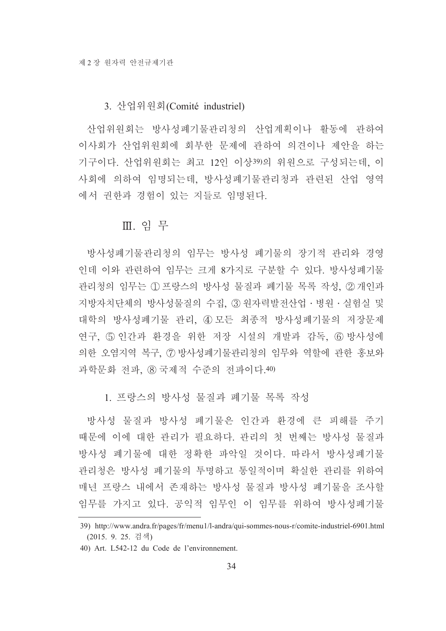#### 3. 산업위원회(Comité industriel)

산업위워회는 방사성폐기물관리청의 산업계획이나 활동에 관하여 이사회가 산업위원회에 회부한 문제에 관하여 의견이나 제안을 하는 기구이다. 산업위워회는 최고 12인 이상39)의 위워으로 구성되는데. 이 사회에 의하여 임명되는데, 방사성폐기물관리청과 관련된 산업 영역 에서 권한과 경험이 있는 지들로 임명된다.

#### Ⅲ. 임무

방사성폐기물관리청의 임무는 방사성 폐기물의 장기적 관리와 경영 인데 이와 관련하여 임무는 크게 8가지로 구분할 수 있다. 방사성폐기물 관리청의 임무는 ① 프랑스의 방사성 물질과 폐기물 목록 작성, ② 개인과 지방자치단체의 방사성물질의 수집, ③ 원자력발전산업·병원·실험실 및 대학의 방사성폐기물 관리, 40 모든 최종적 방사성폐기물의 저장문제 연구, ⑤ 인간과 환경을 위한 저장 시설의 개발과 감독, ⑥ 방사성에 의한 오염지역 복구, 7 방사성폐기물관리청의 임무와 역할에 관한 홍보와 과학문화 전파. ⑧ 국제적 수주의 전파이다. 40)

1. 프랑스의 방사성 물질과 폐기물 목록 작성

방사성 물질과 방사성 폐기물은 인간과 환경에 큰 피해를 주기 때문에 이에 대한 관리가 필요하다. 관리의 첫 번째는 방사성 물질과 방사성 폐기물에 대한 정확한 파악일 것이다. 따라서 방사성폐기물 관리청은 방사성 폐기물의 투명하고 통일적이며 확실한 관리를 위하여 매년 프랑스 내에서 존재하는 방사성 물질과 방사성 폐기물을 조사할 임무를 가지고 있다. 공익적 임무인 이 임무를 위하여 방사성폐기물

<sup>39)</sup> http://www.andra.fr/pages/fr/menu1/l-andra/qui-sommes-nous-r/comite-industriel-6901.html (2015. 9. 25. 검색)

<sup>40)</sup> Art. L542-12 du Code de l'environnement.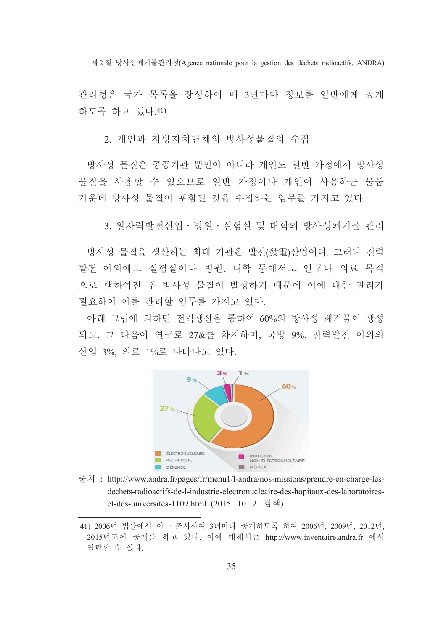제2절 방사성폐기물관리청(Agence nationale pour la gestion des déchets radioactifs. ANDRA)

관리청은 국가 목록을 장성하여 매 3년마다 정보를 일반에게 공개 하도록 하고 있다. 41)

2. 개인과 지방자치단체의 방사성물질의 수집

방사성 물질은 공공기관 뿐만이 아니라 개인도 일반 가정에서 방사성 물질을 사용할 수 있으므로 일반 가정이나 개인이 사용하는 물품 가운데 방사성 물질이 포함된 것을 수집하는 임무를 가지고 있다.

3. 워자력발전산업 · 병워 · 실험실 및 대학의 방사성폐기물 관리

방사성 물질을 생산하는 최대 기관은 발전(發電)산업이다. 그러나 전력 발전 이외에도 실험실이나 병원, 대학 등에서도 여구나 의료 목적 으로 행하여진 후 방사성 물질이 발생하기 때문에 이에 대한 관리가 필요하여 이를 관리할 임무를 가지고 있다.

아래 그림에 의하면 전력생산을 통하여 60%의 방사성 폐기물이 생성 되고, 그 다음이 연구로 27&를 차지하며, 국방 9%, 전력발전 이외의 산업 3%. 의료 1%로 나타나고 있다.



출처 : http://www.andra.fr/pages/fr/menu1/l-andra/nos-missions/prendre-en-charge-lesdechets-radioactifs-de-l-industrie-electronucleaire-des-hopitaux-des-laboratoireset-des-universites-1109.html (2015. 10. 2. 검색)

<sup>41) 2006</sup>년 법률에서 이를 조사사여 3녀마다 공개하도록 하여 2006년, 2009년, 2012년, 2015년도에 공개를 하고 있다. 이에 대해서는 http://www.inventaire.andra.fr 에서 열람할 수 있다.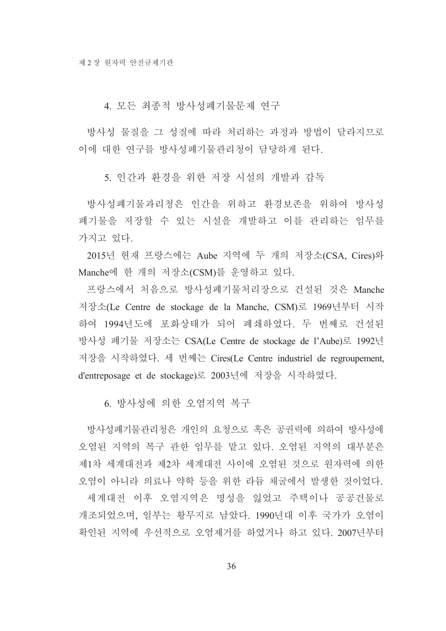4. 모든 최종적 방사성폐기물문제 연구

방사성 물질을 그 성질에 따라 처리하는 과정과 방법이 달라지므로 이에 대한 연구를 방사성폐기물관리청이 담당하게 된다.

5. 인간과 화경을 위한 저장 시설의 개발과 감독

방사성폐기물과리청은 인간을 위하고 환경보존을 위하여 방사성 폐기물을 저장할 수 있는 시설을 개발하고 이를 관리하는 임무를 가지고 있다.

2015년 현재 프랑스에는 Aube 지역에 두 개의 저장소(CSA, Cires)와 Manche에 한 개의 저장소(CSM)를 운영하고 있다.

프랑스에서 처음으로 방사성폐기물처리장으로 건설된 것은 Manche 저장소(Le Centre de stockage de la Manche, CSM)로 1969년부터 시작 하여 1994년도에 포화상태가 되어 폐쇄하였다. 두 번째로 건설된 방사성 폐기물 저장소는 CSA(Le Centre de stockage de l'Aube)로 1992년 저장을 시작하였다. 세 번째는 Cires(Le Centre industriel de regroupement, d'entreposage et de stockage)로 2003년에 저장을 시작하였다.

6. 방사성에 의한 오염지역 복구

방사성폐기물관리청은 개인의 요청으로 혹은 공권력에 의하여 방사성에 오염된 지역의 복구 관한 임무를 맡고 있다. 오염된 지역의 대부분은 제1차 세계대전과 제2차 세계대전 사이에 오염된 것으로 워자력에 의한 오염이 아니라 의료나 약학 등을 위한 라듐 채굴에서 발생한 것이었다. 세계대전 이후 오염지역은 명성을 잃었고 주택이나 공공건물로 개조되었으며, 일부는 황무지로 남았다. 1990년대 이후 국가가 오염이 확인된 지역에 우선적으로 오염제거를 하였거나 하고 있다. 2007년부터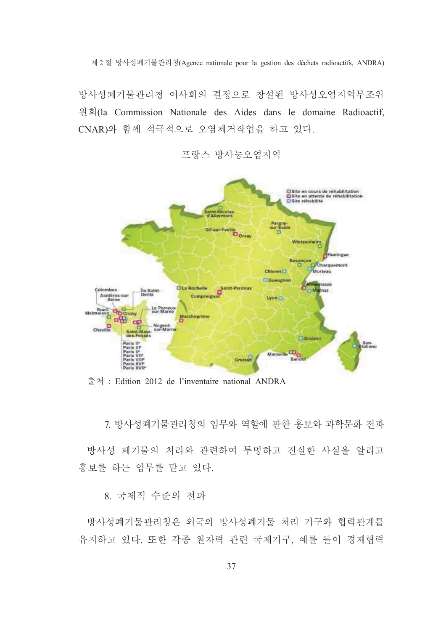제2절 방사성폐기물관리청(Agence nationale pour la gestion des déchets radioactifs. ANDRA)

방사성폐기물관리청 이사회의 결정으로 창설된 방사성오염지역부조위 원회(la Commission Nationale des Aides dans le domaine Radioactif, CNAR)와 함께 적극적으로 오염제거작업을 하고 있다.



프랑스 방사능오염지역

출처 : Edition 2012 de l'inventaire national ANDRA

7 방사성폐기물관리청의 임무와 역할에 관한 홍보와 과학무화 전파

방사성 폐기물의 처리와 관련하여 투명하고 진실한 사실을 알리고 홍보를 하는 임무를 맡고 있다.

8. 국제적 수주의 전파

방사성폐기물관리청은 외국의 방사성폐기물 처리 기구와 협력관계를 유지하고 있다. 또한 각종 원자력 관련 국제기구, 예를 들어 경제협력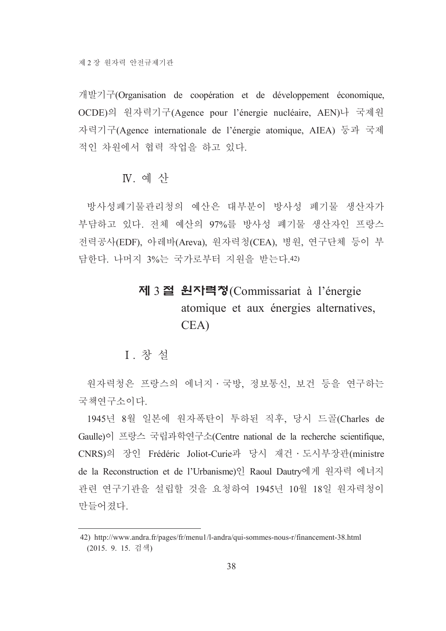개발기구(Organisation de coopération et de développement économique, OCDE)의 원자력기구(Agence pour l'énergie nucléaire, AEN)나 국제원 자력기구(Agence internationale de l'énergie atomique, AIEA) 등과 국제 적인 차원에서 협력 작업을 하고 있다.

# $N$  예산

방사성폐기물관리청의 예산은 대부분이 방사성 폐기물 생산자가 부담하고 있다. 전체 예산의 97%를 방사성 폐기물 생산자인 프랑스 전력공사(EDF), 아레바(Areva), 원자력청(CEA), 병원, 연구단체 등이 부 담한다. 나머지 3%는 국가로부터 지원을 받는다.42)

# 제 3 절 원자력청(Commissariat à l'énergie atomique et aux énergies alternatives, CEA)

## I 창설

워자력청은 프랑스의 에너지 · 국방, 정보통신, 보건 등을 연구하는 국책연구소이다.

1945년 8월 일본에 워자폭탄이 투하된 직후, 당시 드골(Charles de Gaulle)이 프랑스 국립과학연구소(Centre national de la recherche scientifique, CNRS)의 장인 Frédéric Joliot-Curie과 당시 재건 · 도시부장관(ministre de la Reconstruction et de l'Urbanisme)인 Raoul Dautry에게 원자력 에너지 관련 연구기관을 설립할 것을 요청하여 1945년 10월 18일 원자력청이 만들어졌다.

<sup>42)</sup> http://www.andra.fr/pages/fr/menu1/l-andra/qui-sommes-nous-r/financement-38.html (2015. 9. 15. 검색)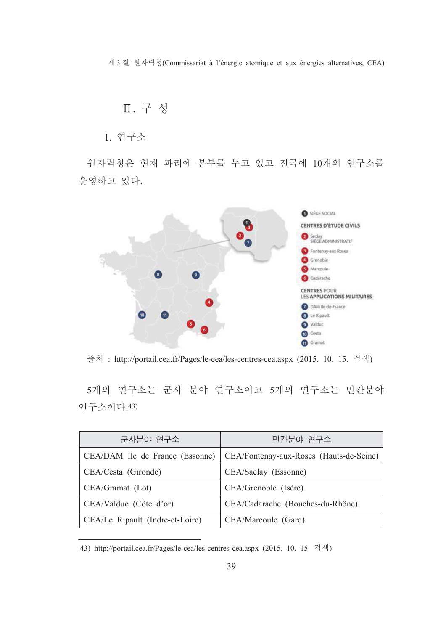제 3 절 원자력청(Commissariat à l'énergie atomique et aux énergies alternatives, CEA)

# Ⅱ. 구성

## 1. 연구소

원자력청은 현재 파리에 본부를 두고 있고 전국에 10개의 연구소를 운영하고 있다.



출처 : http://portail.cea.fr/Pages/le-cea/les-centres-cea.aspx (2015. 10. 15. 검색)

5개의 연구소는 군사 분야 연구소이고 5개의 연구소는 민간분야 연구소이다. 43)

| 군사분야 연구소                        | 민간분야 연구소                                |
|---------------------------------|-----------------------------------------|
| CEA/DAM Ile de France (Essonne) | CEA/Fontenay-aux-Roses (Hauts-de-Seine) |
| CEA/Cesta (Gironde)             | CEA/Saclay (Essonne)                    |
| CEA/Gramat (Lot)                | CEA/Grenoble (Isère)                    |
| CEA/Valduc (Côte d'or)          | CEA/Cadarache (Bouches-du-Rhône)        |
| CEA/Le Ripault (Indre-et-Loire) | CEA/Marcoule (Gard)                     |

<sup>43)</sup> http://portail.cea.fr/Pages/le-cea/les-centres-cea.aspx (2015. 10. 15. 검색)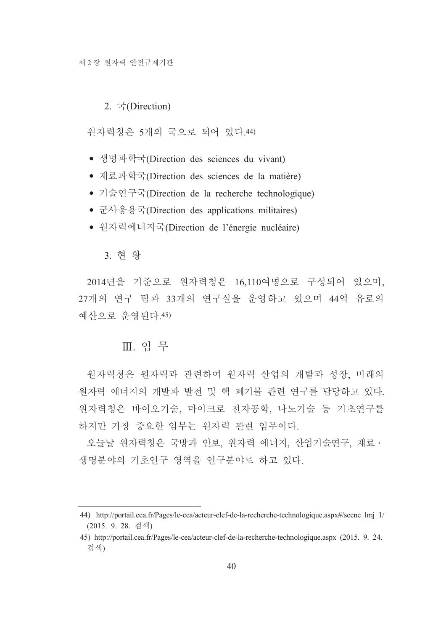#### 2.  $\vec{\tau}$ (Direction)

워자력청은 5개의 국으로 되어 있다.44)

- 생명과학국(Direction des sciences du vivant)
- 재료과학국(Direction des sciences de la matière)
- 기술연구국(Direction de la recherche technologique)
- 군사응용국(Direction des applications militaires)
- 원자력에너지국(Direction de l'énergie nucléaire)

#### 3. 현황

2014년을 기준으로 원자력청은 16,110여명으로 구성되어 있으며, 27개의 연구 팀과 33개의 연구실을 운영하고 있으며 44억 유로의 예산으로 운영된다. 45)

### Ⅲ. 임무

원자력청은 원자력과 관련하여 원자력 산업의 개발과 성장, 미래의 워자력 에너지의 개발과 발전 및 핵 폐기물 관련 여구를 담당하고 있다. 원자력청은 바이오기술, 마이크로 전자공학, 나노기술 등 기초연구를 하지만 가장 중요한 임무는 워자력 과련 임무이다.

오늘날 원자력청은 국방과 안보, 원자력 에너지, 산업기술연구, 재료 · 생명분야의 기초여구 영역을 여구분야로 하고 있다.

<sup>44)</sup> http://portail.cea.fr/Pages/le-cea/acteur-clef-de-la-recherche-technologique.aspx#/scene lmj 1/ (2015. 9. 28. 검색)

<sup>45)</sup> http://portail.cea.fr/Pages/le-cea/acteur-clef-de-la-recherche-technologique.aspx (2015. 9. 24. 검색)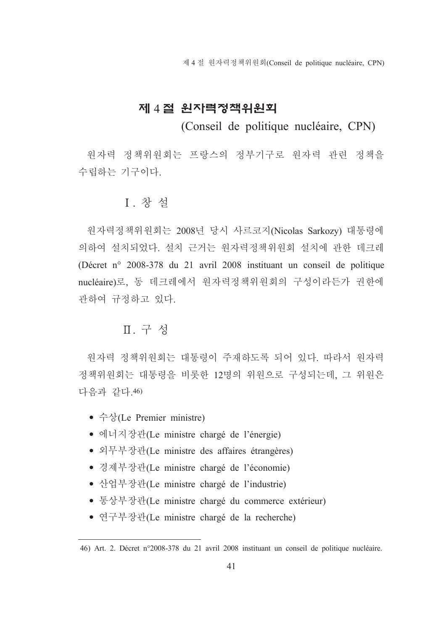제 4 절 워자력정책위워회(Conseil de politique nucléaire, CPN)

# 제 4절 원자력정책위원회

(Conseil de politique nucléaire, CPN)

원자력 정책위원회는 프랑스의 정부기구로 원자력 관련 정책을 수립하는 기구이다.

## I. 창설

원자력정책위원회는 2008년 당시 사르코지(Nicolas Sarkozy) 대통령에 의하여 설치되었다. 설치 근거는 워자력정책위원회 설치에 관한 데크레 (Décret n° 2008-378 du 21 avril 2008 instituant un conseil de politique nucléaire)로, 동 데크레에서 원자력정책위원회의 구성이라든가 권한에 관하여 규정하고 있다.

# Ⅱ. 구성

워자력 정책위워회는 대통령이 주재하도록 되어 있다. 따라서 워자력 정책위워회는 대통령을 비롯한 12명의 위워으로 구성되는데 그 위워은 다음과 같다. 46)

- $\hat{\div}\hat{\div}$ (Le Premier ministre)
- 에너지장관(Le ministre chargé de l'énergie)
- 외무부장관(Le ministre des affaires étrangères)
- 경제부장관(Le ministre chargé de l'économie)
- 산업부장관(Le ministre chargé de l'industrie)
- 통상부장관(Le ministre chargé du commerce extérieur)
- 연구부장관(Le ministre chargé de la recherche)

<sup>46)</sup> Art. 2. Décret n°2008-378 du 21 avril 2008 instituant un conseil de politique nucléaire.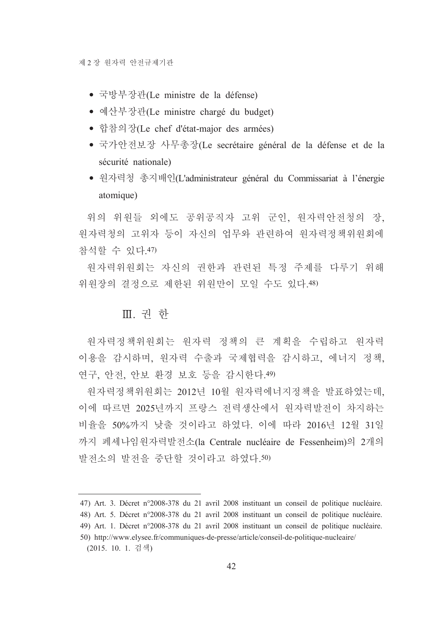- 국방부장관(Le ministre de la défense)
- 예산부장관(Le ministre chargé du budget)
- 합참의장(Le chef d'état-major des armées)
- 국가안전보장 사무총장(Le secrétaire général de la défense et de la sécurité nationale)
- 워자력청 총지배인(L'administrateur général du Commissariat à l'énergie atomique)

위의 위원들 외에도 공위공직자 고위 군인, 원자력안전청의 장, 워자력청의 고위자 등이 자신의 업무와 관련하여 워자력정책위워회에 참석할 수 있다 47)

원자력위원회는 자신의 권한과 관련된 특정 주제를 다루기 위해 위워장의 결정으로 제한된 위원만이 모일 수도 있다.48)

# Ⅲ. 권 한

원자력정책위원회는 원자력 정책의 큰 계획을 수립하고 워자력 이용을 감시하며, 원자력 수출과 국제협력을 감시하고, 에너지 정책, 연구, 안전, 안보 환경 보호 등을 감시한다.49)

워자력정책위원회는 2012년 10월 원자력에너지정책을 발표하였는데, 이에 따르면 2025년까지 프랑스 전력생산에서 원자력발전이 차지하는 비율을 50%까지 낮출 것이라고 하였다. 이에 따라 2016년 12월 31일 까지 페세나임워자력발전소(la Centrale nucléaire de Fessenheim)의 2개의 발전소의 발전을 중단할 것이라고 하였다.50)

<sup>47)</sup> Art. 3. Décret n°2008-378 du 21 avril 2008 instituant un conseil de politique nucléaire.

<sup>48)</sup> Art. 5. Décret n°2008-378 du 21 avril 2008 instituant un conseil de politique nucléaire.

<sup>49)</sup> Art. 1. Décret n°2008-378 du 21 avril 2008 instituant un conseil de politique nucléaire.

<sup>50)</sup> http://www.elysee.fr/communiques-de-presse/article/conseil-de-politique-nucleaire/ (2015. 10. 1. 검색)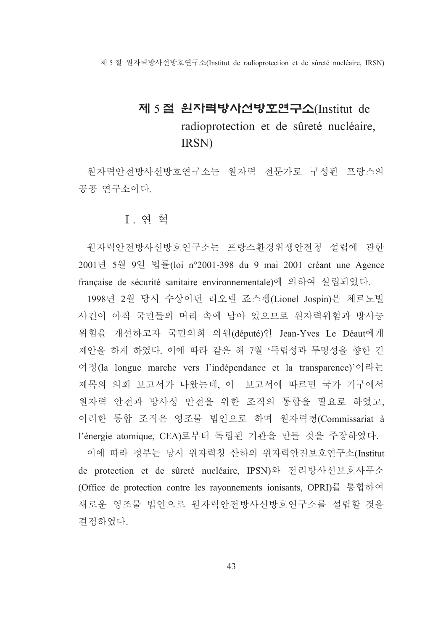제 5 절 워자력방사선방호연구소(Institut de radioprotection et de sûreté nucléaire, IRSN)

# 제 5절 원자력방사선방호연구소(Institut de radioprotection et de sûreté nucléaire, IRSN)

원자력안전방사선방호연구소는 원자력 전문가로 구성된 프랑스의 공공 연구소이다.

### Ⅰ 연 혁

원자력안전방사선방호연구소는 프랑스환경위생안전청 설립에 관한 2001년 5월 9일 법률(loi n°2001-398 du 9 mai 2001 créant une Agence française de sécurité sanitaire environnementale)에 의하여 설립되었다.

1998년 2월 당시 수상이던 리오넬 죠스펭(Lionel Jospin)은 체르노빌 사건이 아직 국민들의 머리 속에 남아 있으므로 원자력위험과 방사능 위험을 개선하고자 국민의회 의원(député)인 Jean-Yves Le Déaut에게 제안을 하게 하였다. 이에 따라 같은 해 7월 '독립성과 투명성을 향한 긴 여정(la longue marche vers l'indépendance et la transparence)'이라는 제목의 의회 보고서가 나왔는데, 이 보고서에 따르면 국가 기구에서 원자력 안전과 방사성 안전을 위한 조직의 통합을 필요로 하였고, 이러한 통합 조직은 영조물 법인으로 하며 원자력청(Commissariat à l'énergie atomique, CEA)로부터 독립된 기관을 만들 것을 주장하였다.

이에 따라 정부는 당시 원자력청 산하의 원자력안전보호연구소(Institut de protection et de sûreté nucléaire, IPSN)와 전리방사선보호사무소 (Office de protection contre les rayonnements ionisants, OPRI)를 통합하여 새로운 영조물 법인으로 원자력안전방사선방호연구소를 설립할 것을 결정하였다.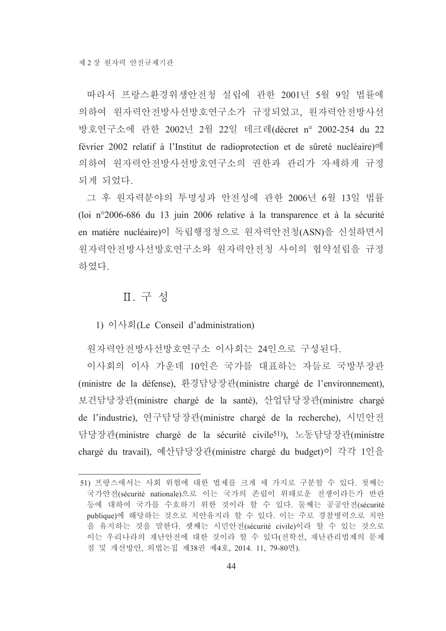따라서 프랑스환경위생안전청 설립에 관한 2001년 5월 9일 법률에 의하여 원자력안전방사선방호연구소가 규정되었고, 원자력안전방사선 방호연구소에 관한 2002년 2월 22일 데크레(décret n° 2002-254 du 22 février 2002 relatif à l'Institut de radioprotection et de sûreté nucléaire) el 의하여 원자력안전방사선방호연구소의 권한과 관리가 자세하게 규정 되게 되었다.

그 후 원자력분야의 투명성과 안전성에 관한 2006년 6월 13일 법률 (loi n°2006-686 du 13 juin 2006 relative à la transparence et à la sécurité en matière nucléaire)이 독립행정청으로 원자력안전청(ASN)을 신설하면서 원자력안전방사선방호연구소와 원자력안전청 사이의 협약설립을 규정 하였다.

# Ⅱ. 구성

1) 이사회(Le Conseil d'administration)

워자력안전방사선방호연구소 이사회는 24인으로 구성되다.

이사회의 이사 가운데 10인은 국가를 대표하는 자들로 국방부장관 (ministre de la défense), 환경담당장관(ministre chargé de l'environnement), 보건담당장관(ministre chargé de la santé), 산업담당장관(ministre chargé de l'industrie), 연구담당장관(ministre chargé de la recherche), 시민안전 담당장관(ministre chargé de la sécurité civile51)), 노동담당장관(ministre chargé du travail), 예산담당장관(ministre chargé du budget)이 각각 1인을

<sup>51)</sup> 프랑스에서는 사회 위험에 대한 법제를 크게 세 가지로 구분할 수 있다. 첫째는 국가안전(sécurité nationale)으로 이는 국가의 존립이 위태로운 전쟁이라든가 반란 등에 대하여 국가를 수호하기 위한 것이라 할 수 있다. 둘째는 공공안전(sécurité publique)에 해당하는 것으로 치안유지라 할 수 있다. 이는 주로 경찰병력으로 치안 을 유지하는 것을 말한다. 셋째는 시민안전(sécurité civile)이라 할 수 있는 것으로 이는 우리나라의 재난안전에 대한 것이라 할 수 있다(전학선, 재난관리법제의 문제 점 및 개선방안, 외법논집 제38권 제4호, 2014. 11, 79-80면).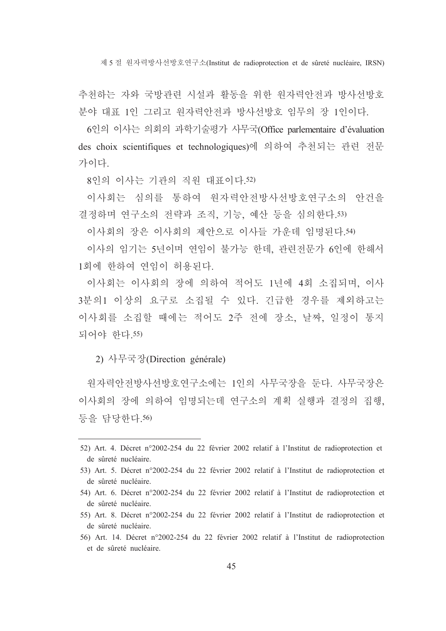제 5 절 워자력방사선방호연구소(Institut de radioprotection et de sûreté nucléaire, IRSN)

추천하는 자와 국방관련 시설과 활동을 위한 워자력안전과 방사선방호 분야 대표 1인 그리고 워자력안전과 방사선방호 임무의 장 1인이다.

6인의 이사는 의회의 과학기술평가 사무국(Office parlementaire d'évaluation des choix scientifiques et technologiques)에 의하여 추천되는 관련 전문 가이다

8인의 이사는 기관의 직원 대표이다. 52)

이사회는 심의를 통하여 워자력아저방사선방호여구소의 아거을 결정하며 연구소의 전략과 조직, 기능, 예산 등을 심의한다.53)

이사회의 장은 이사회의 제안으로 이사들 가운데 임명된다.54)

이사의 임기는 5년이며 연임이 불가능 한데, 관련전문가 6인에 한해서 1회에 한하여 연임이 허용된다.

이사회는 이사회의 장에 의하여 적어도 1년에 4회 소집되며 이사 3분의1 이상의 요구로 소집될 수 있다. 긴급한 경우를 제외하고는 이사회를 소집할 때에는 적어도 2주 전에 장소 날짜 일정이 통지 되어야 하다 55)

2) 사무국장(Direction générale)

워자력안전방사선방호연구소에는 1인의 사무국장을 두다. 사무국장은 이사회의 장에 의하여 임명되는데 연구소의 계획 실행과 결정의 집행, 등을 담당한다.56)

<sup>52)</sup> Art. 4. Décret n°2002-254 du 22 février 2002 relatif à l'Institut de radioprotection et de sûreté nucléaire.

<sup>53)</sup> Art. 5. Décret n°2002-254 du 22 février 2002 relatif à l'Institut de radioprotection et de sûreté nucléaire.

<sup>54)</sup> Art. 6. Décret n°2002-254 du 22 février 2002 relatif à l'Institut de radioprotection et de sûreté nucléaire.

<sup>55)</sup> Art. 8. Décret n°2002-254 du 22 février 2002 relatif à l'Institut de radioprotection et de sûreté nucléaire.

<sup>56)</sup> Art. 14. Décret n°2002-254 du 22 février 2002 relatif à l'Institut de radioprotection et de sûreté nucléaire.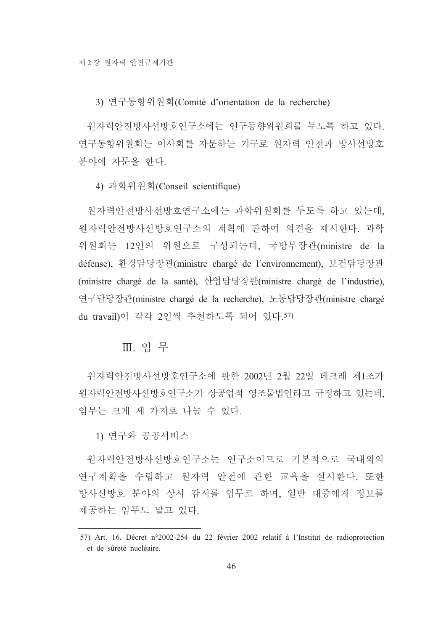3) 연구동향위원회(Comité d'orientation de la recherche)

원자력안전방사선방호연구소에는 연구동향위원회를 두도록 하고 있다. 연구동향위원회는 이사회를 자문하는 기구로 원자력 안전과 방사선방호 부야에 자문을 하다.

4) 과학위원회(Conseil scientifique)

원자력안전방사선방호연구소에는 과학위원회를 두도록 하고 있는데, 워자력안전방사선방호연구소의 계획에 관하여 의견을 제시한다. 과학 위원회는 12인의 위원으로 구성되는데, 국방부장관(ministre de la défense), 환경담당장관(ministre chargé de l'environnement), 보건담당장관 (ministre chargé de la santé), 산업담당장관(ministre chargé de l'industrie), 연구담당장관(ministre chargé de la recherche), 노동담당장관(ministre chargé du travail)이 각각 2인씩 추천하도록 되어 있다.57)

### Ⅲ. 임무

워자력안전방사선방호연구소에 관한 2002년 2월 22일 데크레 제1조가 원자력안전방사선방호연구소가 상공업적 영조물법인라고 규정하고 있는데, 임무는 크게 세 가지로 나눌 수 있다.

1) 연구와 공공서비스

워자력안전방사선방호연구소는 연구소이므로 기본적으로 국내외의 연구계획을 수립하고 원자력 안전에 관한 교육을 실시한다. 또한 방사선방호 분야의 상시 감시를 임무로 하며, 일반 대중에게 정보를 제공하는 임무도 맡고 있다.

<sup>57)</sup> Art. 16. Décret n°2002-254 du 22 février 2002 relatif à l'Institut de radioprotection et de sûreté nucléaire.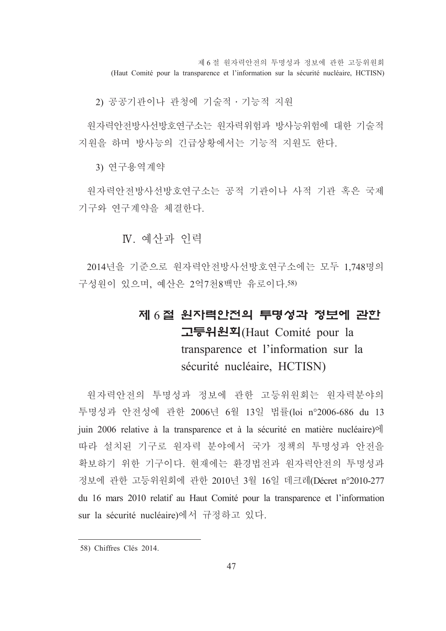제 6 절 워자력안전의 투명성과 정보에 관한 고등위워회 (Haut Comité pour la transparence et l'information sur la sécurité nucléaire, HCTISN)

2) 공공기관이나 관청에 기술적 · 기능적 지워

워자력안전방사선방호연구소는 워자력위험과 방사능위험에 대한 기술적 지원을 하며 방사능의 긴급상황에서는 기능적 지원도 한다.

3) 연구용역계약

워자력안전방사선방호연구소는 공적 기관이나 사적 기관 혹은 국제 기구와 연구계약을 체결한다.

N 예사과 이력

2014년을 기준으로 워자력안전방사선방호연구소에는 모두 1.748명의 구성워이 있으며, 예산은 2억7천8백만 유로이다.58)

# 제 6절 워지력안전의 투명성과 정보에 관한 고등위원획(Haut Comité pour la transparence et l'information sur la sécurité nucléaire, HCTISN)

원자력안전의 투명성과 정보에 관한 고등위원회는 원자력분야의 투명성과 안전성에 관한 2006년 6월 13일 법률(loi n°2006-686 du 13 juin 2006 relative à la transparence et à la sécurité en matière nucléaire) el 따라 설치된 기구로 원자력 분야에서 국가 정책의 투명성과 안전을 확보하기 위한 기구이다. 현재에는 환경법전과 원자력안전의 투명성과 정보에 관한 고등위원회에 관한 2010년 3월 16일 데크레(Décret n°2010-277 du 16 mars 2010 relatif au Haut Comité pour la transparence et l'information sur la sécurité nucléaire)에서 규정하고 있다.

<sup>58)</sup> Chiffres Clés 2014.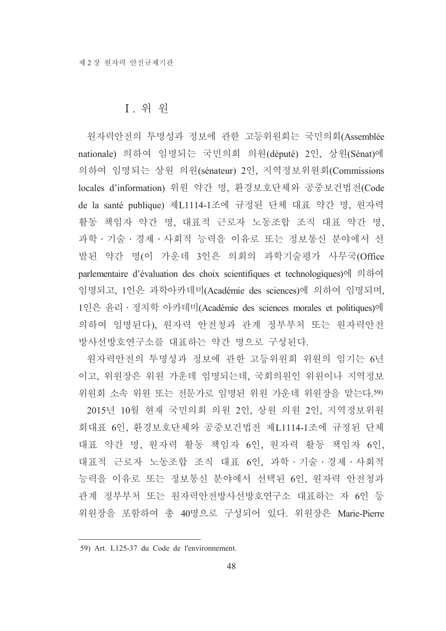## I. 위 원

워자력안전의 투명성과 정보에 관한 고등위워회는 국민의회(Assemblée nationale) 의하여 임명되는 국민의회 의원(député) 2인, 상원(Sénat)에 의하여 임명되는 상원 의원(sénateur) 2인, 지역정보위원회(Commissions locales d'information) 위원 약간 명, 환경보호단체와 공중보건법전(Code de la santé publique) 제L1114-1조에 규정된 단체 대표 약간 명, 원자력 활동 책임자 약간 명, 대표적 근로자 노동조합 조직 대표 약간 명, 과학 · 기술 · 경제 · 사회적 능력을 이유로 또는 정보통신 분야에서 선 발된 약간 명(이 가운데 3인은 의회의 과학기술평가 사무국(Office parlementaire d'évaluation des choix scientifiques et technologiques)에 의하여 임명되고, 1인은 과학아카데미(Académie des sciences)에 의하여 임명되며, 1인은 윤리 · 정치학 아카데미(Académie des sciences morales et politiques)에 의하여 임명된다), 원자력 안전청과 관계 정부부처 또는 원자력안전 방사선방호연구소를 대표하는 약간 명으로 구성된다.

원자력안전의 투명성과 정보에 관한 고등위원회 위원의 임기는 6년 이고, 위원장은 위원 가운데 임명되는데, 국회의원인 위원이나 지역정보 위원회 소속 위원 또는 전문가로 임명된 위원 가운데 위원장을 맡는다.59) 2015년 10월 현재 국민의회 의원 2인, 상원 의원 2인, 지역정보위원 회대표 6인, 환경보호단체와 공중보건법전 제L1114-1조에 규정된 단체 대표 약간 명, 원자력 활동 책임자 6인, 원자력 활동 책임자 6인, 대표적 근로자 노동조합 조직 대표 6인, 과학·기술·경제·사회적 능력을 이유로 또는 정보통신 분야에서 선택된 6인, 원자력 안전청과 관계 정부부처 또는 워자력안전방사선방호연구소 대표하는 자 6인 등 위원장을 포함하여 총 40명으로 구성되어 있다. 위원장은 Marie-Pierre

<sup>59)</sup> Art. L125-37 du Code de l'environnement.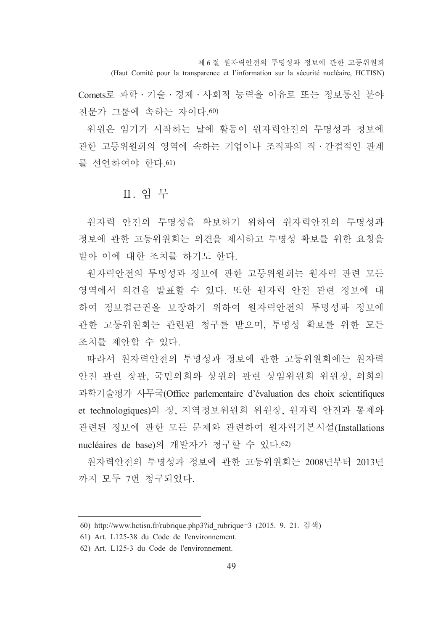제 6 절 워자력안전의 투명성과 정보에 관한 고등위워회 (Haut Comité pour la transparence et l'information sur la sécurité nucléaire, HCTISN)

Comets로 과학 · 기술 · 경제 · 사회적 능력을 이유로 또는 정보통신 분야 전문가 그룹에 속하는 자이다. 60)

위원은 임기가 시작하는 날에 활동이 워자력안전의 투명성과 정보에 관한 고등위원회의 영역에 속하는 기업이나 조직과의 직 · 간접적인 관계 를 서어하여야 하다 61)

# Ⅱ. 읶 무

워자력 안전의 투명성을 확보하기 위하여 워자력안전의 투명성과 정보에 과한 고등위워회는 의견을 제시하고 투명성 확보를 위한 요청을 받아 이에 대한 조치를 하기도 한다.

워자력안전의 투명성과 정보에 관한 고등위원회는 워자력 관련 모든 영역에서 의견을 발표할 수 있다. 또한 원자력 안전 관련 정보에 대 하여 정보접근권을 보장하기 위하여 워자력안전의 투명성과 정보에 관한 고등위원회는 관련된 청구를 받으며, 투명성 확보를 위한 모든 조치를 제아할 수 있다.

따라서 워자력안전의 투명성과 정보에 관한 고등위워회에는 워자력 안전 관련 장관, 국민의회와 상원의 관련 상임위원회 위원장, 의회의 과학기술평가 사무국(Office parlementaire d'évaluation des choix scientifiques et technologiques)의 장, 지역정보위원회 위원장, 원자력 안전과 통제와 관련된 정보에 관한 모든 문제와 관련하여 원자력기본시설(Installations nucléaires de base)의 개발자가 청구할 수 있다.62)

워자력안전의 투명성과 정보에 관한 고등위원회는 2008년부터 2013년 까지 모두 7번 청구되었다.

<sup>60)</sup> http://www.hctisn.fr/rubrique.php3?id rubrique=3 (2015. 9. 21. 검색)

<sup>61)</sup> Art. L125-38 du Code de l'environnement.

<sup>62)</sup> Art. L125-3 du Code de l'environnement.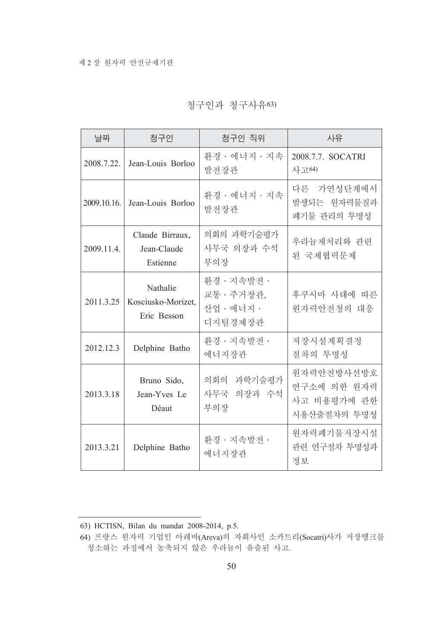|  | 청구인과 청구사유63) |
|--|--------------|
|--|--------------|

| 날짜          | 청구인                                           | 청구인 직위                                             | 사유                                                      |
|-------------|-----------------------------------------------|----------------------------------------------------|---------------------------------------------------------|
| 2008.7.22.  | Jean-Louis Borloo                             | 환경 · 에너지 · 지속<br>발전장관                              | 2008.7.7. SOCATRI<br>사고64)                              |
| 2009.10.16. | Jean-Louis Borloo                             | 환경 · 에너지 · 지속<br>발전장관                              | 다른 가연성단계에서<br>발생되는 원자력물질과<br>폐기물 관리의 투명성                |
| 2009.11.4.  | Claude Birraux,<br>Jean-Claude<br>Estienne    | 의회의 과학기술평가<br>사무국 의장과 수석<br>부의장                    | 우라늄재처리와 관련<br>된 국제협력문제                                  |
| 2011.3.25   | Nathalie<br>Kosciusko-Morizet,<br>Eric Besson | 환경 · 지속발전 ·<br>교통 · 주거장관,<br>사업 · 에너지 ·<br>디지털경제장관 | 후쿠시마 사태에 따른<br>원자력안전청의 대응                               |
| 2012.12.3   | Delphine Batho                                | 환경 · 지속발전 ·<br>에너지장관                               | 저장시설계획결정<br>절차의 투명성                                     |
| 2013.3.18   | Bruno Sido,<br>Jean-Yves Le<br>Déaut          | 의회의 과학기술평가<br>사무국 의장과 수석<br>부의장                    | 원자력안전방사선방호<br>연구소에 의한 원자력<br>사고 비용평가에 관한<br>시용산출절차의 투명성 |
| 2013.3.21   | Delphine Batho                                | 환경 · 지속발전 ·<br>에너지장관                               | 원자력폐기물저장시설<br>관련 연구절차 투명성과<br>정보                        |

<sup>63)</sup> HCTISN, Bilan du mandat 2008-2014, p.5.

<sup>64)</sup> 프랑스 원자력 기업인 아레바(Areva)의 자회사인 소카트리(Socatri)사가 저장탱크를 청소하는 과정에서 농축되지 않은 우라늄이 유출된 사고.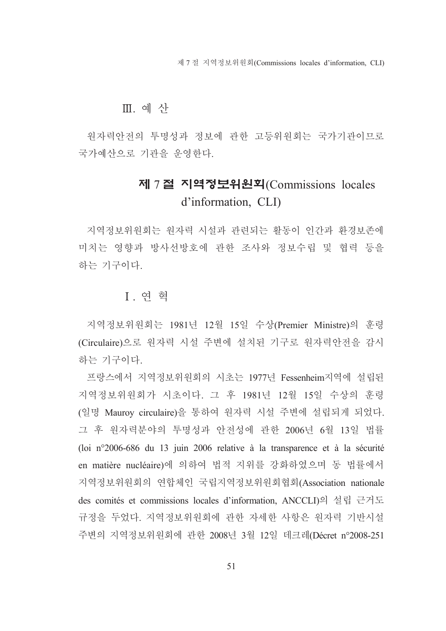제 7 절 지역정보위원회(Commissions locales d'information, CLI)

# Ⅲ. 예 산

원자력안전의 투명성과 정보에 관한 고등위워회는 국가기과이므로 국가예산으로 기관을 운영한다.

# 제 7절 지역정보위원회(Commissions locales d'information, CLI)

지역정보위원회는 원자력 시설과 관련되는 활동이 인간과 환경보존에 미치는 영향과 방사선방호에 관한 조사와 정보수립 및 협력 등을 하는 기구이다.

# **I** 여 혁

지역정보위원회는 1981년 12월 15일 수상(Premier Ministre)의 훈령 (Circulaire)으로 워자력 시설 주변에 설치된 기구로 워자력안전을 감시 하는 기구이다.

프랑스에서 지역정보위원회의 시초는 1977년 Fessenheim지역에 설립된 지역정보위워회가 시초이다. 그 후 1981년 12월 15일 수상의 훈령 (일명 Mauroy circulaire)을 통하여 원자력 시설 주변에 설립되게 되었다. 그 후 워자력분야의 투명성과 안전성에 관한 2006년 6월 13일 법률 (loi n°2006-686 du 13 juin 2006 relative à la transparence et à la sécurité en matière nucléaire)에 의하여 법적 지위를 강화하였으며 동 법률에서 지역정보위원회의 연합체인 국립지역정보위원회협회(Association nationale des comités et commissions locales d'information, ANCCLI)의 설립 근거도 규정을 두었다. 지역정보위원회에 관한 자세한 사항은 원자력 기반시설 주변의 지역정보위원회에 관한 2008년 3월 12일 데크레(Décret n°2008-251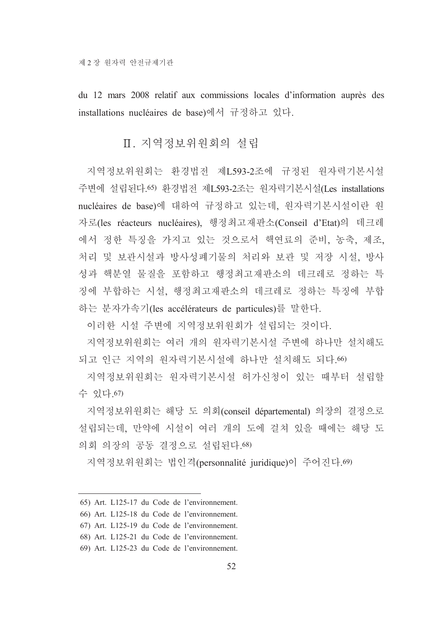du 12 mars 2008 relatif aux commissions locales d'information auprès des installations nucléaires de base)에서 규정하고 있다.

# Ⅱ. 지역정보위워회의 설립

지역정보위원회는 환경법전 제L593-2조에 규정된 원자력기본시설 주변에 설립된다.65) 환경법전 제L593-2조는 원자력기본시설(Les installations nucléaires de base)에 대하여 규정하고 있는데, 원자력기본시설이란 원 자로(les réacteurs nucléaires), 행정최고재판소(Conseil d'Etat)의 데크레 에서 정한 특징을 가지고 있는 것으로서 핵연료의 준비, 농축, 제조, 처리 및 보관시설과 방사성폐기물의 처리와 보관 및 저장 시설, 방사 성과 핵분열 물질을 포함하고 행정최고재판소의 데크레로 정하는 특 징에 부합하는 시설. 행정최고재판소의 데크레로 정하는 특징에 부합 하는 분자가속기(les accélérateurs de particules)를 말한다.

이러한 시설 주변에 지역정보위워회가 설립되는 것이다.

지역정보위워회는 여러 개의 워자력기본시설 주변에 하나만 설치해도 되고 인근 지역의 원자력기본시설에 하나만 설치해도 되다.66)

지역정보위원회는 원자력기본시설 허가신청이 있는 때부터 설립할 수 있다 67)

지역정보위원회는 해당 도 의회(conseil départemental) 의장의 결정으로 설립되는데, 만약에 시설이 여러 개의 도에 걸쳐 있을 때에는 해당 도 의회 의장의 공동 결정으로 설립된다. 68)

지역정보위워회는 법인격(personnalité juridique)이 주어진다.69)

- 65) Art. L125-17 du Code de l'environnement.
- 66) Art. L125-18 du Code de l'environnement.
- 67) Art. L125-19 du Code de l'environnement.
- 68) Art. L125-21 du Code de l'environnement.
- 69) Art. L125-23 du Code de l'environnement.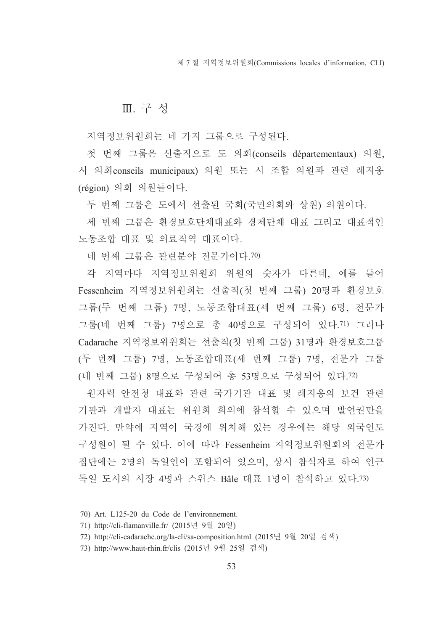제 7 절 지역정보위워회(Commissions locales d'information, CLI)

### Ⅲ. 구성

지역정보위워회는 네 가지 그룹으로 구성된다.

첫 번째 그룹은 선출직으로 도 의회(conseils départementaux) 의원. 시 의회conseils municipaux) 의원 또는 시 조합 의원과 관련 레지옹 (région) 의회 의원들이다.

두 번째 그룹은 도에서 선출된 국회(국민의회와 상원) 의원이다.

세 번째 그룹은 화경보호단체대표와 경제단체 대표 그리고 대표적인 노동조합 대표 및 의료직역 대표이다.

네 번째 그룹은 관련분야 전문가이다. 70)

각 지역마다 지역정보위원회 위원의 숫자가 다른데, 예를 들어 Fessenheim 지역정보위원회는 선출직(첫 번째 그룹) 20명과 환경보호 그룹(두 번째 그룹) 7명, 노동조합대표(세 번째 그룹) 6명, 전문가 그룹(네 번째 그룹) 7명으로 총 40명으로 구성되어 있다.71) 그러나 Cadarache 지역정보위원회는 선출직(첫 번째 그룹) 31명과 환경보호그룹 (두 번째 그룹) 7명, 노동조합대표(세 번째 그룹) 7명, 전문가 그룹 (네 번째 그룹) 8명으로 구성되어 총 53명으로 구성되어 있다.72)

원자력 안전청 대표와 관련 국가기관 대표 및 레지옹의 보건 관련 기관과 개발자 대표는 위원회 회의에 참석할 수 있으며 발언권만을 가진다. 만약에 지역이 국경에 위치해 있는 경우에는 해당 외국인도 구성원이 될 수 있다. 이에 따라 Fessenheim 지역정보위원회의 전문가 집단에는 2명의 독일인이 포함되어 있으며, 상시 참석자로 하여 인근 독일 도시의 시장 4명과 스위스 Bâle 대표 1명이 참석하고 있다.73)

<sup>70)</sup> Art. L125-20 du Code de l'environnement.

<sup>71)</sup> http://cli-flamanville.fr/ (2015년 9월 20일)

<sup>72)</sup> http://cli-cadarache.org/la-cli/sa-composition.html (2015년 9월 20일 검색)

<sup>73)</sup> http://www.haut-rhin.fr/clis (2015년 9월 25일 검색)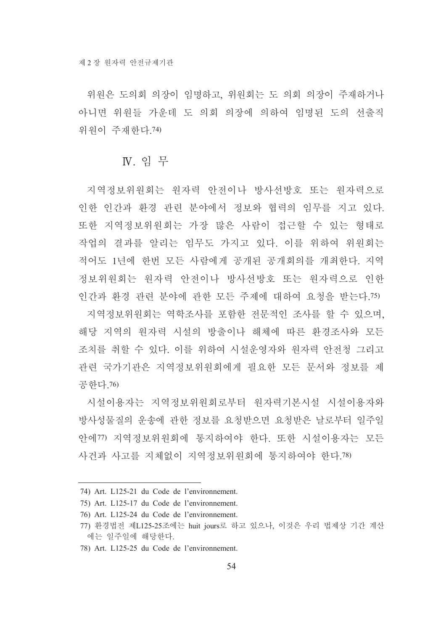위워은 도의회 의장이 임명하고 위워회는 도 의회 의장이 주재하거나 아니면 위워들 가운데 도 의회 의장에 의하여 임명된 도의 선출직 위워이 주재하다 74)

# **N**. 읶 무

지역정보위원회는 원자력 안전이나 방사선방호 또는 원자력으로 인한 인간과 환경 관련 분야에서 정보와 협력의 임무를 지고 있다. 또한 지역정보위워회는 가장 많은 사람이 접근할 수 있는 형태로 작업의 결과를 알리는 임무도 가지고 있다. 이를 위하여 위원회는 적어도 1년에 한번 모든 사람에게 공개된 공개회의를 개최한다. 지역 정보위워회는 워자력 안전이나 방사선방호 또는 워자력으로 인한 인간과 환경 관련 분야에 관한 모든 주제에 대하여 요청을 받는다.75)

지역정보위원회는 역학조사를 포함한 전문적인 조사를 할 수 있으며, 해당 지역의 워자력 시설의 방출이나 해체에 따른 화경조사와 모든 조치를 취할 수 있다. 이를 위하여 시설우영자와 워자력 안전청 그리고 관련 국가기관은 지역정보위워회에게 필요한 모든 무서와 정보를 제 공한다.76)

시설이용자는 지역정보위원회로부터 원자력기본시설 시설이용자와 방사성물질의 운송에 관한 정보를 요청받으면 요청받은 날로부터 일주일 안에77) 지역정보위원회에 통지하여야 한다. 또한 시설이용자는 모든 사건과 사고를 지체없이 지역정보위워회에 통지하여야 한다.78)

<sup>74)</sup> Art. L125-21 du Code de l'environnement.

<sup>75)</sup> Art. L125-17 du Code de l'environnement.

<sup>76)</sup> Art. L125-24 du Code de l'environnement.

<sup>77)</sup> 환경법전 제L125-25조에는 huit jours로 하고 있으나, 이것은 우리 법제상 기간 계산 에는 일주일에 해당한다.

<sup>78)</sup> Art. L125-25 du Code de l'environnement.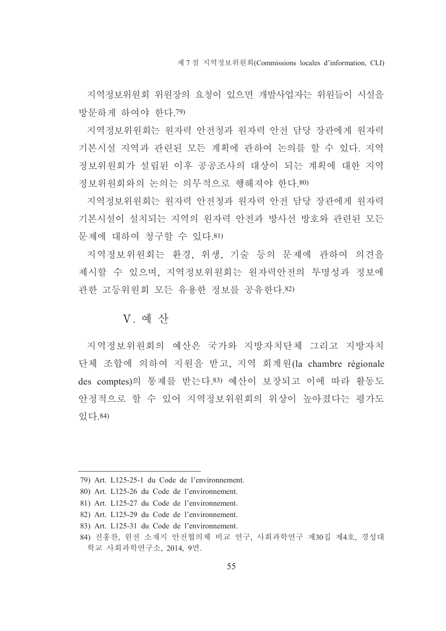지역정보위워회 위워장의 요청이 있으면 개발사업자는 위워들이 시설을 방문하게 하여야 한다. 79)

지역정보위원회는 원자력 안전청과 원자력 안전 담당 장관에게 원자력 기본시설 지역과 관련된 모든 계획에 관하여 논의를 할 수 있다. 지역 정보위워회가 설립된 이후 공공조사의 대상이 되는 계획에 대한 지역 정보위원회와의 논의는 의무적으로 행해져야 한다.80)

지역정보위워회는 워자력 아저청과 워자력 아저 담당 장관에게 워자력 기본시설이 설치되는 지역의 워자력 안전과 방사선 방호와 관련된 모든 문제에 대하여 청구할 수 있다.81)

지역정보위원회는 환경, 위생, 기술 등의 문제에 관하여 의견을 제시할 수 있으며, 지역정보위원회는 원자력안전의 투명성과 정보에 관한 고등위워회 모든 유용한 정보를 공유한다.82)

### V. 예 사

지역정보위원회의 예산은 국가와 지방자치단체 그리고 지방자치 단체 조합에 의하여 지원을 받고, 지역 회계원(la chambre régionale des comptes)의 통제를 받는다.83) 예산이 보장되고 이에 따라 활동도 안정적으로 할 수 있어 지역정보위워회의 위상이 높아졌다는 평가도 있다.84)

<sup>79)</sup> Art. L125-25-1 du Code de l'environnement.

<sup>80)</sup> Art. L125-26 du Code de l'environnement.

<sup>81)</sup> Art. L125-27 du Code de l'environnement.

<sup>82)</sup> Art. L125-29 du Code de l'environnement.

<sup>83)</sup> Art. L125-31 du Code de l'environnement.

<sup>84)</sup> 전홍찬, 원전 소재지 안전협의체 비교 연구, 사회과학연구 제30집 제4호, 경성대 학교 사회과학연구소, 2014, 9면.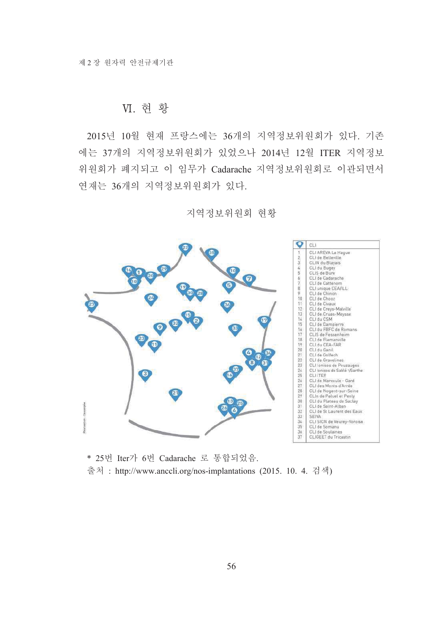### VI. 현 황

2015년 10월 현재 프랑스에는 36개의 지역정보위원회가 있다. 기존 에는 37개의 지역정보위원회가 있었으나 2014년 12월 ITER 지역정보 위원회가 폐지되고 이 임무가 Cadarache 지역정보위원회로 이관되면서 연재는 36개의 지역정보위원회가 있다.

지역정보위원회 현황



\* 25번 Iter가 6번 Cadarache 로 통합되었음. 출처 : http://www.anccli.org/nos-implantations (2015. 10. 4. 검색)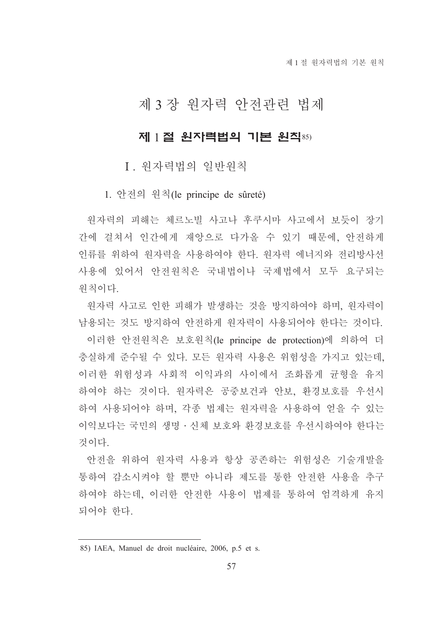# 제 3 장 원자력 안전관련 법제

# 제 1절 원자력법의 기본 원칙85)

## I. 원자력법의 일반원칙

1. 안전의 원칙(le principe de sûreté)

워자력의 피해는 체르노빌 사고나 후쿠시마 사고에서 보듯이 장기 간에 걸쳐서 인간에게 재앙으로 다가올 수 있기 때문에. 안전하게 인류를 위하여 워자력을 사용하여야 한다. 워자력 에너지와 전리방사선 사용에 있어서 안전워칙은 국내법이나 국제법에서 모두 요구되는 워칙이다.

워자력 사고로 인한 피해가 발생하는 것을 방지하여야 하며, 워자력이 남용되는 것도 방지하여 안전하게 워자력이 사용되어야 한다는 것이다.

이러한 안전워칙은 보호워칙(le principe de protection)에 의하여 더 충실하게 준수될 수 있다. 모든 원자력 사용은 위험성을 가지고 있는데, 이러한 위험성과 사회적 이익과의 사이에서 조화롭게 규형을 유지 하여야 하는 것이다. 워자력은 공중보건과 안보, 환경보호를 우선시 하여 사용되어야 하며, 각종 법제는 원자력을 사용하여 얻을 수 있는 이익보다는 국민의 생명 · 신체 보호와 환경보호를 우선시하여야 한다는 것이다

안전을 위하여 원자력 사용과 항상 공존하는 위험성은 기술개발을 통하여 감소시켜야 할 뿐만 아니라 제도를 통한 안전한 사용을 추구 하여야 하는데, 이러한 안전한 사용이 법제를 통하여 엄격하게 유지 되어야 한다.

<sup>85)</sup> IAEA, Manuel de droit nucléaire, 2006, p.5 et s.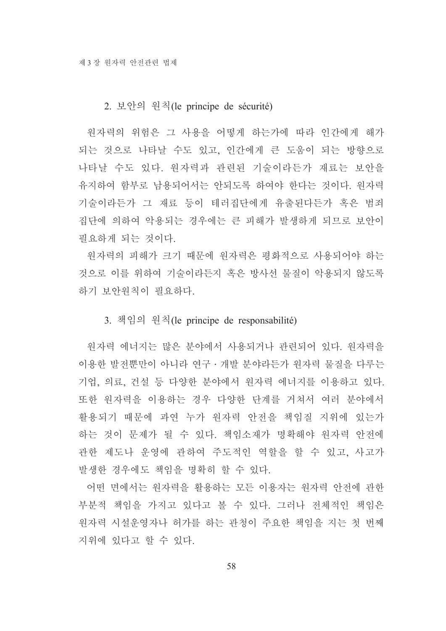#### 2. 보안의 원칙(le principe de sécurité)

원자력의 위험은 그 사용을 어떻게 하는가에 따라 인간에게 해가 되는 것으로 나타날 수도 있고, 인간에게 큰 도움이 되는 방향으로 나타날 수도 있다. 워자력과 관련된 기술이라든가 재료는 보안을 유지하여 함부로 남용되어서는 안되도록 하여야 한다는 것이다. 워자력 기술이라든가 그 재료 등이 테러집단에게 유출된다든가 혹은 범죄 집단에 의하여 악용되는 경우에는 큰 피해가 발생하게 되므로 보안이 필요하게 되는 것이다.

원자력의 피해가 크기 때문에 원자력은 평화적으로 사용되어야 하는 것으로 이를 위하여 기술이라든지 혹은 방사선 물질이 악용되지 않도록 하기 보안워칙이 필요하다.

#### 3. 책임의 원칙(le principe de responsabilité)

원자력 에너지는 많은 분야에서 사용되거나 관련되어 있다. 워자력을 이용한 발전뿐만이 아니라 연구 · 개발 분야라든가 원자력 물질을 다루는 기업, 의료, 건설 등 다양한 분야에서 원자력 에너지를 이용하고 있다. 또한 원자력을 이용하는 경우 다양한 단계를 거쳐서 여러 분야에서 활용되기 때문에 과연 누가 워자력 안전을 책임질 지위에 있는가 하는 것이 문제가 될 수 있다. 책임소재가 명확해야 원자력 안전에 관한 제도나 운영에 관하여 주도적인 역할을 할 수 있고, 사고가 발생한 경우에도 책임을 명확히 할 수 있다.

어떤 면에서는 워자력을 활용하는 모든 이용자는 워자력 안전에 관한 부분적 책임을 가지고 있다고 볼 수 있다. 그러나 전체적인 책임은 워자력 시설운영자나 허가를 하는 관청이 주요한 책임을 지는 첫 번째 지위에 있다고 할 수 있다.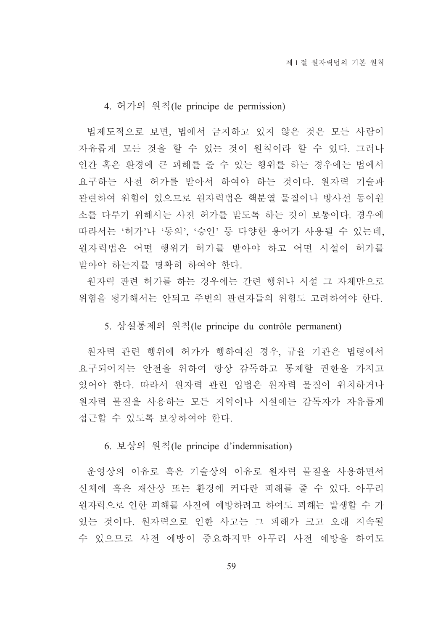#### 4. 허가의 원칙(le principe de permission)

법제도적으로 보면, 법에서 금지하고 있지 않은 것은 모든 사람이 자유롭게 모든 것을 할 수 있는 것이 워칙이라 할 수 있다. 그러나 인간 혹은 환경에 큰 피해를 줄 수 있는 행위를 하는 경우에는 법에서 요구하는 사전 허가를 받아서 하여야 하는 것이다. 원자력 기술과 관련하여 위험이 있으므로 워자력법은 핵분열 물질이나 방사선 동이워 소를 다루기 위해서는 사전 허가를 받도록 하는 것이 보통이다. 경우에 따라서는 '허가'나 '동의', '승인' 등 다양한 용어가 사용될 수 있는데, 워자력법은 어떤 행위가 허가를 받아야 하고 어떤 시설이 허가를 받아야 하는지를 명확히 하여야 한다.

워자력 관련 허가를 하는 경우에는 간련 행위나 시설 그 자체만으로 위험을 평가해서는 안되고 주변의 관련자들의 위험도 고려하여야 한다.

#### 5. 상설통제의 워칙(le principe du contrôle permanent)

원자력 관련 행위에 허가가 행하여진 경우, 규율 기관은 법령에서 요구되어지는 안전을 위하여 항상 감독하고 통제할 권한을 가지고 있어야 한다. 따라서 워자력 관련 입법은 워자력 물질이 위치하거나 원자력 물질을 사용하는 모든 지역이나 시설에는 감독자가 자유롭게 접근할 수 있도록 보장하여야 한다.

6. 보상의 원칙(le principe d'indemnisation)

운영상의 이유로 혹은 기술상의 이유로 원자력 물질을 사용하면서 신체에 혹은 재산상 또는 환경에 커다란 피해를 줄 수 있다. 아무리 워자력으로 인한 피해를 사전에 예방하려고 하여도 피해는 발생할 수 가 있는 것이다. 워자력으로 인한 사고는 그 피해가 크고 오래 지속될 수 있으므로 사전 예방이 중요하지만 아무리 사전 예방을 하여도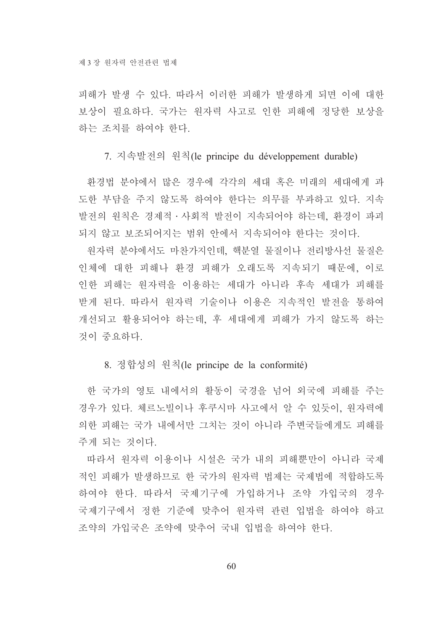피해가 발생 수 있다. 따라서 이러한 피해가 발생하게 되면 이에 대한 보상이 필요하다. 국가는 원자력 사고로 인한 피해에 정당한 보상을 하는 조치를 하여야 한다.

#### 7. 지속발전의 원칙(le principe du développement durable)

환경법 분야에서 많은 경우에 각각의 세대 혹은 미래의 세대에게 과 도한 부담을 주지 않도록 하여야 한다는 의무를 부과하고 있다. 지속 발전의 원칙은 경제적·사회적 발전이 지속되어야 하는데, 환경이 파괴

되지 않고 보조되어지는 범위 안에서 지속되어야 한다는 것이다. 워자력 부야에서도 마차가지인데. 핵부열 물질이나 전리방사선 물질은 인체에 대한 피해나 환경 피해가 오래도록 지속되기 때문에, 이로 인한 피해는 워자력을 이용하는 세대가 아니라 후속 세대가 피해를 받게 된다. 따라서 워자력 기술이나 이용은 지속적인 발전을 통하여 개선되고 활용되어야 하는데, 후 세대에게 피해가 가지 않도록 하는 것이 중요하다.

8. 정합성의 워칙(le principe de la conformité)

한 국가의 영토 내에서의 활동이 국경을 넘어 외국에 피해를 주는 경우가 있다. 체르노빌이나 후쿠시마 사고에서 알 수 있듯이. 워자력에 의한 피해는 국가 내에서만 그치는 것이 아니라 주변국들에게도 피해를 주게 되는 것이다.

따라서 워자력 이용이나 시설은 국가 내의 피해뿐만이 아니라 국제 적인 피해가 발생하므로 한 국가의 원자력 법제는 국제법에 적합하도록 하여야 한다. 따라서 국제기구에 가입하거나 조약 가입국의 경우 국제기구에서 정한 기준에 맞추어 원자력 관련 입법을 하여야 하고 조약의 가입국은 조약에 맞추어 국내 입법을 하여야 한다.

60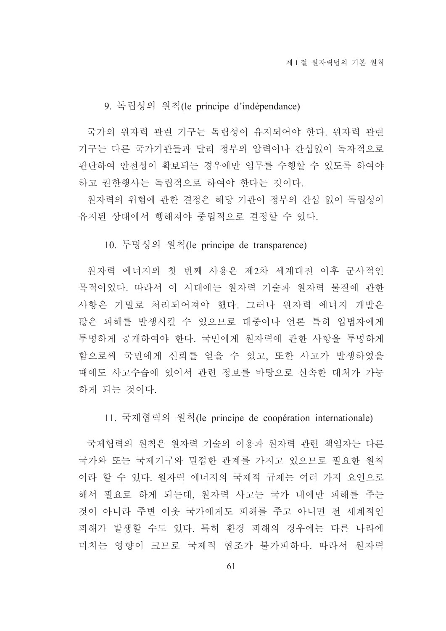#### 9. 독립성의 원칙(le principe d'indépendance)

국가의 워자력 관련 기구는 독립성이 유지되어야 한다. 워자력 관련 기구는 다른 국가기관들과 달리 정부의 압력이나 간섭없이 독자적으로 판단하여 안전성이 확보되는 경우에만 임무를 수행할 수 있도록 하여야 하고 권한행사는 독립적으로 하여야 한다는 것이다.

원자력의 위험에 관한 결정은 해당 기관이 정부의 간섭 없이 독립성이 유지된 상태에서 행해져야 중립적으로 결정할 수 있다.

10. 투명성의 원칙(le principe de transparence)

원자력 에너지의 첫 번째 사용은 제2차 세계대전 이후 군사적인 목적이었다. 따라서 이 시대에는 원자력 기술과 원자력 물질에 관한 사항은 기밀로 처리되어져야 했다. 그러나 원자력 에너지 개발은 많은 피해를 발생시킬 수 있으므로 대중이나 언론 특히 입법자에게 투명하게 공개하여야 한다. 국민에게 원자력에 관한 사항을 투명하게 함으로써 국민에게 신뢰를 얻을 수 있고, 또한 사고가 발생하였을 때에도 사고수습에 있어서 관련 정보를 바탕으로 신속한 대처가 가능 하게 되는 것이다.

11. 국제협력의 원칙(le principe de coopération internationale)

국제협력의 원칙은 원자력 기술의 이용과 원자력 관련 책임자는 다른 국가와 또는 국제기구와 밀접한 관계를 가지고 있으므로 필요한 원칙 이라 할 수 있다. 원자력 에너지의 국제적 규제는 여러 가지 요인으로 해서 필요로 하게 되는데, 원자력 사고는 국가 내에만 피해를 주는 것이 아니라 주변 이웃 국가에게도 피해를 주고 아니면 전 세계적인 피해가 발생할 수도 있다. 특히 환경 피해의 경우에는 다른 나라에 미치는 영향이 크므로 국제적 협조가 불가피하다. 따라서 워자력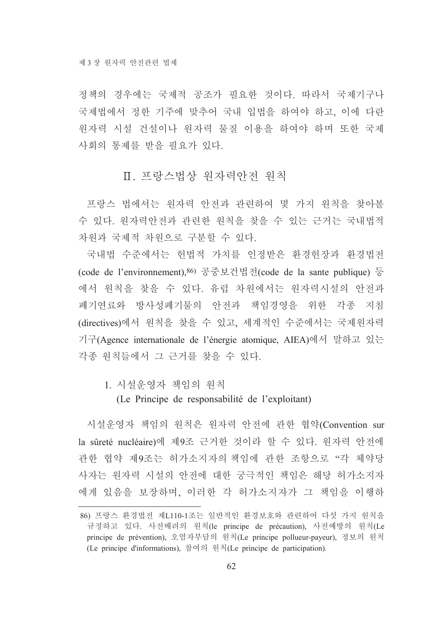정책의 경우에는 국제적 공조가 필요한 것이다. 따라서 국제기구나 국제법에서 정한 기주에 맞추어 국내 입법을 하여야 하고, 이에 다란 원자력 시설 건설이나 원자력 물질 이용을 하여야 하며 또한 국제 사회의 통제를 받을 필요가 있다.

# Ⅱ. 프랑스법상 워자력아저 워칙

프랑스 법에서는 원자력 안전과 관련하여 몇 가지 원칙을 찾아볼 수 있다. 원자력안전과 관련한 원칙을 찾을 수 있는 근거는 국내법적 차원과 국제적 차원으로 구분할 수 있다.

국내법 수준에서는 헌법적 가치를 인정받은 환경헌장과 환경법전 (code de l'environnement), 86) 공중보건법전(code de la sante publique) 등 에서 원칙을 찾을 수 있다. 유럽 차원에서는 원자력시설의 안전과 폐기연료와 방사성폐기물의 안전과 책임경영을 위한 각종 지침 (directives)에서 원칙을 찾을 수 있고, 세계적인 수준에서는 국제원자력 기구(Agence internationale de l'énergie atomique, AIEA)에서 말하고 있는 각종 워칙들에서 그 근거를 찾을 수 있다.

1. 시설운영자 책임의 워칙

(Le Principe de responsabilité de l'exploitant)

시설운영자 책임의 원칙은 원자력 안전에 관한 협약(Convention sur la sûreté nucléaire)에 제9조 근거한 것이라 할 수 있다. 워자력 안전에 관한 협약 제9조는 허가소지자의 책임에 관한 조항으로 "각 체약당 사자는 원자력 시설의 안전에 대한 궁극적인 책임은 해당 허가소지자 에게 있음을 보장하며, 이러한 각 허가소지자가 그 책임을 이행하

<sup>86)</sup> 프랑스 화경법전 제L110-1조는 일반적인 화경보호와 관련하여 다섯 가지 워칙을 규정하고 있다. 사전배려의 원칙(le principe de précaution), 사전예방의 원칙(Le principe de prévention), 오염자부담의 원칙(Le principe pollueur-payeur), 정보의 원칙 (Le principe d'informations), 참여의 원칙(Le principe de participation).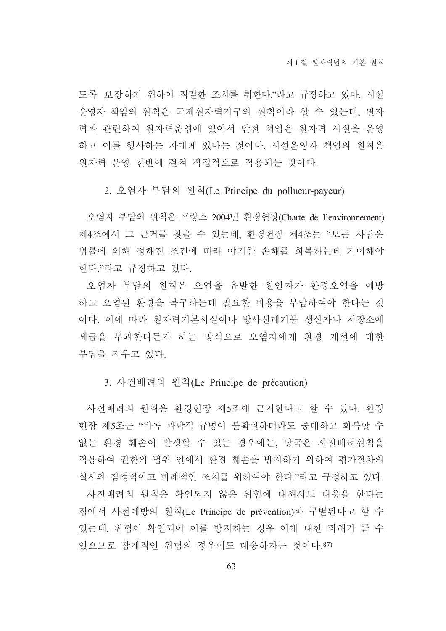도록 보장하기 위하여 적절한 조치를 취한다."라고 규정하고 있다. 시설 운영자 책임의 원칙은 국제원자력기구의 원칙이라 할 수 있는데, 원자 력과 관련하여 원자력운영에 있어서 안전 책임은 원자력 시설을 운영 하고 이를 행사하는 자에게 있다는 것이다. 시설운영자 책임의 원칙은 워자력 운영 전반에 걸쳐 직접적으로 적용되는 것이다.

2. 오염자 부담의 원칙(Le Principe du pollueur-payeur)

오염자 부담의 원칙은 프랑스 2004년 환경헌장(Charte de l'environnement) 제4조에서 그 근거를 찾을 수 있는데, 환경헌장 제4조는 "모든 사람은 법률에 의해 정해진 조건에 따라 야기한 손해를 회복하는데 기여해야 한다."라고 규정하고 있다.

오염자 부담의 원칙은 오염을 유발한 원인자가 환경오염을 예방 하고 오염된 환경을 복구하는데 필요한 비용을 부담하여야 한다는 것 이다. 이에 따라 원자력기본시설이나 방사선폐기물 생산자나 저장소에 세금을 부과한다든가 하는 방식으로 오염자에게 환경 개선에 대한 부담을 지우고 있다.

### 3. 사전배려의 원칙(Le Principe de précaution)

사전배려의 원칙은 환경헌장 제5조에 근거한다고 할 수 있다. 환경 헌장 제5조는 "비록 과학적 규명이 불확실하더라도 중대하고 회복할 수 없는 환경 훼손이 발생할 수 있는 경우에는, 당국은 사전배려원칙을 적용하여 권한의 범위 안에서 환경 훼손을 방지하기 위하여 평가절차의 실시와 잠정적이고 비례적인 조치를 위하여야 한다."라고 규정하고 있다. 사전배려의 원칙은 확인되지 않은 위험에 대해서도 대응을 한다는 점에서 사전예방의 원칙(Le Principe de prévention)과 구별된다고 할 수 있는데, 위험이 확인되어 이를 방지하는 경우 이에 대한 피해가 클 수 있으므로 잠재적인 위험의 경우에도 대응하자는 것이다.87)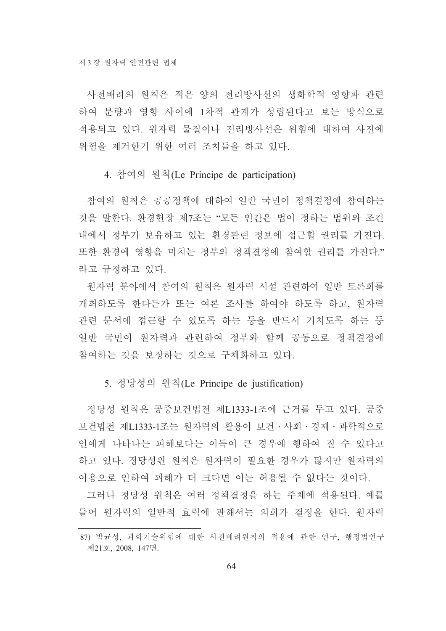사전배려의 원칙은 적은 양의 전리방사선의 생화학적 영향과 관련 하여 분량과 영향 사이에 1차적 관계가 성립된다고 보는 방식으로 적용되고 있다. 워자력 물질이나 전리방사선은 위험에 대하여 사전에 위험을 제거한기 위한 여러 조치들을 하고 있다.

#### 4. 참여의 원칙(Le Principe de participation)

참여의 워칙은 공공정책에 대하여 일반 국민이 정책결정에 참여하는 것을 말한다. 환경헌장 제7조는 "모든 인간은 법이 정하는 범위와 조건 내에서 정부가 보유하고 있는 환경관련 정보에 접근할 권리를 가진다. 또한 환경에 영향을 미치는 정부의 정책결정에 참여할 권리를 가진다." 라고 규정하고 있다.

워자력 분야에서 참여의 워칙은 워자력 시설 관련하여 일반 토론회를 개최하도록 한다든가 또는 여론 조사를 하여야 하도록 하고, 원자력 관련 문서에 접근할 수 있도록 하는 등을 반드시 거치도록 하는 등 일반 국민이 원자력과 관련하여 정부와 함께 공동으로 정책결정에 참여하는 것을 보장하는 것으로 구체화하고 있다.

### 5. 정당성의 원칙(Le Principe de justification)

정당성 원칙은 공중보건법전 제L1333-1조에 근거를 두고 있다. 공중 보건법전 제L1333-1조는 워자력의 활용이 보건·사회·경제·과학적으로 인에게 나타나는 피해보다는 이득이 큰 경우에 행하여 질 수 있다고 하고 있다. 정당성위 워칙은 워자력이 필요한 경우가 많지만 워자력의 이용으로 인하여 피해가 더 크다면 이는 허용될 수 없다는 것이다.

그러나 정당성 워칙은 여러 정책결정을 하는 주체에 적용되다. 예를 들어 원자력의 일반적 효력에 관해서는 의회가 결정을 한다. 워자력

<sup>87)</sup> 박균성, 과학기술위험에 대한 사전배려원칙의 적용에 관한 연구, 행정법연구 제21호, 2008, 147면.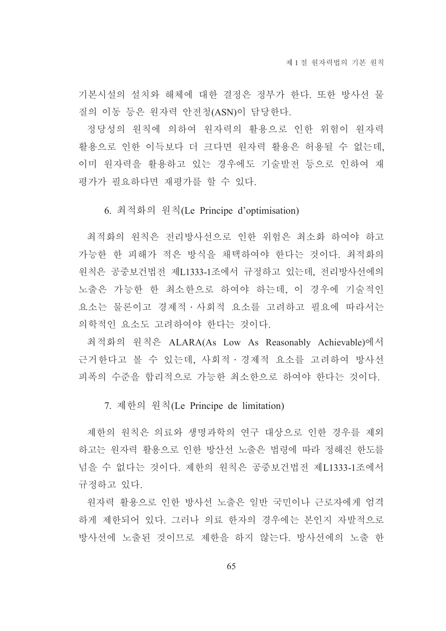기본시설의 설치와 해체에 대한 결정은 정부가 한다. 또한 방사선 물 질의 이동 등은 원자력 안전청(ASN)이 담당한다.

정당성의 원칙에 의하여 원자력의 활용으로 인한 위험이 원자력 활용으로 인한 이득보다 더 크다면 워자력 활용은 허용될 수 없는데. 이미 워자력을 활용하고 있는 경우에도 기술발전 등으로 인하여 재 평가가 필요하다면 재평가를 할 수 있다.

6. 최적화의 원칙(Le Principe d'optimisation)

최적화의 원칙은 전리방사선으로 인한 위험은 최소화 하여야 하고 가능한 한 피해가 적은 방식을 채택하여야 한다는 것이다. 최적화의 원칙은 공중보건법전 제L1333-1조에서 규정하고 있는데, 전리방사선에의 노출은 가능한 한 최소한으로 하여야 하는데, 이 경우에 기술적인 요소는 물론이고 경제적 · 사회적 요소를 고려하고 필요에 따라서는 의학적인 요소도 고려하여야 한다는 것이다.

최적화의 원칙은 ALARA(As Low As Reasonably Achievable)에서 근거한다고 볼 수 있는데, 사회적 · 경제적 요소를 고려하여 방사선 피폭의 수주을 합리적으로 가능한 최소한으로 하여야 한다는 것이다.

7. 제한의 워칙(Le Principe de limitation)

제한의 원칙은 의료와 생명과학의 연구 대상으로 인한 경우를 제외 하고는 워자력 활용으로 인한 방산선 노출은 법령에 따라 정해진 한도를 넘을 수 없다는 것이다. 제한의 원칙은 공중보건법전 제L1333-1조에서 규정하고 있다.

워자력 활용으로 인한 방사선 노출은 일반 국민이나 근로자에게 엄격 하게 제한되어 있다. 그러나 의료 한자의 경우에는 본인지 자발적으로 방사선에 노출된 것이므로 제한을 하지 않는다. 방사선에의 노출 한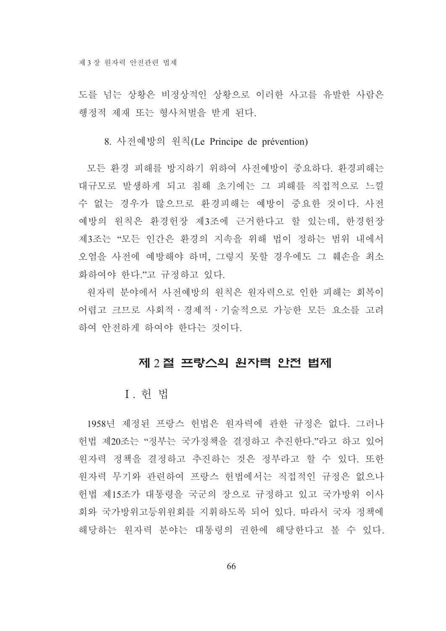도를 넘는 상황은 비정상적인 상황으로 이러한 사고를 유발한 사람은 행정적 제재 또는 형사처벌을 받게 된다.

8. 사전예방의 원칙(Le Principe de prévention)

모든 환경 피해를 방지하기 위하여 사전예방이 중요하다. 환경피해는 대규모로 발생하게 되고 침해 초기에는 그 피해를 직접적으로 느낄 수 없는 경우가 많으므로 환경피해는 예방이 중요한 것이다. 사전 예방의 워칙은 화경헌장 제3조에 근거하다고 할 있는데, 한경헌장 제3조는 "모든 인간은 환경의 지속을 위해 법이 정하는 범위 내에서 오염을 사전에 예방해야 하며, 그렇지 못할 경우에도 그 훼손을 최소 화하여야 한다 "고 규정하고 있다.

워자력 분야에서 사전예방의 원칙은 원자력으로 인한 피해는 회복이 어렵고 크므로 사회적 · 경제적 · 기술적으로 가능한 모든 요소를 고려 하여 안전하게 하여야 한다는 것이다.

# 제 2절 프랑스의 원자력 안전 법제

# I. 헌 법

1958년 제정된 프랑스 헌법은 원자력에 관한 규정은 없다. 그러나 헌법 제20조는 "정부는 국가정책을 결정하고 추진한다."라고 하고 있어 워자력 정책을 결정하고 추진하는 것은 정부라고 할 수 있다. 또한 원자력 무기와 관련하여 프랑스 헌법에서는 직접적인 규정은 없으나 헌법 제15조가 대통령을 국군의 장으로 규정하고 있고 국가방위 이사 회와 국가방위고등위워회를 지휘하도록 되어 있다. 따라서 국자 정책에 해당하는 워자력 부야는 대통령의 권한에 해당한다고 볼 수 있다.

66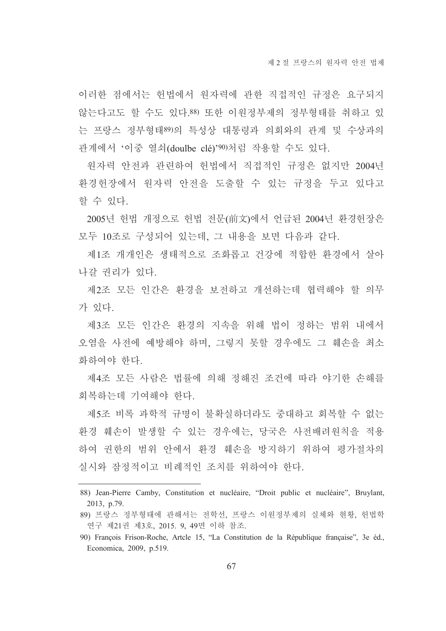이러한 점에서는 헌법에서 워자력에 관한 직접적인 규정은 요구되지 않는다고도 할 수도 있다.88) 또한 이원정부제의 정부형태를 취하고 있 는 프랑스 정부형태89의 특성상 대통령과 의회와의 관계 및 수상과의 관계에서 '이중 열쇠(doulbe clé)'90)처럼 작용할 수도 있다.

워자력 안전과 관련하여 헌법에서 직접적인 규정은 없지만 2004년 환경헌장에서 원자력 안전을 도출할 수 있는 규정을 두고 있다고 할 수 있다.

2005년 헌법 개정으로 헌법 전문(前文)에서 언급된 2004년 환경헌장은 모두 10조로 구성되어 있는데, 그 내용을 보면 다음과 같다.

제1조 개개인은 생태적으로 조화롭고 건강에 적합한 환경에서 살아 나갈 권리가 있다.

제2조 모든 인간은 환경을 보전하고 개선하는데 협력해야 할 의무 가 있다.

제3조 모든 인간은 화경의 지속을 위해 법이 정하는 범위 내에서 오염을 사전에 예방해야 하며, 그렇지 못할 경우에도 그 훼손을 최소 화하여야 한다.

제4조 모든 사람은 법률에 의해 정해진 조건에 따라 야기한 손해를 회복하는데 기여해야 한다.

제5조 비록 과학적 규명이 불확실하더라도 중대하고 회복할 수 없는 화경 훼손이 발생할 수 있는 경우에는 당국은 사전배려워칙을 적용 하여 권한의 범위 안에서 환경 훼손을 방지하기 위하여 평가절차의 실시와 잠정적이고 비례적인 조치를 위하여야 하다.

<sup>88)</sup> Jean-Pierre Camby, Constitution et nucléaire, "Droit public et nucléaire", Bruylant, 2013, p.79.

<sup>89)</sup> 프랑스 정부형태에 관해서는 전학선, 프랑스 이원정부제의 실체와 현황, 헌법학 연구 제21권 제3호, 2015. 9, 49면 이하 참조.

<sup>90)</sup> François Frison-Roche, Artcle 15, "La Constitution de la République française", 3e éd., Economica, 2009, p.519.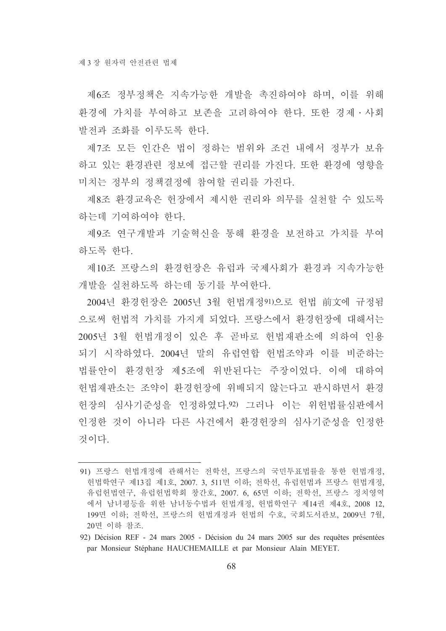제6조 정부정책은 지속가능한 개발을 촉진하여야 하며, 이를 위해 화경에 가치를 부여하고 보존을 고려하여야 하다. 또한 경제 · 사회 발전과 조화를 이루도록 한다.

제7조 모든 인간은 법이 정하는 범위와 조건 내에서 정부가 보유 하고 있는 환경관련 정보에 접근할 권리를 가진다. 또한 환경에 영향을 미치는 정부의 정책결정에 참여할 권리를 가진다.

제8조 환경교육은 헌장에서 제시한 권리와 의무를 실천할 수 있도록 하는데 기여하여야 한다.

제9조 여구개발과 기술혁신을 통해 화경을 보전하고 가치를 부여 하도록 하다.

제10조 프랑스의 환경헌장은 유럽과 국제사회가 환경과 지속가능한 개발을 실천하도록 하는데 동기를 부여하다.

2004년 환경헌장은 2005년 3월 헌법개정91)으로 헌법 前文에 규정됨 으로써 헌법적 가치를 가지게 되었다. 프랑스에서 화경헌장에 대해서는 2005년 3월 헌법개정이 있은 후 곧바로 헌법재판소에 의하여 인용 되기 시작하였다. 2004년 말의 유럽연합 헌법조약과 이를 비준하는 법률안이 환경헌장 제5조에 위반된다는 주장이었다. 이에 대하여 헌법재판소는 조약이 환경헌장에 위배되지 않는다고 판시하면서 환경 헌장의 심사기준성을 인정하였다.92) 그러나 이는 위헌법률심판에서 인정한 것이 아니라 다른 사건에서 화경헌장의 심사기주성을 인정한 것이다

<sup>91)</sup> 프랑스 헌법개정에 관해서는 전학선, 프랑스의 국민투표법률을 통한 헌법개정, 헌법학연구 제13집 제1호, 2007, 3, 511면 이하, 전학선, 유럽헌법과 프랑스 헌법개정, 유럽헌법연구, 유럽헌법학회 창간호, 2007. 6, 65면 이하; 전학선, 프랑스 정치영역 에서 남녀평등을 위한 남녀동수법과 헌법개정, 헌법학연구 제14권 제4호, 2008 12, 199면 이하. 전학선, 프랑스의 헌법개정과 헌법의 수호, 국회도서관보, 2009년 7월, 20면 이하 참조.

<sup>92)</sup> Décision REF - 24 mars 2005 - Décision du 24 mars 2005 sur des requêtes présentées par Monsieur Stéphane HAUCHEMAILLE et par Monsieur Alain MEYET.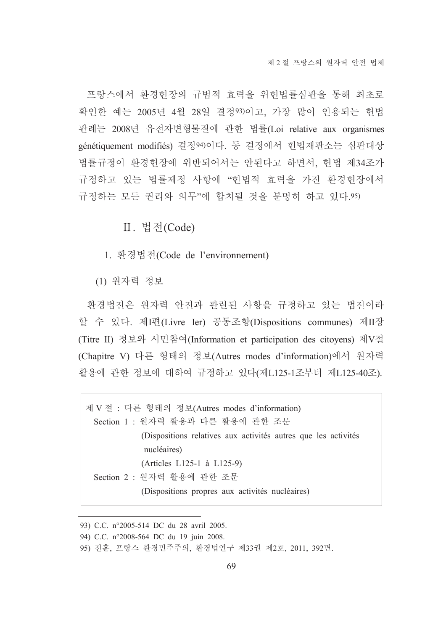프랑스에서 환경헌장의 규범적 효력을 위헌법률심판을 통해 최초로 확인한 예는 2005년 4월 28일 결정93)이고, 가장 많이 인용되는 헌법 판례는 2008년 유전자변형물질에 관한 법률(Loi relative aux organismes génétiquement modifiés) 결정94)이다. 동 결정에서 헌법재판소는 심판대상 법률규정이 환경헌장에 위반되어서는 안된다고 하면서, 헌법 제34조가 규정하고 있는 법률제정 사항에 "헌법적 효력을 가진 환경헌장에서 규정하는 모든 권리와 의무"에 합치될 것을 분명히 하고 있다.95)

Ⅱ. 법전(Code)

1. 환경법전(Code de l'environnement)

(1) 원자력 정보

환경법전은 원자력 안전과 관련된 사항을 규정하고 있는 법전이라 할 수 있다. 제I편(Livre Ier) 공동조항(Dispositions communes) 제II장 (Titre II) 정보와 시민참여(Information et participation des citoyens) 제V절 (Chapitre V) 다른 형태의 정보(Autres modes d'information)에서 원자력 활용에 관한 정보에 대하여 규정하고 있다(제L125-1조부터 제L125-40조).

제 V절 : 다른 형태의 정보(Autres modes d'information) Section 1 : 원자력 활용과 다른 활용에 관한 조문 (Dispositions relatives aux activités autres que les activités nucléaires) (Articles L125-1 à L125-9) Section 2 : 원자력 활용에 관한 조문 (Dispositions propres aux activités nucléaires)

<sup>93)</sup> C.C. n°2005-514 DC du 28 avril 2005.

<sup>94)</sup> C.C. n°2008-564 DC du 19 juin 2008.

<sup>95)</sup> 전훈, 프랑스 환경민주주의, 환경법연구 제33권 제2호, 2011, 392면.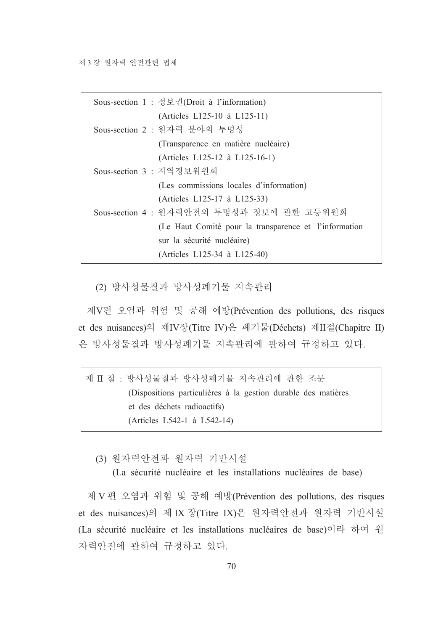| Sous-section 1 : 정보권(Droit à l'information)           |
|-------------------------------------------------------|
| (Articles L125-10 à L125-11)                          |
| Sous-section 2 : 원자력 분야의 투명성                          |
| (Transparence en matière nucléaire)                   |
| (Articles L125-12 à L125-16-1)                        |
| Sous-section 3 : 지역정보위원회                              |
| (Les commissions locales d'information)               |
| (Articles L125-17 à L125-33)                          |
| Sous-section 4 : 원자력안전의 투명성과 정보에 관한 고등위원회             |
| (Le Haut Comité pour la transparence et l'information |
| sur la sécurité nucléaire)                            |
| (Articles L125-34 à L125-40)                          |

(2) 방사성물질과 방사성폐기물 지속관리

제V편 오염과 위험 및 공해 예방(Prévention des pollutions, des risques et des nuisances)의 제IV장(Titre IV)은 폐기물(Déchets) 제II절(Chapitre II) 은 방사성물질과 방사성폐기물 지속관리에 관하여 규정하고 있다.

제 II 절 : 방사성물질과 방사성폐기물 지속관리에 관한 조문 (Dispositions particulières à la gestion durable des matières et des déchets radioactifs) (Articles L542-1 à L542-14)

(3) 원자력안전과 원자력 기반시설

(La sécurité nucléaire et les installations nucléaires de base)

제 V 편 오염과 위험 및 공해 예방(Prévention des pollutions, des risques et des nuisances)의 제 IX 장(Titre IX)은 원자력안전과 원자력 기반시설 (La sécurité nucléaire et les installations nucléaires de base)이라 하여 원 자력안전에 관하여 규정하고 있다.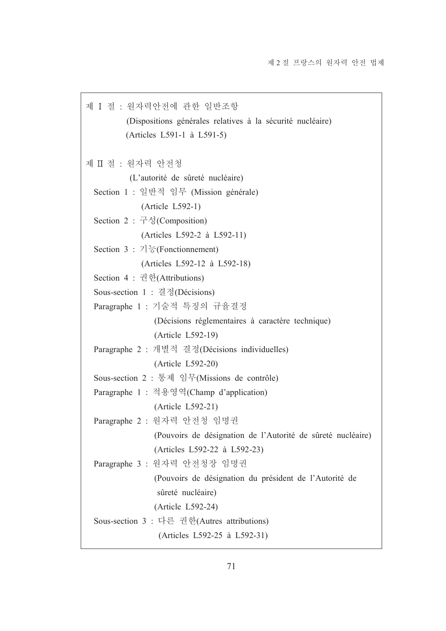제 I 절 : 원자력안전에 관한 일반조항 (Dispositions générales relatives à la sécurité nucléaire) (Articles L591-1 à L591-5) 제 Ⅱ 절 : 워자력 아저청 (L'autorité de sûreté nucléaire) Section 1 : 일반적 임무 (Mission générale)  $(Article L592-1)$ Section 2 : 구성(Composition) (Articles L592-2 à L592-11) Section 3 : 기능(Fonctionnement) (Articles L592-12 à L592-18) Section 4 : 권한(Attributions) Sous-section 1 : 결정(Décisions) Paragraphe 1 : 기술적 특징의 규율결정 (Décisions réglementaires à caractère technique) (Article L592-19) Paragraphe 2 : 개별적 결정(Décisions individuelles) (Article L592-20) Sous-section 2 : 통제 임무(Missions de contrôle) Paragraphe 1 : 적용영역(Champ d'application) (Article L592-21) Paragraphe 2 : 원자력 안전청 임명권 (Pouvoirs de désignation de l'Autorité de sûreté nucléaire) (Articles L592-22 à L592-23) Paragraphe 3 : 원자력 안전청장 임명권 (Pouvoirs de désignation du président de l'Autorité de sûreté nucléaire) (Article L592-24) Sous-section 3 : 다른 권한(Autres attributions) (Articles L592-25 à L592-31)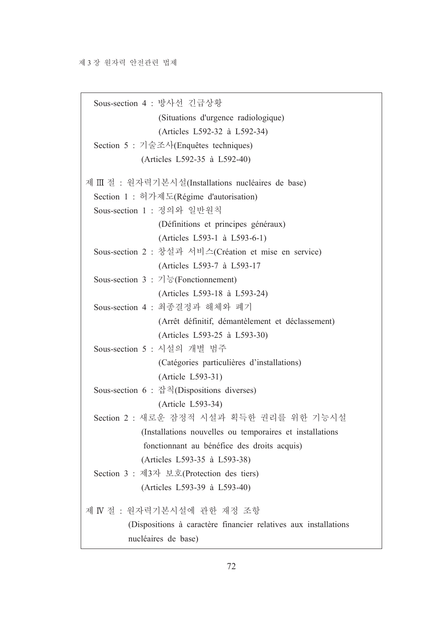Sous-section 4 : 방사선 긴급상황 (Situations d'urgence radiologique) (Articles L592-32 à L592-34) Section 5 : 기술조사(Enquêtes techniques) (Articles L592-35 à L592-40) 제 III 절 : 원자력기본시설(Installations nucléaires de base) Section 1 : 허가제도(Régime d'autorisation) Sous-section 1 : 정의와 일반원칙 (Définitions et principes généraux) (Articles L593-1 à L593-6-1) Sous-section 2 : 창설과 서비스(Création et mise en service) (Articles L593-7 à L593-17 Sous-section 3 :  $7\frac{1}{6}$  (Fonctionnement) (Articles L593-18 à L593-24) Sous-section 4 : 최종결정과 해체와 폐기 (Arrêt définitif, démantèlement et déclassement) (Articles L593-25 à L593-30) Sous-section 5 : 시설의 개별 범주 (Catégories particulières d'installations) (Article L593-31) Sous-section 6 : 잡칙(Dispositions diverses) (Article L593-34) Section 2 : 새로운 잠정적 시설과 획득한 권리를 위한 기능시설 (Installations nouvelles ou temporaires et installations fonctionnant au bénéfice des droits acquis) (Articles L593-35 à L593-38) Section 3 : 제3자 보호(Protection des tiers) (Articles L593-39 à L593-40) 제 IV 절 : 원자력기본시설에 관한 재정 조항 (Dispositions à caractère financier relatives aux installations nucléaires de base)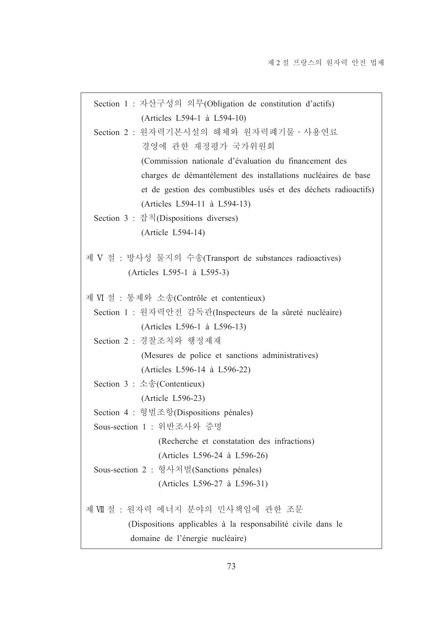|                                                         | Section 1 : 자산구성의 의무(Obligation de constitution d'actifs)       |
|---------------------------------------------------------|-----------------------------------------------------------------|
|                                                         | (Articles L594-1 à L594-10)                                     |
|                                                         | Section 2 : 원자력기본시설의 해체와 원자력폐기물 · 사용연료                          |
|                                                         | 경영에 관한 재정평가 국가위원회                                               |
|                                                         | (Commission nationale d'évaluation du financement des           |
|                                                         | charges de démantèlement des installations nucléaires de base   |
|                                                         | et de gestion des combustibles usés et des déchets radioactifs) |
|                                                         | (Articles L594-11 à L594-13)                                    |
| Section 3 : 잡칙(Dispositions diverses)                   |                                                                 |
| (Article L594-14)                                       |                                                                 |
|                                                         |                                                                 |
|                                                         | 제 V 절 : 방사성 물지의 수송(Transport de substances radioactives)        |
|                                                         | (Articles L595-1 à L595-3)                                      |
| 제 VI 절 : 통제와 소송(Contrôle et contentieux)                |                                                                 |
|                                                         | Section 1 : 원자력안전 감독관(Inspecteurs de la sûreté nucléaire)       |
|                                                         | (Articles L596-1 à L596-13)                                     |
| Section 2 : 경찰조치와 행정제재                                  |                                                                 |
|                                                         | (Mesures de police et sanctions administratives)                |
|                                                         | (Articles L596-14 à L596-22)                                    |
| Section $3 : \triangle \hat{\mathcal{E}}$ (Contentieux) |                                                                 |
| (Article L596-23)                                       |                                                                 |
| Section 4 : 형벌조항(Dispositions pénales)                  |                                                                 |
| Sous-section 1 : 위반조사와 증명                               |                                                                 |
|                                                         | (Recherche et constatation des infractions)                     |
|                                                         | (Articles L596-24 à L596-26)                                    |
|                                                         | Sous-section 2 : 형사처벌(Sanctions pénales)                        |
|                                                         | (Articles L596-27 à L596-31)                                    |
|                                                         | 제 VII 절 : 원자력 에너지 분야의 민사책임에 관한 조문                               |
|                                                         | (Dispositions applicables à la responsabilité civile dans le    |
|                                                         | domaine de l'énergie nucléaire)                                 |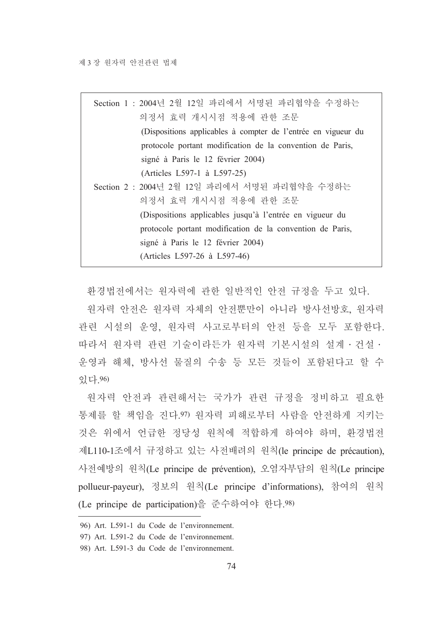| Section 1 : 2004년 2월 12일 파리에서 서명된 파리협약을 수정하는                                |  |  |  |
|-----------------------------------------------------------------------------|--|--|--|
| 의정서 효력 개시시점 적용에 관한 조문                                                       |  |  |  |
| (Dispositions applicables à compter de l'entrée en vigueur du               |  |  |  |
| protocole portant modification de la convention de Paris,                   |  |  |  |
| signé à Paris le 12 février 2004)                                           |  |  |  |
| (Articles L597-1 à L597-25)<br>Section 2 : 2004년 2월 12일 파리에서 서명된 파리협약을 수정하는 |  |  |  |
|                                                                             |  |  |  |
| (Dispositions applicables jusqu'à l'entrée en vigueur du                    |  |  |  |
| protocole portant modification de la convention de Paris,                   |  |  |  |
| signé à Paris le 12 février 2004)                                           |  |  |  |
| (Articles L597-26 à L597-46)                                                |  |  |  |

환경법전에서는 원자력에 관한 일반적인 안전 규정을 두고 있다.

원자력 안전은 워자력 자체의 안전뿐만이 아니라 방사선방호, 워자력 관련 시설의 운영, 원자력 사고로부터의 안전 등을 모두 포함한다. 따라서 원자력 관련 기술이라든가 원자력 기본시설의 설계 · 건설 · 운영과 해체, 방사선 물질의 수송 등 모든 것들이 포함된다고 할 수 있다.96)

원자력 안전과 관련해서는 국가가 관련 규정을 정비하고 필요한 통제를 할 책임을 진다.97) 원자력 피해로부터 사람을 안전하게 지키는 것은 위에서 언급한 정당성 원칙에 적합하게 하여야 하며, 환경법전 제L110-1조에서 규정하고 있는 사전배려의 원칙(le principe de précaution), 사전예방의 원칙(Le principe de prévention), 오염자부담의 원칙(Le principe pollueur-payeur), 정보의 원칙(Le principe d'informations), 참여의 원칙 (Le principe de participation)을 준수하여야 한다.98)

<sup>96)</sup> Art. L591-1 du Code de l'environnement.

<sup>97)</sup> Art. L591-2 du Code de l'environnement.

<sup>98)</sup> Art. L591-3 du Code de l'environnement.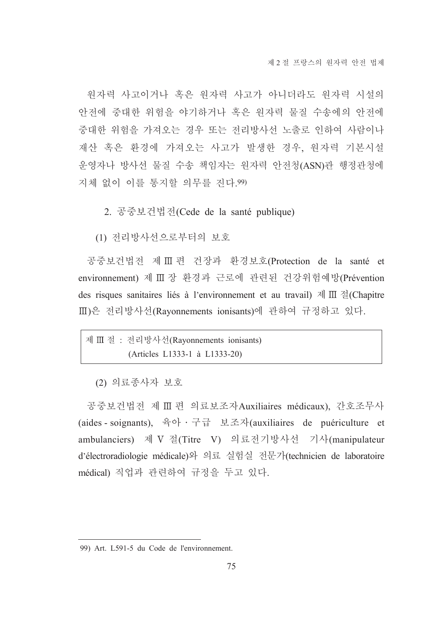원자력 사고이거나 혹은 워자력 사고가 아니더라도 워자력 시설의 안전에 중대한 위험을 야기하거나 혹은 원자력 물질 수송에의 안전에 중대한 위험을 가져오는 경우 또는 전리방사선 노출로 인하여 사람이나 재산 혹은 환경에 가져오는 사고가 발생한 경우, 원자력 기본시설 운영자나 방사선 물질 수송 책임자는 원자력 안전청(ASN)관 행정관청에 지체 없이 이를 통지할 의무를 진다.99)

2. 공중보건법전(Cede de la santé publique)

(1) 전리방사선으로부터의 보호

공중보건법전 제 Ⅲ 편 건장과 환경보호(Protection de la santé et environnement) 제 III 장 환경과 근로에 관련된 건강위험예방(Prévention des risques sanitaires liés à l'environnement et au travail) 제 III 절(Chapitre Ⅲ)은 전리방사선(Rayonnements ionisants)에 관하여 규정하고 있다.

제 Ⅲ 절 : 전리방사선(Rayonnements ionisants) (Articles L1333-1 à L1333-20)

(2) 의료종사자 보호

공중보건법전 제 III 편 의료보조자Auxiliaires médicaux), 간호조무사 (aides - soignants), 육아 · 구급 보조자(auxiliaires de puériculture et ambulanciers) 제 V 절(Titre V) 의료전기방사선 기사(manipulateur d'électroradiologie médicale)와 의료 실험실 전문가(technicien de laboratoire médical) 직업과 관련하여 규정을 두고 있다.

<sup>99)</sup> Art. L591-5 du Code de l'environnement.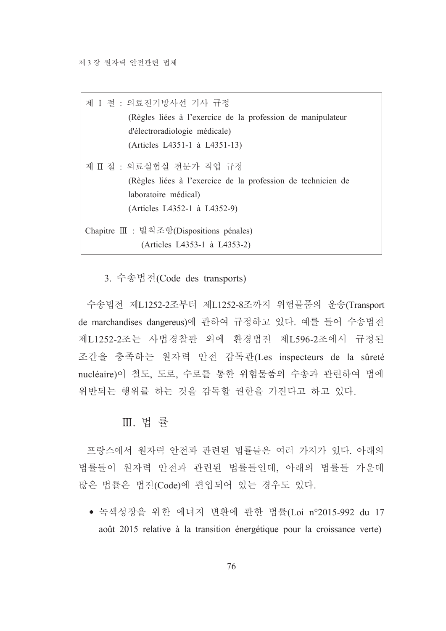| 제 I 절 : 의료저기방사선 기사 규정                                        |  |  |  |
|--------------------------------------------------------------|--|--|--|
| (Règles liées à l'exercice de la profession de manipulateur  |  |  |  |
| d'électroradiologie médicale)                                |  |  |  |
| (Articles L4351-1 à L4351-13)                                |  |  |  |
| 제 Ⅱ 절 : 의료실험실 전문가 직업 규정                                      |  |  |  |
| (Règles liées à l'exercice de la profession de technicien de |  |  |  |
| laboratoire médical)                                         |  |  |  |
| (Articles L4352-1 à L4352-9)                                 |  |  |  |
| Chapitre III : 벌칙조항(Dispositions pénales)                    |  |  |  |
| (Articles L4353-1 à L4353-2)                                 |  |  |  |

3. 수송법전(Code des transports)

수송법전 제L1252-2조부터 제L1252-8조까지 위험물품의 운송(Transport de marchandises dangereus)에 관하여 규정하고 있다. 예를 들어 수송법전 제L1252-2조는 사법경찰관 외에 환경법전 제L596-2조에서 규정된 조간을 충족하는 원자력 안전 감독관(Les inspecteurs de la sûreté nucléaire)이 철도, 도로, 수로를 통한 위험물품의 수송과 관련하여 법에 위반되는 행위를 하는 것을 감독할 권한을 가진다고 하고 있다.

### Ⅲ 법률

프랑스에서 원자력 안전과 관련된 법률들은 여러 가지가 있다. 아래의 법률들이 원자력 안전과 관련된 법률들인데, 아래의 법률들 가운데 많은 법률은 법전(Code)에 편입되어 있는 경우도 있다.

• 녹색성장을 위한 에너지 변환에 관한 법률(Loi n°2015-992 du 17 août 2015 relative à la transition énergétique pour la croissance verte)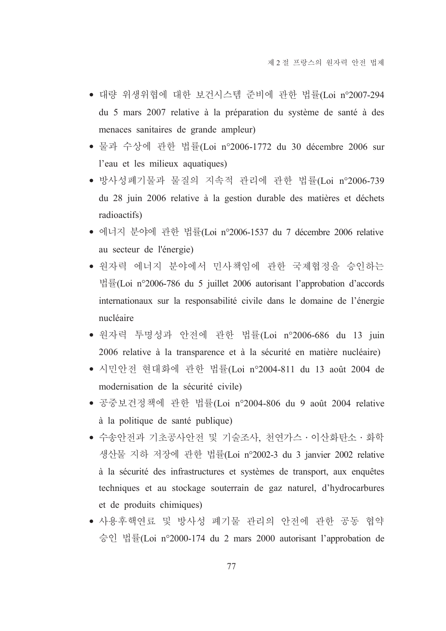- 대량 위생위협에 대한 보건시스템 준비에 관한 법률(Loi n°2007-294 du 5 mars 2007 relative à la préparation du système de santé à des menaces sanitaires de grande ampleur)
- 물과 수상에 관한 법률(Loi n°2006-1772 du 30 décembre 2006 sur l'eau et les milieux aquatiques)
- 방사성폐기물과 물질의 지속적 관리에 관한 법률(Loi n°2006-739 du 28 juin 2006 relative à la gestion durable des matières et déchets radioactifs)
- 에너지 분야에 관한 법률(Loi n°2006-1537 du 7 décembre 2006 relative au secteur de l'énergie)
- 원자력 에너지 분야에서 민사책임에 관한 국제협정을 승인하는 법률(Loi n°2006-786 du 5 juillet 2006 autorisant l'approbation d'accords internationaux sur la responsabilité civile dans le domaine de l'énergie nucléaire
- 원자력 투명성과 안전에 관한 법률(Loi n°2006-686 du 13 juin 2006 relative à la transparence et à la sécurité en matière nucléaire)
- 시민안전 현대화에 관한 법률(Loi n°2004-811 du 13 août 2004 de modernisation de la sécurité civile)
- 공중보건정책에 관한 법률(Loi n°2004-806 du 9 août 2004 relative à la politique de santé publique)
- 수송안전과 기초공사안전 및 기술조사, 천연가스 · 이산화탄소 · 화학 생산물 지하 저장에 관한 법률(Loi n°2002-3 du 3 janvier 2002 relative à la sécurité des infrastructures et systèmes de transport, aux enquêtes techniques et au stockage souterrain de gaz naturel, d'hydrocarbures et de produits chimiques)
- 사용후핵연료 및 방사성 폐기물 관리의 안전에 관한 공동 협약 승인 법률(Loi n°2000-174 du 2 mars 2000 autorisant l'approbation de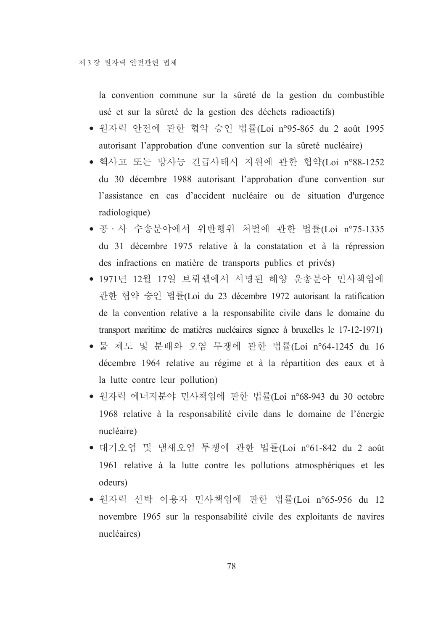la convention commune sur la sûreté de la gestion du combustible usé et sur la sûreté de la gestion des déchets radioactifs)

- 원자력 안전에 관한 협약 승인 법률(Loi n°95-865 du 2 août 1995 autorisant l'approbation d'une convention sur la sûreté nucléaire)
- 핵사고 또는 방사능 긴급사태시 지원에 관한 협약(Loi n°88-1252 du 30 décembre 1988 autorisant l'approbation d'une convention sur l'assistance en cas d'accident nucléaire ou de situation d'urgence radiologique)
- 공 · 사 수송분야에서 위반행위 처벌에 관한 법률(Loi n°75-1335 du 31 décembre 1975 relative à la constatation et à la répression des infractions en matière de transports publics et privés)
- 1971년 12월 17일 브뤼쉘에서 서명된 해양 운송분야 민사책임에 관한 협약 승인 법률(Loi du 23 décembre 1972 autorisant la ratification de la convention relative a la responsabilite civile dans le domaine du transport maritime de matières nucléaires signee à bruxelles le 17-12-1971)
- 물 제도 및 분배와 오염 투쟁에 관한 법률(Loi n°64-1245 du 16 décembre 1964 relative au régime et à la répartition des eaux et à la lutte contre leur pollution)
- 원자력 에너지분야 민사책임에 관한 법률(Loi n°68-943 du 30 octobre 1968 relative à la responsabilité civile dans le domaine de l'énergie nucléaire)
- 대기오염 및 냄새오염 투쟁에 관한 법률(Loi n°61-842 du 2 août 1961 relative à la lutte contre les pollutions atmosphériques et les odeurs)
- 원자력 선박 이용자 민사책임에 관한 법률(Loi n°65-956 du 12 novembre 1965 sur la responsabilité civile des exploitants de navires nucléaires)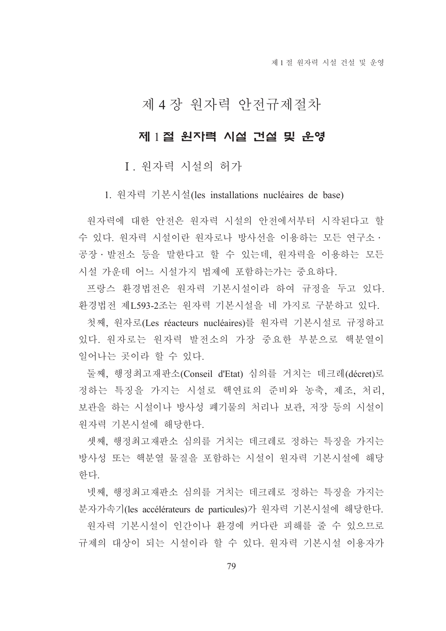제 1 절 워자력 시설 건설 및 운영

# 제 4 장 원자력 안전규제절차

# 제 1절 원자력 시설 건설 및 운영

# I. 원자력 시설의 허가

1. 원자력 기본시설(les installations nucléaires de base)

워자력에 대한 안전은 워자력 시설의 안전에서부터 시작되다고 할 수 있다. 워자력 시설이라 워자로나 방사선을 이용하는 모든 여구소ㆍ 공장 · 발전소 등을 말한다고 할 수 있는데, 원자력을 이용하는 모든 시설 가운데 어느 시설가지 법제에 포함하는가는 중요하다.

프랑스 환경법전은 원자력 기본시설이라 하여 규정을 두고 있다. 환경법전 제L593-2조는 원자력 기본시설을 네 가지로 구분하고 있다.

첫째, 원자로(Les réacteurs nucléaires)를 원자력 기본시설로 규정하고 있다. 원자로는 원자력 발전소의 가장 중요한 부분으로 핵분열이 일어나는 곳이라 할 수 있다.

둘째, 행정최고재판소(Conseil d'Etat) 심의를 거치는 데크레(décret)로 정하는 특징을 가지는 시설로 핵연료의 준비와 농축, 제조, 처리, 보관을 하는 시설이나 방사성 폐기물의 처리나 보관, 저장 등의 시설이 워자력 기본시설에 해당한다.

셋째, 행정최고재판소 심의를 거치는 데크레로 정하는 특징을 가지는 방사성 또는 핵분열 물질을 포함하는 시설이 원자력 기본시설에 해당 하다.

넷째, 행정최고재판소 심의를 거치는 데크레로 정하는 특징을 가지는 분자가속기(les accélérateurs de particules)가 원자력 기본시설에 해당한다.

원자력 기본시설이 인간이나 환경에 커다란 피해를 줄 수 있으므로 규제의 대상이 되는 시설이라 할 수 있다. 워자력 기본시설 이용자가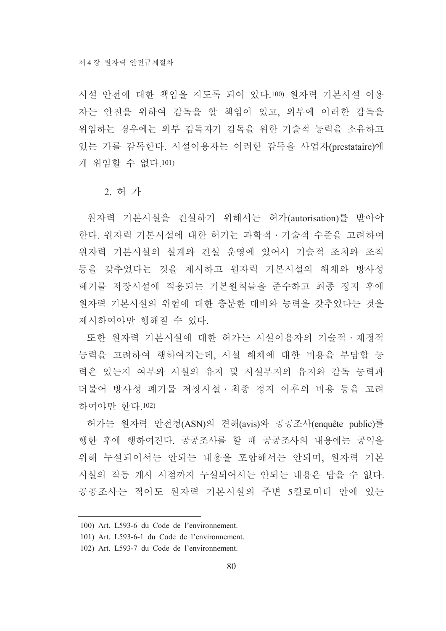시설 안전에 대한 책임을 지도록 되어 있다.100) 워자력 기본시설 이용 자는 안전을 위하여 감독을 할 책임이 있고, 외부에 이러한 감독을 위임하는 경우에는 외부 감독자가 감독을 위한 기술적 능력을 소유하고 있는 가를 감독한다. 시설이용자는 이러한 감독을 사업자(prestataire)에 게 위임할 수 없다.101)

#### 2. 허 가

원자력 기본시설을 건설하기 위해서는 허가(autorisation)를 받아야 한다. 원자력 기본시설에 대한 허가는 과학적 · 기술적 수준을 고려하여 워자력 기본시설의 설계와 건설 운영에 있어서 기술적 조치와 조직 등을 갖추었다는 것을 제시하고 원자력 기본시설의 해체와 방사성 폐기물 저장시설에 적용되는 기본원칙들을 준수하고 최종 정지 후에 원자력 기본시설의 위험에 대한 충분한 대비와 능력을 갖추었다는 것을 제시하여야만 행해질 수 있다.

또한 원자력 기본시설에 대한 허가는 시설이용자의 기술적 · 재정적 능력을 고려하여 행하여지는데, 시설 해체에 대한 비용을 부담할 능 력은 있는지 여부와 시설의 유지 및 시설부지의 유지와 감독 능력과 더불어 방사성 폐기물 저장시설 • 최종 정지 이후의 비용 등을 고려 하여야만 한다 102)

허가는 워자력 안전청(ASN)의 견해(avis)와 공공조사(enquête public)를 행한 후에 행하여진다. 공공조사를 할 때 공공조사의 내용에는 공익을 위해 누설되어서는 안되는 내용을 포함해서는 안되며, 원자력 기본 시설의 작동 개시 시점까지 누설되어서는 안되는 내용은 담을 수 없다. 공공조사는 적어도 워자력 기본시설의 주변 5킬로미터 안에 있는

<sup>100)</sup> Art. L593-6 du Code de l'environnement.

<sup>101)</sup> Art. L593-6-1 du Code de l'environnement.

<sup>102)</sup> Art. L593-7 du Code de l'environnement.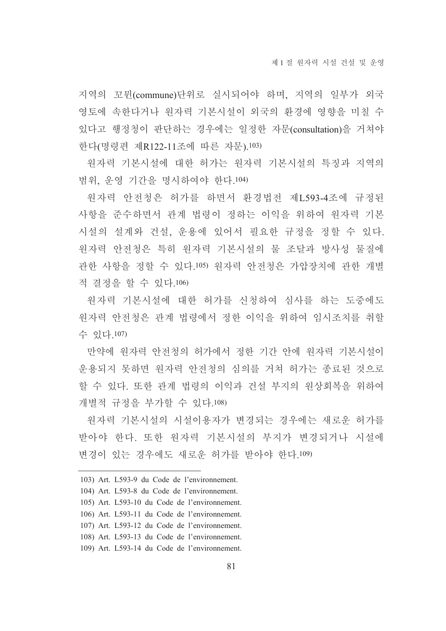지역의 꼬뮌(commune)단위로 실시되어야 하며, 지역의 일부가 외국 영토에 속한다거나 원자력 기본시설이 외국의 환경에 영향을 미칠 수 있다고 행정청이 판단하는 경우에는 일정한 자문(consultation)을 거쳐야 한다(명령편 제R122-11조에 따른 자문).103)

원자력 기본시설에 대한 허가는 원자력 기본시설의 특징과 지역의 범위, 운영 기간을 명시하여야 한다.104)

워자력 안전청은 허가를 하면서 환경법전 제L593-4조에 규정된 사항을 준수하면서 관계 법령이 정하는 이익을 위하여 원자력 기본 시설의 설계와 건설, 운용에 있어서 필요한 규정을 정할 수 있다. 원자력 안전청은 특히 원자력 기본시설의 물 조달과 방사성 물질에 관한 사항을 정할 수 있다.105) 원자력 안전청은 가압장치에 관한 개별 적 결정을 할 수 있다 106)

원자력 기본시설에 대한 허가를 신청하여 심사를 하는 도중에도 워자력 아저청은 과계 법령에서 정한 이익을 위하여 임시조치를 취할 수 있다.107)

만약에 워자력 안전청의 허가에서 정한 기간 안에 워자력 기본시설이 운용되지 못하면 원자력 안전청의 심의를 거쳐 허가는 종료된 것으로 할 수 있다. 또한 관계 법령의 이익과 건설 부지의 워상회복을 위하여 개별적 규정을 부가할 수 있다.108)

워자력 기본시설의 시설이용자가 변경되는 경우에는 새로운 허가를 받아야 한다. 또한 워자력 기본시설의 부지가 변경되거나 시설에 변경이 있는 경우에도 새로운 허가를 받아야 한다.109)

- 104) Art. L593-8 du Code de l'environnement.
- 105) Art. L593-10 du Code de l'environnement.
- 106) Art. L593-11 du Code de l'environnement.
- 107) Art. L593-12 du Code de l'environnement.
- 108) Art. L593-13 du Code de l'environnement.
- 109) Art. L593-14 du Code de l'environnement.

<sup>103)</sup> Art. L593-9 du Code de l'environnement.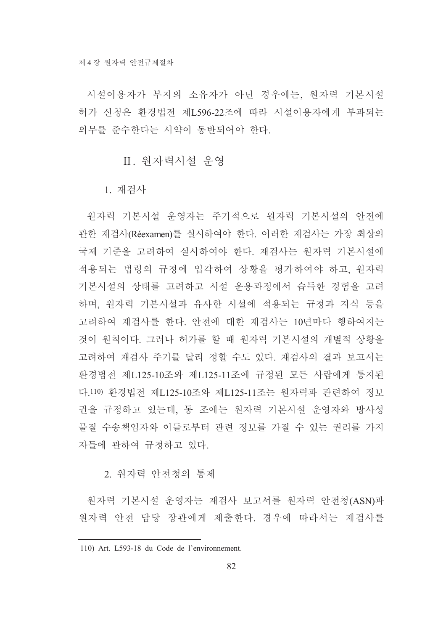시설이용자가 부지의 소유자가 아닌 경우에는, 원자력 기본시설 허가 신청은 환경법전 제L596-22조에 따라 시설이용자에게 부과되는 의무를 주수하다는 서약이 동반되어야 하다.

### Ⅱ. 워자력시설 우영

1. 재검사

원자력 기본시설 운영자는 주기적으로 원자력 기본시설의 안전에 관한 재검사(Réexamen)를 실시하여야 한다. 이러한 재검사는 가장 최상의 국제 기준을 고려하여 실시하여야 한다. 재검사는 워자력 기본시설에 적용되는 법령의 규정에 입각하여 상황을 평가하여야 하고, 원자력 기본시설의 상태를 고려하고 시설 우용과정에서 습득한 경험을 고려 하며, 원자력 기본시설과 유사한 시설에 적용되는 규정과 지식 등을 고려하여 재검사를 한다. 안전에 대한 재검사는 10년마다 행하여지는 것이 워칙이다. 그러나 허가를 할 때 워자력 기본시설의 개별적 상황을 고려하여 재검사 주기를 달리 정할 수도 있다. 재검사의 결과 보고서는 화경법전 제L125-10조와 제L125-11조에 규정된 모든 사람에게 통지된 다.110) 환경법전 제L125-10조와 제L125-11조는 원자력과 관련하여 정보 권을 규정하고 있는데, 동 조에는 원자력 기본시설 운영자와 방사성 물질 수송책임자와 이들로부터 관련 정보를 가질 수 있는 권리를 가지 자들에 관하여 규정하고 있다.

### 2. 워자력 아저청의 통제

워자력 기본시설 운영자는 재검사 보고서를 워자력 안전청(ASN)과 원자력 안전 담당 장관에게 제출한다. 경우에 따라서는 재검사를

<sup>110)</sup> Art. L593-18 du Code de l'environnement.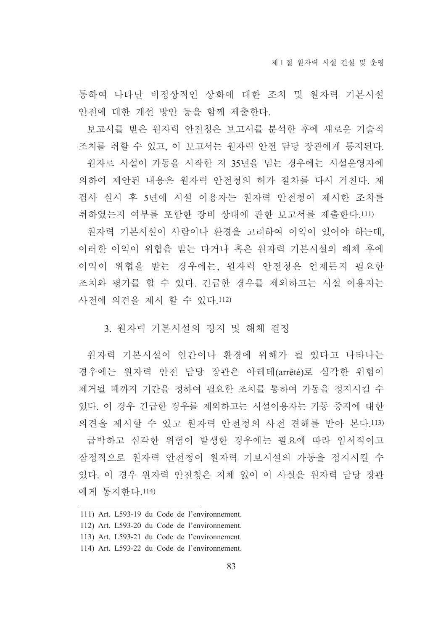통하여 나타난 비정상적인 상화에 대한 조치 및 원자력 기본시설 안전에 대한 개선 방안 등을 함께 제출한다.

보고서를 받은 워자력 안전청은 보고서를 분석한 후에 새로운 기술적 조치를 취할 수 있고, 이 보고서는 원자력 안전 담당 장관에게 통지된다. 워자로 시설이 가동을 시작한 지 35년을 넘는 경우에는 시설운영자에 의하여 제안된 내용은 원자력 안전청의 허가 절차를 다시 거친다. 재 검사 실시 후 5년에 시설 이용자는 원자력 안전청이 제시한 조치를 취하였는지 여부를 포함한 장비 상태에 관한 보고서를 제출한다.111)

원자력 기본시설이 사람이나 환경을 고려하여 이익이 있어야 하는데. 이러한 이익이 위협을 받는 다거나 혹은 원자력 기본시설의 해체 후에 이익이 위협을 받는 경우에는, 워자력 안전청은 언제든지 필요한 조치와 평가를 할 수 있다. 긴급한 경우를 제외하고는 시설 이용자는 사전에 의견을 제시 할 수 있다.112)

#### 3. 워자력 기본시설의 정지 및 해체 결정

원자력 기본시설이 인간이나 환경에 위해가 될 있다고 나타나는 경우에는 원자력 안전 담당 장관은 아레테(arrêté)로 심각한 위험이 제거될 때까지 기간을 정하여 필요한 조치를 통하여 가동을 정지시킬 수 있다. 이 경우 긴급한 경우를 제외하고는 시설이용자는 가동 중지에 대한 의견을 제시할 수 있고 워자력 안전청의 사전 견해를 받아 본다.113)

급박하고 심각한 위험이 발생한 경우에는 필요에 따라 임시적이고 잠정적으로 워자력 안전청이 워자력 기보시설의 가동을 정지시킬 수 있다. 이 경우 워자력 안전청은 지체 없이 이 사실을 워자력 담당 장관 에게 통지하다 114)

- 111) Art. L593-19 du Code de l'environnement.
- 112) Art. L593-20 du Code de l'environnement.
- 113) Art. L593-21 du Code de l'environnement.
- 114) Art. L593-22 du Code de l'environnement.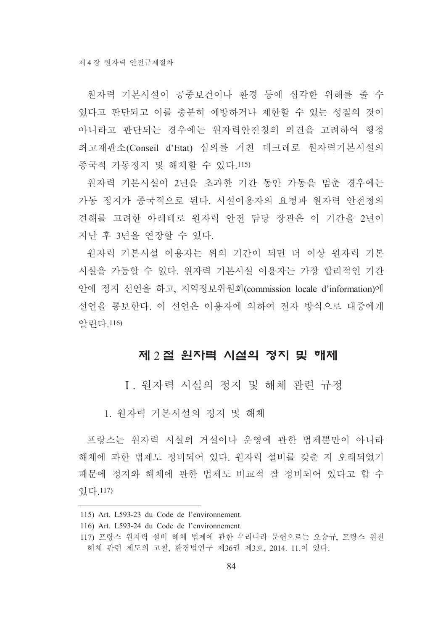원자력 기본시설이 공중보건이나 환경 등에 심각한 위해를 줄 수 있다고 판단되고 이를 충분히 예방하거나 제한할 수 있는 성질의 것이 아니라고 판단되는 경우에는 워자력안전청의 의견을 고려하여 행정 최고재판소(Conseil d'Etat) 심의를 거친 데크레로 워자력기본시설의 종국적 가동정지 및 해체할 수 있다.115)

원자력 기본시설이 2년을 초과한 기간 동안 가동을 멈춘 경우에는 가동 정지가 종국적으로 된다. 시설이용자의 요청과 원자력 안전청의 견해를 고려한 아레테로 원자력 안전 담당 장관은 이 기간을 2년이 지난 후 3년을 연장할 수 있다.

워자력 기본시설 이용자는 위의 기간이 되면 더 이상 워자력 기본 시설을 가동할 수 없다. 워자력 기본시설 이용자는 가장 합리적인 기간 안에 정지 선언을 하고, 지역정보위원회(commission locale d'information)에 선언을 통보한다. 이 선언은 이용자에 의하여 전자 방식으로 대중에게 알린다.116)

### 제 2절 원자력 시설의 정지 및 해체

I. 워자력 시설의 정지 및 해체 관련 규정

1. 워자력 기본시설의 정지 및 해체

프랑스는 워자력 시설의 거설이나 우영에 과한 법제뿐만이 아니라 해체에 과한 법제도 정비되어 있다. 워자력 설비를 갖춘 지 오래되었기 때문에 정지와 해체에 관한 법제도 비교적 잘 정비되어 있다고 할 수 있다.117)

<sup>115)</sup> Art. L593-23 du Code de l'environnement.

<sup>116)</sup> Art. L593-24 du Code de l'environnement.

<sup>117)</sup> 프랑스 원자력 설비 해체 법제에 관한 우리나라 문헌으로는 오승규, 프랑스 원전 해체 관련 제도의 고찰, 환경법연구 제36권 제3호, 2014. 11.이 있다.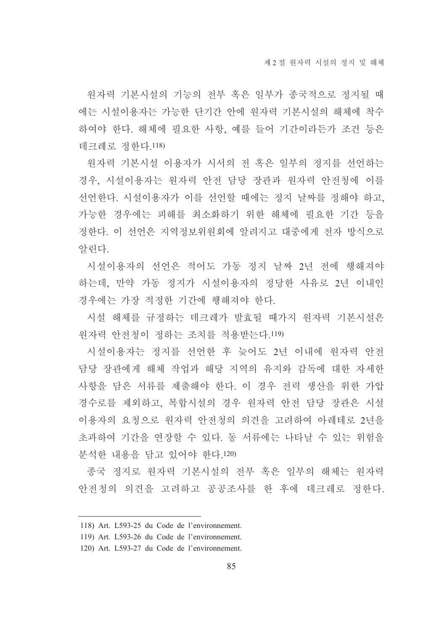원자력 기본시설의 기능의 전부 혹은 일부가 종국적으로 정지될 때 에는 시설이용자는 가능한 단기간 안에 워자력 기본시설의 해체에 착수 하여야 한다. 해체에 필요한 사항, 예를 들어 기간이라든가 조건 등은 데크레로 정한다.118)

원자력 기본시설 이용자가 시서의 전 혹은 일부의 정지를 선언하는 경우, 시설이용자는 원자력 안전 담당 장관과 원자력 안전청에 이를 선언한다. 시설이용자가 이를 선언할 때에는 정지 날짜를 정해야 하고, 가능한 경우에는 피해를 최소화하기 위한 해체에 필요한 기간 등을 정한다. 이 선언은 지역정보위원회에 알려지고 대중에게 전자 방식으로 알린다.

시설이용자의 선언은 적어도 가동 정지 날짜 2년 전에 행해져야 하는데 만약 가동 정지가 시설이용자의 정당한 사유로 2년 이내인 경우에는 가장 적정한 기간에 행해져야 한다.

시설 해체를 규정하는 데크레가 발효될 때가지 원자력 기본시설은 워자력 아저청이 정하는 조치를 적용받는다.119)

시설이용자는 정지를 선언한 후 늦어도 2년 이내에 워자력 안전 담당 장관에게 해체 작업과 해당 지역의 유지와 감독에 대한 자세한 사항을 담은 서류를 제출해야 한다. 이 경우 전력 생산을 위한 가압 경수로를 제외하고 복합시설의 경우 워자력 안전 담당 장관은 시설 이용자의 요청으로 워자력 안전청의 의견을 고려하여 아레테로 2년을 초과하여 기간을 연장할 수 있다. 동 서류에는 나타날 수 있는 위험을 분석하 내용을 닦고 있어야 하다.120)

종국 정지로 원자력 기본시설의 전부 혹은 일부의 해체는 원자력 안전청의 의견을 고려하고 공공조사를 한 후에 데크레로 정한다.

<sup>118)</sup> Art. L593-25 du Code de l'environnement.

<sup>119)</sup> Art. L593-26 du Code de l'environnement.

<sup>120)</sup> Art. L593-27 du Code de l'environnement.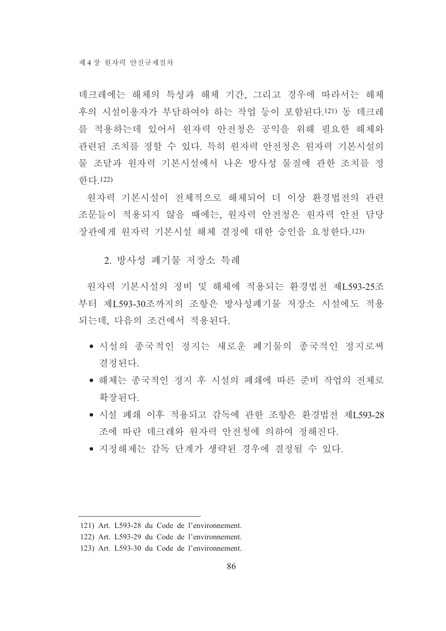데크레에는 해체의 특성과 해체 기간, 그리고 경우에 따라서는 해체 후의 시설이용자가 부담하여야 하는 작업 등이 포함된다.121) 동 데크레 를 적용하는데 있어서 워자력 안전청은 공익을 위해 필요한 해체와 관련된 조치를 정할 수 있다. 특히 원자력 안전청은 원자력 기본시설의 물 조달과 워자력 기본시설에서 나온 방사성 물질에 관한 조치를 정 하다 122)

원자력 기본시설이 전체적으로 해체되어 더 이상 환경법전의 관련 조문들이 적용되지 않을 때에는, 원자력 안전청은 원자력 안전 담당 장관에게 워자력 기본시설 해체 결정에 대한 승인을 요청한다.123)

2 방사성 폐기물 저장소 특례

워자력 기본시설의 정비 및 해체에 적용되는 환경법전 제L593-25조 부터 제L593-30조까지의 조항은 방사성폐기물 저장소 시설에도 적용 되는데, 다음의 조건에서 적용된다.

- 시설의 종국적인 정지는 새로운 폐기물의 종국적인 정지로써 결정된다.
- 해체는 종국적인 정지 후 시설의 폐쇄에 따른 준비 작업의 전체로 확장되다.
- 시설 폐쇄 이후 적용되고 감독에 과한 조항은 화경법전 제1.593-28 조에 따라 데크레와 워자력 안전청에 의하여 정해진다.
- 지정해제는 감독 단계가 생략된 경우에 결정될 수 있다.

<sup>121)</sup> Art. L593-28 du Code de l'environnement.

<sup>122)</sup> Art. L593-29 du Code de l'environnement.

<sup>123)</sup> Art. L593-30 du Code de l'environnement.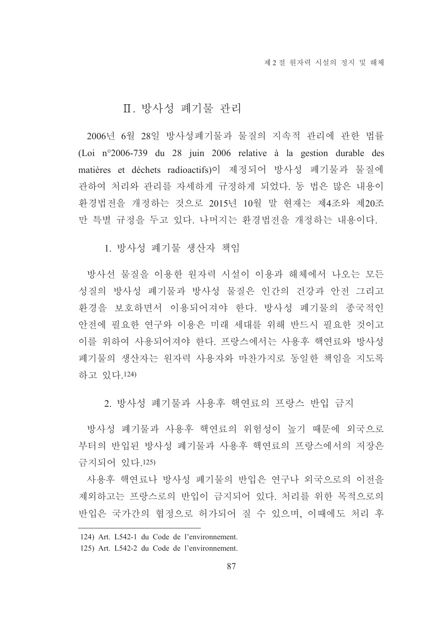### Ⅱ. 방사성 폐기물 관리

2006년 6월 28일 방사성폐기물과 물질의 지속적 관리에 관한 법률 (Loi n°2006-739 du 28 juin 2006 relative à la gestion durable des matières et déchets radioactifs)이 제정되어 방사성 폐기물과 물질에 관하여 처리와 관리를 자세하게 규정하게 되었다. 동 법은 많은 내용이 화경법전을 개정하는 것으로 2015년 10월 말 현재는 제4조와 제20조 만 특별 규정을 두고 있다. 나머지는 환경법전을 개정하는 내용이다.

1. 방사성 폐기물 생산자 책임

방사선 물질을 이용한 원자력 시설이 이용과 해체에서 나오는 모든 성질의 방사성 폐기물과 방사성 물질은 인간의 건강과 안전 그리고 화경을 보호하면서 이용되어져야 한다. 방사성 폐기물의 종국적인 안전에 필요한 연구와 이용은 미래 세대를 위해 반드시 필요한 것이고 이를 위하여 사용되어져야 한다. 프랑스에서는 사용후 핵연료와 방사성 폐기물의 생산자는 원자력 사용자와 마찬가지로 동일한 책임을 지도록 하고 있다.124)

2. 방사성 폐기물과 사용후 핵연료의 프랑스 반입 금지

방사성 폐기물과 사용후 핵연료의 위험성이 높기 때문에 외국으로 부터의 반입된 방사성 폐기물과 사용후 핵연료의 프랑스에서의 저장은 금지되어 있다.125)

사용후 핵연료나 방사성 폐기물의 반입은 연구나 외국으로의 이전을 제외하고는 프랑스로의 반입이 금지되어 있다. 처리를 위한 목적으로의 반입은 국가간의 협정으로 허가되어 질 수 있으며, 이때에도 처리 후

<sup>124)</sup> Art. L542-1 du Code de l'environnement.

<sup>125)</sup> Art. L542-2 du Code de l'environnement.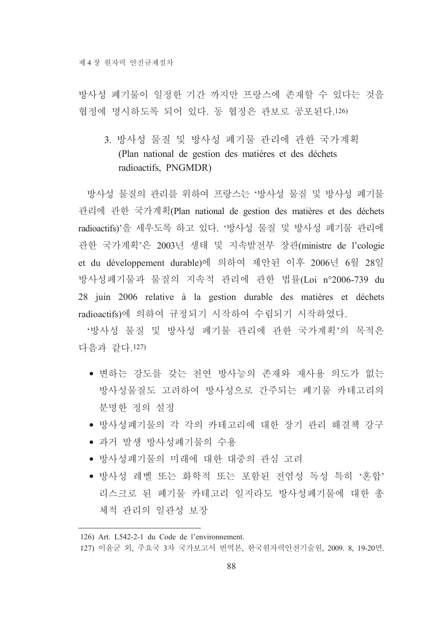방사성 폐기물이 일정한 기간 까지만 프랑스에 존재할 수 있다는 것을 협정에 명시하도록 되어 있다. 동 협정은 관보로 공포된다.126)

3. 방사성 물질 및 방사성 폐기물 관리에 관한 국가계획 (Plan national de gestion des matières et des déchets radioactifs, PNGMDR)

방사성 물질의 관리를 위하여 프랑스는 '방사성 물질 및 방사성 폐기물 관리에 관한 국가계획(Plan national de gestion des matières et des déchets radioactifs)'을 세우도록 하고 있다. '방사성 물질 및 방사성 폐기물 관리에 관한 국가계획'은 2003년 생태 및 지속발전부 장관(ministre de l'cologie et du développement durable)에 의하여 제안된 이후 2006년 6월 28일 방사성폐기물과 물질의 지속적 관리에 관한 법률(Loi n°2006-739 du 28 juin 2006 relative à la gestion durable des matières et déchets radioactifs)에 의하여 규정되기 시작하여 수립되기 시작하였다.

'방사성 물질 및 방사성 폐기물 관리에 관한 국가계획'의 목적은 다음과 같다.127)

- 변하는 강도를 갖는 천연 방사능의 존재와 재사용 의도가 없는 방사성물질도 고려하여 방사성으로 간주되는 폐기물 카테고리의 분명한 정의 설정
- 방사성폐기물의 각 각의 카테고리에 대한 장기 관리 해결책 강구
- 과거 발생 방사성폐기물의 수용
- 방사성폐기물의 미래에 대한 대중의 관심 고려
- 방사성 레벨 또는 화학적 또는 포함된 전염성 독성 특히 '혼합' 리스크로 된 폐기물 카테고리 일지라도 방사성폐기물에 대한 총 체적 관리의 일관성 보장

<sup>126)</sup> Art. L542-2-1 du Code de l'environnement.

<sup>127)</sup> 이윤군 외, 주요국 3차 국가보고서 번역본, 한국원자력안전기술원, 2009. 8, 19-20면.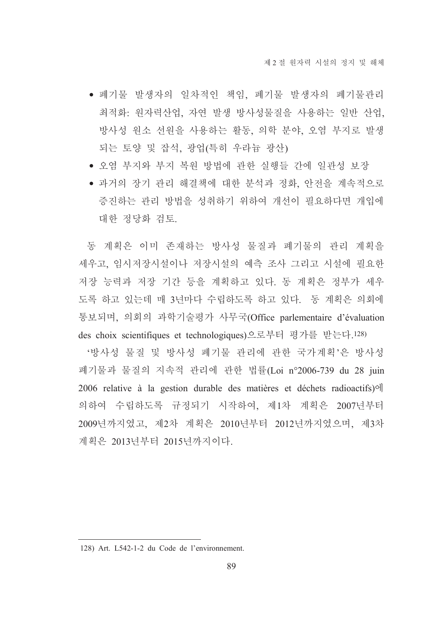- 폐기물 발생자의 일차적인 책임, 폐기물 발생자의 폐기물관리 최적화: 원자력산업, 자연 발생 방사성물질을 사용하는 일반 산업, 방사성 원소 선원을 사용하는 활동, 의학 분야, 오염 부지로 발생 되는 토양 및 잡석, 광업(특히 우라늄 광산)
- 오엮 부지와 부지 복원 방법에 관한 실행들 간에 일관성 보장
- 과거의 장기 관리 해결책에 대한 분석과 정화, 안전을 계속적으로 증진하는 관리 방법을 성취하기 위하여 개선이 필요하다면 개입에 대한 정당화 검토.

동 계획은 이미 존재하는 방사성 물질과 폐기물의 관리 계획을 세우고, 임시저장시설이나 저장시설의 예측 조사 그리고 시설에 필요한 저장 능력과 저장 기간 등을 계획하고 있다. 동 계획은 정부가 세우 도록 하고 있는데 매 3년마다 수립하도록 하고 있다. 동 계획은 의회에 통보되며, 의회의 과학기술평가 사무국(Office parlementaire d'évaluation des choix scientifiques et technologiques)으로부터 평가를 받는다.128)

'방사성 물질 및 방사성 폐기물 관리에 관한 국가계획'은 방사성 폐기물과 물질의 지속적 관리에 관한 법률(Loi n°2006-739 du 28 juin 2006 relative à la gestion durable des matières et déchets radioactifs) of 의하여 수립하도록 규정되기 시작하여, 제1차 계획은 2007년부터 2009년까지였고, 제2차 계획은 2010년부터 2012년까지였으며, 제3차 계획은 2013년부터 2015년까지이다.

<sup>128)</sup> Art. L542-1-2 du Code de l'environnement.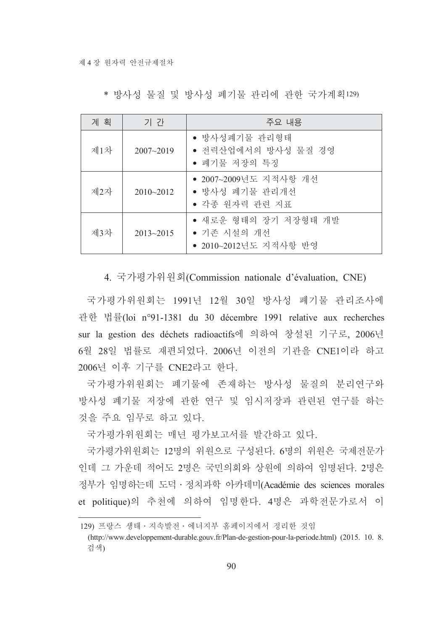| 계 획 | 기 간           | 주요 내용                                                        |  |
|-----|---------------|--------------------------------------------------------------|--|
| 제1차 | $2007 - 2019$ | • 방사성폐기물 관리형태<br>• 전력산업에서의 방사성 물질 경영<br>• 폐기물 저장의 특징         |  |
| 제2자 | $2010 - 2012$ | ● 2007~2009년도 지적사항 개선<br>• 방사성 폐기물 관리개선<br>• 각종 원자력 관련 지표    |  |
| 제3차 | $2013 - 2015$ | • 새로운 형태의 장기 저장형태 개발<br>• 기존 시설의 개선<br>● 2010~2012년도 지적사항 반영 |  |

\* 방사성 물질 및 방사성 폐기물 관리에 관한 국가계획129)

4. 국가평가위원회(Commission nationale d'évaluation, CNE)

국가평가위워회는 1991년 12월 30일 방사성 폐기물 관리조사에 관한 법률(loi n°91-1381 du 30 décembre 1991 relative aux recherches sur la gestion des déchets radioactifs에 의하여 창설된 기구로, 2006년 6월 28일 법률로 재편되었다. 2006년 이전의 기관을 CNE1이라 하고 2006년 이후 기구를 CNE2라고 한다.

국가평가위원회는 폐기물에 존재하는 방사성 물질의 분리연구와 방사성 폐기물 저장에 관한 연구 및 임시저장과 관련된 연구를 하는 것을 주요 임무로 하고 있다.

국가평가위원회는 매년 평가보고서를 발간하고 있다.

국가평가위워회는 12명의 위워으로 구성된다. 6명의 위워은 국제전문가 인데 그 가운데 적어도 2명은 국민의회와 상원에 의하여 임명된다. 2명은 정부가 임명하는데 도덕 · 정치과학 아카데미(Académie des sciences morales et politique)의 추천에 의하여 임명한다. 4명은 과학전문가로서 이

<sup>129)</sup> 프랑스 생태 · 지속발전 · 에너지부 홈페이지에서 정리한 것임

<sup>(</sup>http://www.developpement-durable.gouv.fr/Plan-de-gestion-pour-la-periode.html) (2015. 10. 8. 검색)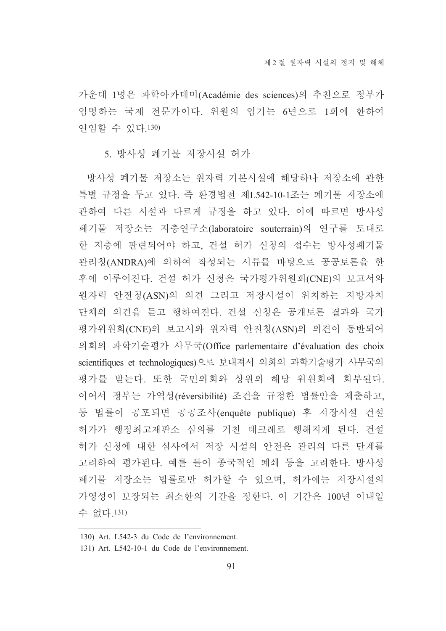가운데 1명은 과학아카데미(Académie des sciences)의 추천으로 정부가 임명하는 국제 전문가이다. 위원의 임기는 6년으로 1회에 한하여 연임할 수 있다.130)

#### 5. 방사성 폐기물 저장시설 허가

방사성 폐기물 저장소는 워자력 기본시설에 해당하나 저장소에 관한 특별 규정을 두고 있다. 즉 환경법전 제L542-10-1조는 폐기물 저장소에 관하여 다른 시설과 다르게 규정을 하고 있다. 이에 따르면 방사성 폐기물 저장소는 지층연구소(laboratoire souterrain)의 연구를 토대로 한 지층에 관련되어야 하고, 건설 허가 신청의 접수는 방사성폐기물 관리청(ANDRA)에 의하여 작성되는 서류를 바탕으로 공공토론을 한 후에 이루어진다. 건설 허가 신청은 국가평가위원회(CNE)의 보고서와 원자력 안전청(ASN)의 의견 그리고 저장시설이 위치하는 지방자치 단체의 의견을 듣고 행하여진다. 건설 신청은 공개토론 결과와 국가 평가위원회(CNE)의 보고서와 원자력 안전청(ASN)의 의견이 동반되어 의회의 과학기술평가 사무국(Office parlementaire d'évaluation des choix scientifiques et technologiques)으로 보내져서 의회의 과학기술평가 사무국의 평가를 받는다. 또한 국민의회와 상원의 해당 위원회에 회부된다. 이어서 정부는 가역성(réversibilité) 조건을 규정한 법률안을 제출하고, 동 법률이 공포되면 공공조사(enquête publique) 후 저장시설 건설 허가가 행정최고재판소 심의를 거친 데크레로 행해지게 된다. 건설 허가 신청에 대한 심사에서 저장 시설의 안전은 관리의 다른 단계를 고려하여 평가된다. 예를 들어 종국적인 폐쇄 등을 고려한다. 방사성 폐기물 저장소는 법률로만 허가할 수 있으며, 허가에는 저장시설의 가영성이 보장되는 최소한의 기간을 정한다. 이 기간은 100년 이내일 수 없다.131)

<sup>130)</sup> Art. L542-3 du Code de l'environnement.

<sup>131)</sup> Art. L542-10-1 du Code de l'environnement.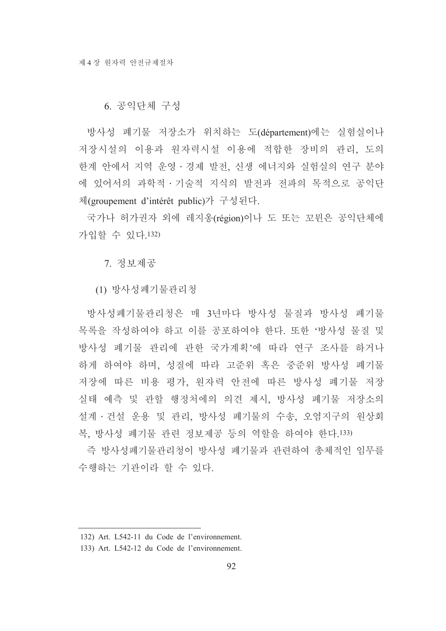### 6. 공익단체 구성

방사성 폐기물 저장소가 위치하는 도(département)에는 실험실이나 저장시설의 이용과 원자력시설 이용에 적합한 장비의 관리, 도의 한계 안에서 지역 운영·경제 발전, 신생 에너지와 실험실의 연구 분야 에 있어서의 과학적·기술적 지식의 발전과 전파의 목적으로 공익단 체(groupement d'intérêt public)가 구성된다.

국가나 허가권자 외에 레지옹(région)이나 도 또는 꼬뮌은 공익단체에 가입할 수 있다.132)

7. 정보제공

(1) 방사성폐기물관리청

방사성폐기물관리청은 매 3년마다 방사성 물질과 방사성 폐기물 목록을 작성하여야 하고 이를 공포하여야 한다. 또한 '방사성 물질 및 방사성 폐기물 관리에 관한 국가계획'에 따라 연구 조사를 하거나 하게 하여야 하며, 성질에 따라 고주위 혹은 중주위 방사성 폐기물 저장에 따른 비용 평가, 워자력 안전에 따른 방사성 폐기물 저장 실태 예측 및 관할 행정처에의 의견 제시, 방사성 폐기물 저장소의 설계 · 건설 운용 및 관리, 방사성 폐기물의 수송, 오염지구의 원상회 복, 방사성 폐기물 관련 정보제공 등의 역할을 하여야 한다.133)

즉 방사성폐기물관리청이 방사성 폐기물과 관련하여 총체적인 임무를 수행하는 기관이라 할 수 있다.

<sup>132)</sup> Art. L542-11 du Code de l'environnement.

<sup>133)</sup> Art. L542-12 du Code de l'environnement.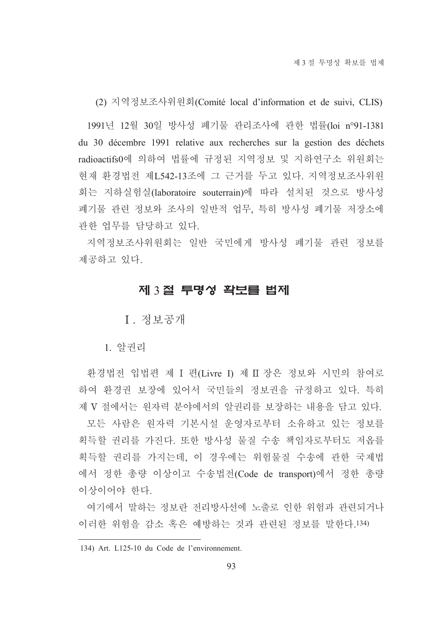(2) 지역정보조사위원회(Comité local d'information et de suivi, CLIS)

1991년 12월 30일 방사성 폐기물 관리조사에 관한 법률(loi n°91-1381 du 30 décembre 1991 relative aux recherches sur la gestion des déchets radioactifs0에 의하여 법률에 규정된 지역정보 및 지하연구소 위원회는 현재 환경법전 제L542-13조에 그 근거를 두고 있다. 지역정보조사위원 회는 지하실험실(laboratoire souterrain)에 따라 설치된 것으로 방사성 폐기물 관련 정보와 조사의 일반적 업무, 특히 방사성 폐기물 저장소에 관한 업무를 담당하고 있다.

지역정보조사위원회는 일반 국민에게 방사성 폐기물 관련 정보를 제공하고 있다.

### 제 3절 투명성 확보를 법제

I. 정보공개

1. 알권리

환경법전 입법편 제 I 편(Livre I) 제 II 장은 정보와 시민의 참여로 하여 환경권 보장에 있어서 국민들의 정보권을 규정하고 있다. 특히 제 V 절에서는 워자력 부야에서의 알궈리를 보장하는 내용을 담고 있다.

모든 사람은 워자력 기본시설 운영자로부터 소유하고 있는 정보를 획득할 권리를 가진다. 또한 방사성 물질 수송 책임자로부터도 저옵를 획득할 권리를 가지는데, 이 경우에는 위험물질 수송에 관한 국제법 에서 정한 총량 이상이고 수송법전(Code de transport)에서 정한 총량 이상이어야 한다.

여기에서 말하는 정보라 전리방사선에 노출로 인한 위험과 관련되거나 이러한 위험을 감소 혹은 예방하는 것과 관련된 정보를 말한다.134)

<sup>134)</sup> Art. L125-10 du Code de l'environnement.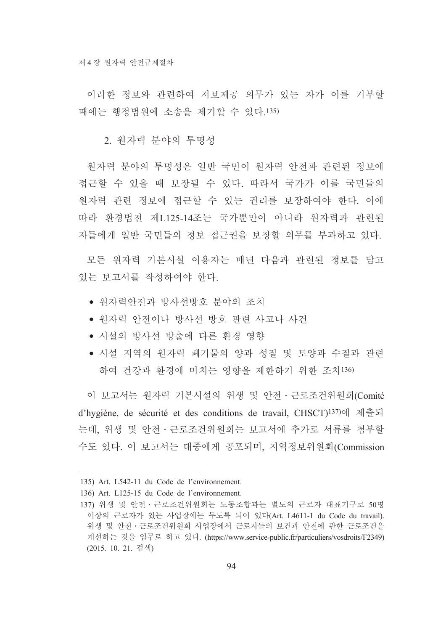이러한 정보와 관련하여 저보제공 의무가 있는 자가 이를 거부할 때에는 행정법워에 소송을 제기할 수 있다.135)

2. 워자력 부야의 투명성

원자력 분야의 투명성은 일반 국민이 원자력 안전과 관련된 정보에 접근할 수 있을 때 보장될 수 있다. 따라서 국가가 이를 국민들의 워자력 관련 정보에 접근할 수 있는 권리를 보장하여야 한다. 이에 따라 환경법전 제L125-14조는 국가뿐만이 아니라 원자력과 관련된 자들에게 일반 국민들의 정보 접근권을 보장할 의무를 부과하고 있다.

모든 워자력 기본시설 이용자는 매년 다음과 관련된 정보를 담고 있는 보고서를 작성하여야 하다.

- 워자력아저과 방사선방호 분야의 조치
- 워자력 안전이나 방사선 방호 관련 사고나 사건
- 시설의 방사선 방출에 다른 환경 영향
- 시설 지역의 원자력 폐기물의 양과 성질 및 토양과 수질과 관련 하여 건강과 환경에 미치는 영향을 제한하기 위한 조치136)

이 보고서는 워자력 기본시설의 위생 및 안전·근로조건위원회(Comité d'hygiène, de sécurité et des conditions de travail, CHSCT)<sup>137)</sup>에 제줄되 는데, 위생 및 안전 · 근로조건위원회는 보고서에 추가로 서류를 첨부할 수도 있다. 이 보고서는 대중에게 공포되며, 지역정보위워회(Commission

<sup>135)</sup> Art. L542-11 du Code de l'environnement.

<sup>136)</sup> Art. L125-15 du Code de l'environnement.

<sup>137)</sup> 위생 및 안전 · 근로조건위원회는 노동조합과는 별도의 근로자 대표기구로 50명 이상의 근로자가 있는 사업장에는 두도록 되어 있다(Art. L4611-1 du Code du travail). 위생 및 안전 · 근로조건위워회 사업장에서 근로자들의 보건과 안전에 관한 근로조건을 개선하는 것을 임무로 하고 있다. (https://www.service-public.fr/particuliers/vosdroits/F2349) (2015. 10. 21. 검색)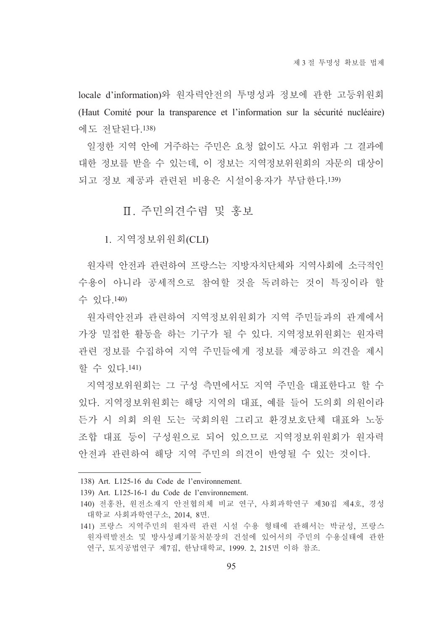locale d'information)와 워자력안전의 투명성과 정보에 관한 고등위워회 (Haut Comité pour la transparence et l'information sur la sécurité nucléaire) 에도 저달되다 138)

일정한 지역 안에 거주하는 주민은 요청 없이도 사고 위험과 그 결과에 대한 정보를 받을 수 있는데, 이 정보는 지역정보위원회의 자문의 대상이 되고 정보 제공과 관련된 비용은 시설이용자가 부담한다.139)

# Ⅱ. 주민의견수렴 및 홍보

1. 지역정보위원회(CLI)

워자력 안전과 관련하여 프랑스는 지방자치단체와 지역사회에 소극적인 수용이 아니라 공세적으로 참여할 것을 독려하는 것이 특징이라 할 수 있다.140)

워자력안전과 관련하여 지역정보위워회가 지역 주민들과의 관계에서 가장 밀접한 활동을 하는 기구가 될 수 있다. 지역정보위원회는 원자력 관련 정보를 수집하여 지역 주민들에게 정보를 제공하고 의견을 제시 할 수 있다 141)

지역정보위원회는 그 구성 측면에서도 지역 주민을 대표한다고 할 수 있다. 지역정보위원회는 해당 지역의 대표, 예를 들어 도의회 의원이라 든가 시 의회 의원 도는 국회의원 그리고 환경보호단체 대표와 노동 조합 대표 등이 구성원으로 되어 있으므로 지역정보위원회가 원자력 안전과 관련하여 해당 지역 주민의 의견이 반영될 수 있는 것이다.

139) Art. L125-16-1 du Code de l'environnement.

<sup>138)</sup> Art. L125-16 du Code de l'environnement.

<sup>140)</sup> 전홍찬, 원전소재지 안전협의체 비교 연구, 사회과학연구 제30집 제4호, 경성 대학교 사회과학연구소, 2014, 8면.

<sup>141)</sup> 프랑스 지역주민의 원자력 관련 시설 수용 형태에 관해서는 박균성, 프랑스 워자력발전소 및 방사성폐기물처분장의 건설에 있어서의 주민의 수용실태에 관한 연구, 토지공법연구 제7집, 한남대학교, 1999. 2, 215면 이하 참조.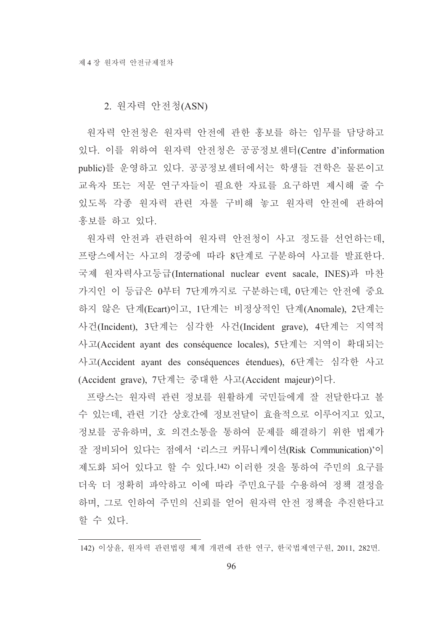### 2. 원자력 안전청(ASN)

원자력 안전청은 원자력 안전에 관한 홍보를 하는 임무를 담당하고 있다. 이를 위하여 원자력 안전청은 공공정보센터(Centre d'information public)를 운영하고 있다. 공공정보센터에서는 학생들 견학은 물론이고 교육자 또는 저문 연구자들이 필요한 자료를 요구하면 제시해 줄 수 있도록 각종 원자력 관련 자를 구비해 놓고 원자력 안전에 관하여 홍보를 하고 있다.

원자력 안전과 관련하여 원자력 안전청이 사고 정도를 선언하는데, 프랑스에서는 사고의 경중에 따라 8단계로 구분하여 사고를 발표한다. 국제 원자력사고등급(International nuclear event sacale, INES)과 마찬 가지인 이 등급은 0부터 7단계까지로 구분하는데, 0단계는 안전에 중요 하지 않은 단계(Ecart)이고, 1단계는 비정상적인 단계(Anomale), 2단계는 사건(Incident), 3단계는 심각한 사건(Incident grave), 4단계는 지역적 사고(Accident ayant des conséquence locales), 5단계는 지역이 확대되는 사고(Accident ayant des conséquences étendues), 6단계는 심각한 사고 (Accident grave), 7단계는 중대한 사고(Accident majeur)이다.

프랑스는 워자력 관련 정보를 워활하게 국민들에게 잘 전달한다고 볼 수 있는데, 관련 기간 상호간에 정보전달이 효율적으로 이루어지고 있고, 정보를 공유하며, 호 의견소통을 통하여 문제를 해결하기 위한 법제가 잘 정비되어 있다는 점에서 '리스크 커뮤니케이션(Risk Communication)'이 제도화 되어 있다고 할 수 있다.142) 이러한 것을 통하여 주민의 요구를 더욱 더 정확히 파악하고 이에 따라 주민요구를 수용하여 정책 결정을 하며, 그로 인하여 주민의 신뢰를 얻어 원자력 안전 정책을 추진한다고 할 수 있다.

142) 이상윤, 원자력 관련법령 체계 개편에 관한 연구, 한국법제연구원, 2011, 282면.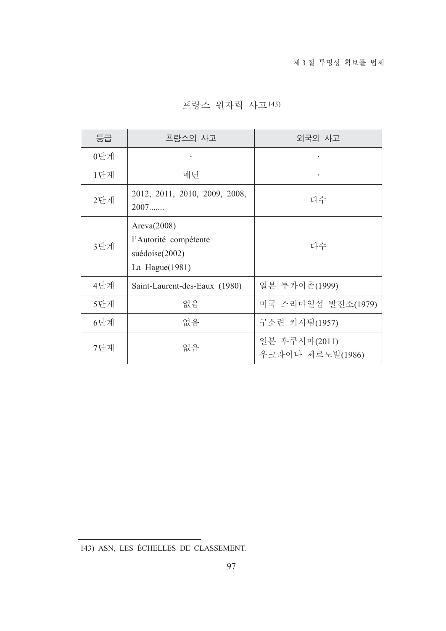| 등급  | 프랑스의 사고                                                                    | 외국의 사고                            |
|-----|----------------------------------------------------------------------------|-----------------------------------|
| 0단계 |                                                                            | ٠                                 |
| 1단계 | 매년                                                                         | $\bullet$                         |
| 2단계 | 2012, 2011, 2010, 2009, 2008,<br>2007                                      | 다수                                |
| 3단계 | Area(2008)<br>l'Autorité compétente<br>suédoise(2002)<br>La Hague $(1981)$ | 다수                                |
| 4단계 | Saint-Laurent-des-Eaux (1980)                                              | 일본 투카이촌(1999)                     |
| 5단계 | 없음                                                                         | 미국 스리마일섬 발전소(1979)                |
| 6단계 | 없음                                                                         | 구소련 키시팀(1957)                     |
| 7단계 | 없음                                                                         | 일본 후쿠시마(2011)<br>우크라이나 체르노빌(1986) |

프랑스 원자력 사고143)

<sup>143)</sup> ASN, LES ÉCHELLES DE CLASSEMENT.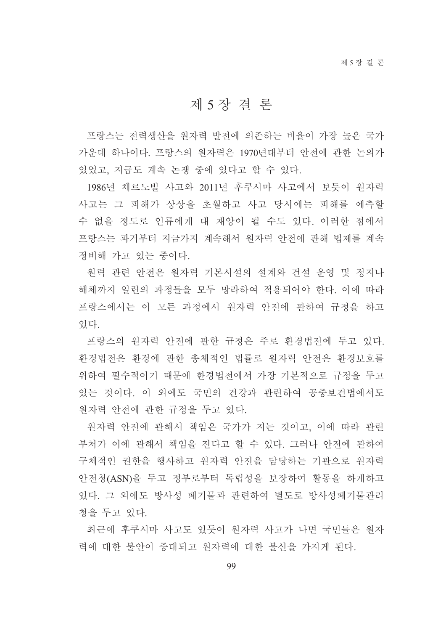# 제 5 장 결 론

프랑스는 전력생산을 워자력 발전에 의존하는 비율이 가장 높은 국가 가우데 하나이다. 프랑스의 워자력은 1970년대부터 안전에 과한 논의가 있었고, 지금도 계속 논쟁 중에 있다고 할 수 있다.

1986년 체르노빌 사고와 2011년 후쿠시마 사고에서 보듯이 워자력 사고는 그 피해가 상상을 초월하고 사고 당시에는 피해를 예측할 수 없을 정도로 인류에게 대 재앙이 될 수도 있다. 이러한 점에서 프랑스는 과거부터 지금가지 계속해서 원자력 안전에 관해 법제를 계속 정비해 가고 있는 중이다.

원력 관련 안전은 원자력 기본시설의 설계와 건설 운영 및 정지나 해체까지 일련의 과정들을 모두 망라하여 적용되어야 한다. 이에 따라 프랑스에서는 이 모든 과정에서 워자력 안전에 관하여 규정을 하고 있다

프랑스의 워자력 안전에 관한 규정은 주로 환경법전에 두고 있다. 환경법전은 환경에 관한 총체적인 법률로 원자력 안전은 환경보호를 위하여 필수적이기 때문에 한경법전에서 가장 기본적으로 규정을 두고 있는 것이다. 이 외에도 국민의 건강과 관련하여 공중보건법에서도 원자력 안전에 관한 규정을 두고 있다.

원자력 안전에 관해서 책임은 국가가 지는 것이고, 이에 따라 관련 부처가 이에 관해서 책임을 진다고 할 수 있다. 그러나 안전에 관하여 구체적인 권한을 행사하고 워자력 안전을 담당하는 기관으로 워자력 안전청(ASN)을 두고 정부로부터 독립성을 보장하여 활동을 하게하고 있다. 그 외에도 방사성 폐기물과 관련하여 별도로 방사성폐기물관리 청을 두고 있다.

최근에 후쿠시마 사고도 있듯이 원자력 사고가 나면 국민들은 원자 력에 대한 불안이 증대되고 원자력에 대한 불신을 가지게 된다.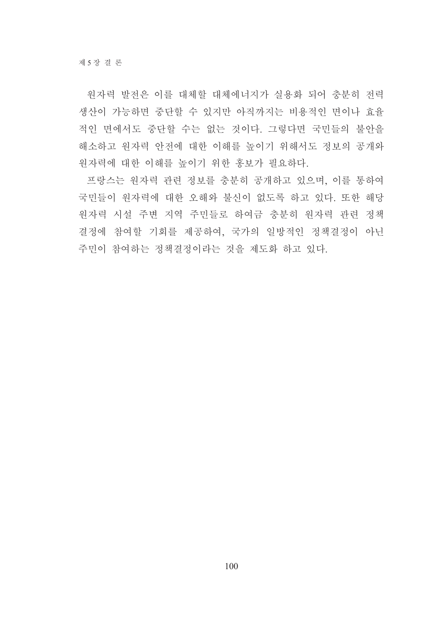워자력 발전은 이를 대체할 대체에너지가 실용화 되어 충분히 전력 생산이 가능하면 중단할 수 있지만 아직까지는 비용적인 면이나 효율 적인 면에서도 중단할 수는 없는 것이다. 그렇다면 국민들의 불안을 해소하고 원자력 안전에 대한 이해를 높이기 위해서도 정보의 공개와 워자력에 대한 이해를 높이기 위한 홍보가 필요하다.

프랑스는 원자력 관련 정보를 충분히 공개하고 있으며, 이를 통하여 국민들이 원자력에 대한 오해와 불신이 없도록 하고 있다. 또한 해당 원자력 시설 주변 지역 주민들로 하여금 충분히 원자력 관련 정책 결정에 참여할 기회를 제공하여, 국가의 일방적인 정책결정이 아닌 주민이 참여하는 정책결정이라는 것을 제도화 하고 있다.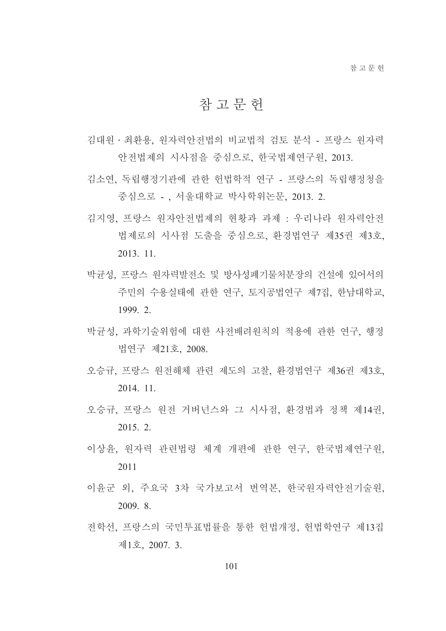# 참 고 무 헌

- 김대워 · 최화용, 워자력안전법의 비교법적 검토 분석 프랑스 워자력 안전법제의 시사점을 중심으로, 한국법제연구원, 2013.
- 김소연 독립행정기관에 과한 헌법학적 연구 프랑스의 독립행정청을 중심으로 - , 서울대학교 박사학위논문, 2013. 2.
- 김지영 프랑스 워자아저법제의 혀황과 과제 : 우리나라 워자력아저 법제로의 시사점 도출을 중심으로, 환경법연구 제35권 제3호, 2013. 11.
- 박규성, 프랑스 워자력발전소 및 방사성폐기물처분장의 건설에 있어서의 주민의 수용실태에 관한 연구, 토지공법연구 제7집, 한남대학교, 1999. 2.
- 박균성, 과학기술위험에 대한 사전배려원칙의 적용에 관한 연구, 행정 법역구 제21호 2008
- 오승규, 프랑스 원전해체 관련 제도의 고찰, 환경법연구 제36권 제3호, 2014. 11.
- 오승규, 프랑스 원전 거버넌스와 그 시사점, 환경법과 정책 제14권, 2015. 2.
- 이상윤, 원자력 관련법령 체계 개편에 관한 연구, 한국법제연구원, 2011
- 이윤군 외, 주요국 3차 국가보고서 번역본, 한국원자력안전기술원, 2009. 8.
- 전학선, 프랑스의 국민투표법률을 통한 헌법개정, 헌법학연구 제13집 제1호, 2007. 3.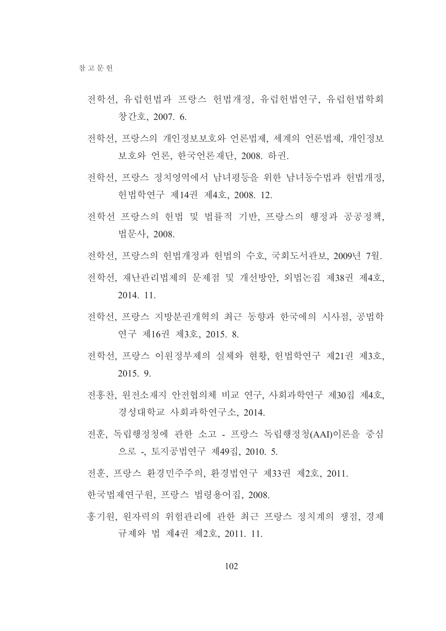- 전학선, 유럽헌법과 프랑스 헌법개정, 유럽헌법연구, 유럽헌법학회 창간호, 2007. 6.
- 전학선, 프랑스의 개인정보보호와 언론법제, 세계의 언론법제, 개인정보 보호와 언론, 한국언론재단, 2008. 하권.
- 전학선 프랑스 정치영역에서 남녀평등을 위한 남녀동수법과 헌법개정. 헌법학연구 제14권 제4호, 2008. 12.
- 전학선 프랑스의 헌법 및 법률적 기반, 프랑스의 행정과 공공정책, 법문사, 2008.
- 전학선, 프랑스의 헌법개정과 헌법의 수호, 국회도서관보, 2009년 7월.
- 전학선, 재난관리법제의 문제점 및 개선방안, 외법논집 제38권 제4호, 2014. 11.
- 전학선, 프랑스 지방부권개혁의 최근 동향과 한국에의 시사점, 공법학 연구 제16권 제3호, 2015. 8.
- 전학선, 프랑스 이워정부제의 실체와 현황, 헌법학연구 제21권 제3호, 2015. 9.
- 전홍찬, 워전소재지 안전협의체 비교 연구, 사회과학연구 제30집 제4호, 경성대학교 사회과학연구소, 2014.
- 전훈, 독립행정청에 관한 소고 프랑스 독립행정청(AAI)이론을 중심 으로 - 토지공법연구 제49집, 2010. 5.
- 전후, 프랑스 화경민주주의, 화경법연구 제33권 제2호, 2011.

한국법제연구원, 프랑스 법령용어집, 2008.

홍기원, 원자력의 위험관리에 관한 최근 프랑스 정치계의 쟁점, 경제 규제와 법 제4권 제2호, 2011. 11.